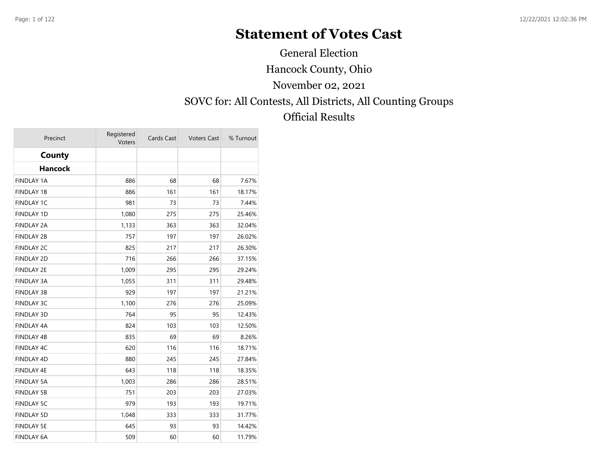# **Statement of Votes Cast**

General Election

Hancock County, Ohio

November 02, 2021

#### SOVC for: All Contests, All Districts, All Counting Groups

#### Official Results

| Precinct          | Registered<br>Voters | Cards Cast | <b>Voters Cast</b> | % Turnout |
|-------------------|----------------------|------------|--------------------|-----------|
| County            |                      |            |                    |           |
| <b>Hancock</b>    |                      |            |                    |           |
| <b>FINDLAY 1A</b> | 886                  | 68         | 68                 | 7.67%     |
| <b>FINDLAY 1B</b> | 886                  | 161        | 161                | 18.17%    |
| <b>FINDLAY 1C</b> | 981                  | 73         | 73                 | 7.44%     |
| <b>FINDLAY 1D</b> | 1,080                | 275        | 275                | 25.46%    |
| <b>FINDLAY 2A</b> | 1,133                | 363        | 363                | 32.04%    |
| <b>FINDLAY 2B</b> | 757                  | 197        | 197                | 26.02%    |
| <b>FINDLAY 2C</b> | 825                  | 217        | 217                | 26.30%    |
| <b>FINDLAY 2D</b> | 716                  | 266        | 266                | 37.15%    |
| <b>FINDLAY 2E</b> | 1,009                | 295        | 295                | 29.24%    |
| <b>FINDLAY 3A</b> | 1,055                | 311        | 311                | 29.48%    |
| <b>FINDLAY 3B</b> | 929                  | 197        | 197                | 21.21%    |
| <b>FINDLAY 3C</b> | 1,100                | 276        | 276                | 25.09%    |
| <b>FINDLAY 3D</b> | 764                  | 95         | 95                 | 12.43%    |
| FINDLAY 4A        | 824                  | 103        | 103                | 12.50%    |
| FINDLAY 4B        | 835                  | 69         | 69                 | 8.26%     |
| FINDLAY 4C        | 620                  | 116        | 116                | 18.71%    |
| <b>FINDLAY 4D</b> | 880                  | 245        | 245                | 27.84%    |
| FINDLAY 4E        | 643                  | 118        | 118                | 18.35%    |
| <b>FINDLAY 5A</b> | 1,003                | 286        | 286                | 28.51%    |
| <b>FINDLAY 5B</b> | 751                  | 203        | 203                | 27.03%    |
| <b>FINDLAY 5C</b> | 979                  | 193        | 193                | 19.71%    |
| <b>FINDLAY 5D</b> | 1,048                | 333        | 333                | 31.77%    |
| <b>FINDLAY 5E</b> | 645                  | 93         | 93                 | 14.42%    |
| <b>FINDLAY 6A</b> | 509                  | 60         | 60                 | 11.79%    |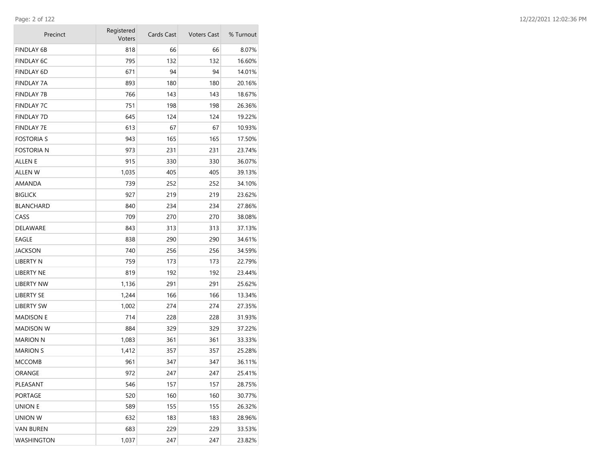| Precinct          | Registered<br>Voters | Cards Cast | <b>Voters Cast</b> | % Turnout |  |
|-------------------|----------------------|------------|--------------------|-----------|--|
| <b>FINDLAY 6B</b> | 818                  | 66         | 66                 | 8.07%     |  |
| <b>FINDLAY 6C</b> | 795                  | 132        | 132                | 16.60%    |  |
| FINDLAY 6D        | 671                  | 94         | 94                 | 14.01%    |  |
| <b>FINDLAY 7A</b> | 893                  | 180        | 180                | 20.16%    |  |
| <b>FINDLAY 7B</b> | 766                  | 143        | 143                | 18.67%    |  |
| FINDLAY 7C        | 751                  | 198        | 198                | 26.36%    |  |
| FINDLAY 7D        | 645                  | 124        | 124                | 19.22%    |  |
| <b>FINDLAY 7E</b> | 613                  | 67         | 67                 | 10.93%    |  |
| FOSTORIA S        | 943                  | 165        | 165                | 17.50%    |  |
| FOSTORIA N        | 973                  | 231        | 231                | 23.74%    |  |
| ALLEN E           | 915                  | 330        | 330                | 36.07%    |  |
| ALLEN W           | 1,035                | 405        | 405                | 39.13%    |  |
| AMANDA            | 739                  | 252        | 252                | 34.10%    |  |
| <b>BIGLICK</b>    | 927                  | 219        | 219                | 23.62%    |  |
| BLANCHARD         | 840                  | 234        | 234                | 27.86%    |  |
| CASS              | 709                  | 270        | 270                | 38.08%    |  |
| DELAWARE          | 843                  | 313        | 313                | 37.13%    |  |
| EAGLE             | 838                  | 290        | 290                | 34.61%    |  |
| JACKSON           | 740                  | 256        | 256                | 34.59%    |  |
| LIBERTY N         | 759                  | 173        | 173                | 22.79%    |  |
| LIBERTY NE        | 819                  | 192        | 192                | 23.44%    |  |
| LIBERTY NW        | 1,136                | 291        | 291                | 25.62%    |  |
| LIBERTY SE        | 1,244                | 166        | 166                | 13.34%    |  |
| LIBERTY SW        | 1,002                | 274        | 274                | 27.35%    |  |
| <b>MADISON E</b>  | 714                  | 228        | 228                | 31.93%    |  |
| MADISON W         | 884                  | 329        | 329                | 37.22%    |  |
| MARION N          | 1,083                | 361        | 361                | 33.33%    |  |
| <b>MARION S</b>   | 1,412                | 357        | 357                | 25.28%    |  |
| MCCOMB            | 961                  | 347        | 347                | 36.11%    |  |
| ORANGE            | 972                  | 247        | 247                | 25.41%    |  |
| PLEASANT          | 546                  | 157        | 157                | 28.75%    |  |
| PORTAGE           | 520                  | 160        | 160                | 30.77%    |  |
| union e           | 589                  | 155        | 155                | 26.32%    |  |
| UNION W           | 632                  | 183        | 183                | 28.96%    |  |
| VAN BUREN         | 683                  | 229        | 229                | 33.53%    |  |
| WASHINGTON        | 1,037                | 247        | 247                | 23.82%    |  |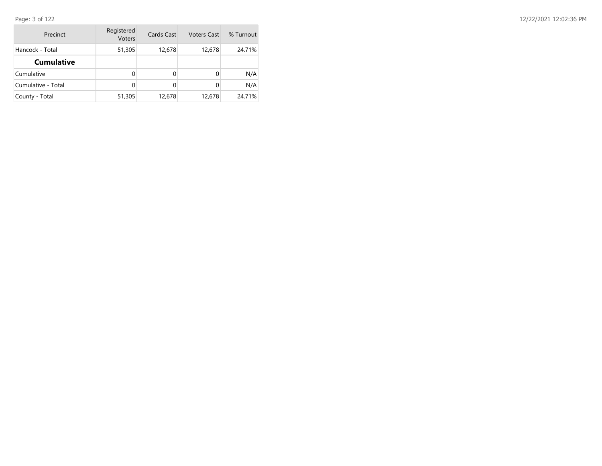| Precinct           | Registered<br>Voters | Cards Cast | <b>Voters Cast</b> | % Turnout |
|--------------------|----------------------|------------|--------------------|-----------|
| Hancock - Total    | 51,305               | 12,678     | 12,678             | 24.71%    |
| <b>Cumulative</b>  |                      |            |                    |           |
| Cumulative         | 0                    | $\Omega$   |                    | N/A       |
| Cumulative - Total | 0                    | $\Omega$   |                    | N/A       |
| County - Total     | 51,305               | 12,678     | 12,678             | 24.71%    |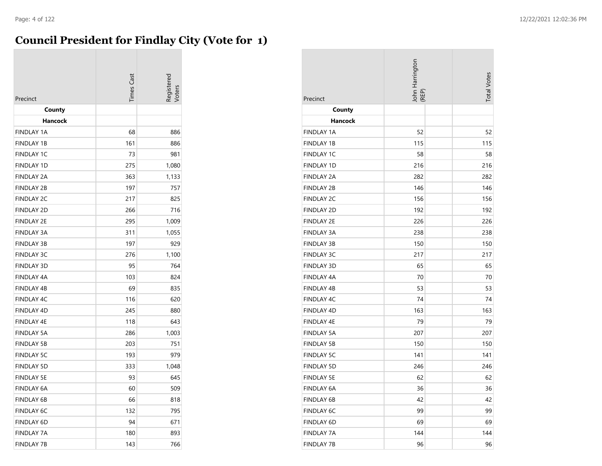#### **Council President for Findlay City (Vote for 1)**

| Precinct          | <b>Times</b> Cast |       |
|-------------------|-------------------|-------|
| County            |                   |       |
| Hancock           |                   |       |
| <b>FINDLAY 1A</b> | 68                | 886   |
| <b>FINDLAY 1B</b> | 161               | 886   |
| <b>FINDLAY 1C</b> | 73                | 981   |
| <b>FINDLAY 1D</b> | 275               | 1,080 |
| <b>FINDLAY 2A</b> | 363               | 1,133 |
| <b>FINDLAY 2B</b> | 197               | 757   |
| <b>FINDLAY 2C</b> | 217               | 825   |
| <b>FINDLAY 2D</b> | 266               | 716   |
| <b>FINDLAY 2E</b> | 295               | 1,009 |
| <b>FINDLAY 3A</b> | 311               | 1,055 |
| <b>FINDLAY 3B</b> | 197               | 929   |
| <b>FINDLAY 3C</b> | 276               | 1,100 |
| <b>FINDLAY 3D</b> | 95                | 764   |
| <b>FINDLAY 4A</b> | 103               | 824   |
| <b>FINDLAY 4B</b> | 69                | 835   |
| <b>FINDLAY 4C</b> | 116               | 620   |
| <b>FINDLAY 4D</b> | 245               | 880   |
| <b>FINDLAY 4E</b> | 118               | 643   |
| <b>FINDLAY 5A</b> | 286               | 1,003 |
| <b>FINDLAY 5B</b> | 203               | 751   |
| <b>FINDLAY 5C</b> | 193               | 979   |
| <b>FINDLAY 5D</b> | 333               | 1,048 |
| <b>FINDLAY 5E</b> | 93                | 645   |
| FINDLAY 6A        | 60                | 509   |
| <b>FINDLAY 6B</b> | 66                | 818   |
| <b>FINDLAY 6C</b> | 132               | 795   |
| <b>FINDLAY 6D</b> | 94                | 671   |
| <b>FINDLAY 7A</b> | 180               | 893   |
| <b>FINDLAY 7B</b> | 143               | 766   |

| Precinct          | John Harrington<br>(REP) | <b>Total Votes</b> |
|-------------------|--------------------------|--------------------|
| County            |                          |                    |
| Hancock           |                          |                    |
| <b>FINDLAY 1A</b> | 52                       | 52                 |
| <b>FINDLAY 1B</b> | 115                      | 115                |
| <b>FINDLAY 1C</b> | 58                       | 58                 |
| <b>FINDLAY 1D</b> | 216                      | 216                |
| <b>FINDLAY 2A</b> | 282                      | 282                |
| <b>FINDLAY 2B</b> | 146                      | 146                |
| <b>FINDLAY 2C</b> | 156                      | 156                |
| <b>FINDLAY 2D</b> | 192                      | 192                |
| <b>FINDLAY 2E</b> | 226                      | 226                |
| <b>FINDLAY 3A</b> | 238                      | 238                |
| <b>FINDLAY 3B</b> | 150                      | 150                |
| <b>FINDLAY 3C</b> | 217                      | 217                |
| <b>FINDLAY 3D</b> | 65                       | 65                 |
| <b>FINDLAY 4A</b> | 70                       | 70                 |
| <b>FINDLAY 4B</b> | 53                       | 53                 |
| FINDLAY 4C        | 74                       | 74                 |
| <b>FINDLAY 4D</b> | 163                      | 163                |
| <b>FINDLAY 4E</b> | 79                       | 79                 |
| <b>FINDLAY 5A</b> | 207                      | 207                |
| <b>FINDLAY 5B</b> | 150                      | 150                |
| <b>FINDLAY 5C</b> | 141                      | 141                |
| <b>FINDLAY 5D</b> | 246                      | 246                |
| <b>FINDLAY 5E</b> | 62                       | 62                 |
| FINDLAY 6A        | 36                       | 36                 |
| FINDLAY 6B        | 42                       | 42                 |
| <b>FINDLAY 6C</b> | 99                       | 99                 |
| FINDLAY 6D        | 69                       | 69                 |
| <b>FINDLAY 7A</b> | 144                      | 144                |
| <b>FINDLAY 7B</b> | 96                       | 96                 |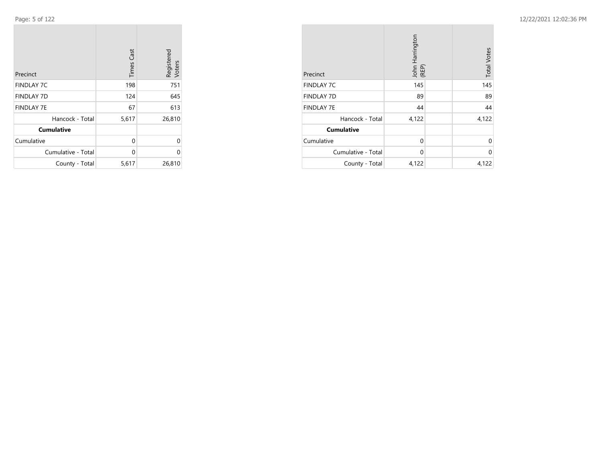12/22/2021 12:02:36 PM

Page: 5 of 122

**College** 

| Precinct           | <b>Times Cast</b> | Registered<br>Voters |
|--------------------|-------------------|----------------------|
| <b>FINDLAY 7C</b>  | 198               | 751                  |
| <b>FINDLAY 7D</b>  | 124               | 645                  |
| <b>FINDLAY 7E</b>  | 67                | 613                  |
| Hancock - Total    | 5,617             | 26,810               |
| <b>Cumulative</b>  |                   |                      |
| Cumulative         | 0                 | U                    |
| Cumulative - Total | 0                 | U                    |
| County - Total     | 5,617             | 26,810               |

| Precinct           | John Harrington<br>(REP) | <b>Total Votes</b> |
|--------------------|--------------------------|--------------------|
| <b>FINDLAY 7C</b>  | 145                      | 145                |
| <b>FINDLAY 7D</b>  | 89                       | 89                 |
| <b>FINDLAY 7E</b>  | 44                       | 44                 |
| Hancock - Total    | 4,122                    | 4,122              |
| <b>Cumulative</b>  |                          |                    |
| Cumulative         | 0                        | 0                  |
| Cumulative - Total | $\Omega$                 | 0                  |
| County - Total     | 4,122                    | 4,122              |

 $\sim$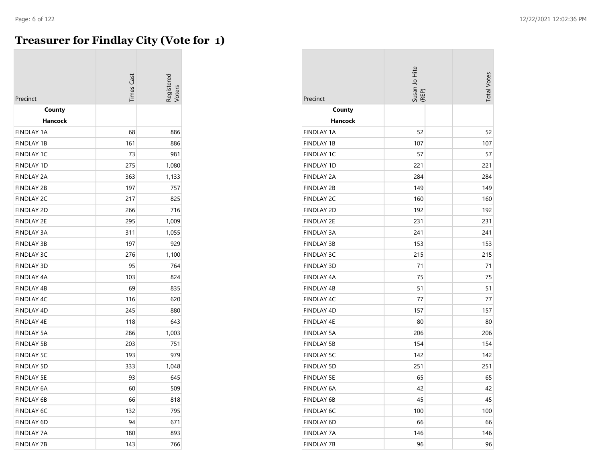## **Treasurer for Findlay City (Vote for 1)**

| Precinct          | <b>Times Cast</b> | egistere |
|-------------------|-------------------|----------|
| County<br>Hancock |                   |          |
| <b>FINDLAY 1A</b> | 68                | 886      |
| <b>FINDLAY 1B</b> | 161               | 886      |
| <b>FINDLAY 1C</b> | 73                | 981      |
| <b>FINDLAY 1D</b> | 275               | 1,080    |
| <b>FINDLAY 2A</b> | 363               | 1,133    |
| <b>FINDLAY 2B</b> | 197               | 757      |
| <b>FINDLAY 2C</b> | 217               | 825      |
| <b>FINDLAY 2D</b> | 266               | 716      |
| <b>FINDLAY 2E</b> | 295               | 1,009    |
| <b>FINDLAY 3A</b> | 311               | 1,055    |
| <b>FINDLAY 3B</b> | 197               | 929      |
| <b>FINDLAY 3C</b> | 276               | 1,100    |
| <b>FINDLAY 3D</b> | 95                | 764      |
| FINDLAY 4A        | 103               | 824      |
| <b>FINDLAY 4B</b> | 69                | 835      |
| <b>FINDLAY 4C</b> | 116               | 620      |
| <b>FINDLAY 4D</b> | 245               | 880      |
| <b>FINDLAY 4E</b> | 118               | 643      |
| <b>FINDLAY 5A</b> | 286               | 1,003    |
| <b>FINDLAY 5B</b> | 203               | 751      |
| <b>FINDLAY 5C</b> | 193               | 979      |
| <b>FINDLAY 5D</b> | 333               | 1,048    |
| <b>FINDLAY 5E</b> | 93                | 645      |
| <b>FINDLAY 6A</b> | 60                | 509      |
| <b>FINDLAY 6B</b> | 66                | 818      |
| <b>FINDLAY 6C</b> | 132               | 795      |
| <b>FINDLAY 6D</b> | 94                | 671      |
| <b>FINDLAY 7A</b> | 180               | 893      |
| <b>FINDLAY 7B</b> | 143               | 766      |

| Precinct          | Susan Jo Hite<br>(REP) | <b>Total Votes</b> |
|-------------------|------------------------|--------------------|
| County            |                        |                    |
| Hancock           |                        |                    |
| <b>FINDLAY 1A</b> | 52                     | 52                 |
| <b>FINDLAY 1B</b> | 107                    | 107                |
| <b>FINDLAY 1C</b> | 57                     | 57                 |
| <b>FINDLAY 1D</b> | 221                    | 221                |
| <b>FINDLAY 2A</b> | 284                    | 284                |
| <b>FINDLAY 2B</b> | 149                    | 149                |
| <b>FINDLAY 2C</b> | 160                    | 160                |
| <b>FINDLAY 2D</b> | 192                    | 192                |
| <b>FINDLAY 2E</b> | 231                    | 231                |
| <b>FINDLAY 3A</b> | 241                    | 241                |
| <b>FINDLAY 3B</b> | 153                    | 153                |
| <b>FINDLAY 3C</b> | 215                    | 215                |
| <b>FINDLAY 3D</b> | 71                     | 71                 |
| <b>FINDLAY 4A</b> | 75                     | 75                 |
| <b>FINDLAY 4B</b> | 51                     | 51                 |
| <b>FINDLAY 4C</b> | 77                     | 77                 |
| <b>FINDLAY 4D</b> | 157                    | 157                |
| <b>FINDLAY 4E</b> | 80                     | 80                 |
| <b>FINDLAY 5A</b> | 206                    | 206                |
| <b>FINDLAY 5B</b> | 154                    | 154                |
| <b>FINDLAY 5C</b> | 142                    | 142                |
| <b>FINDLAY 5D</b> | 251                    | 251                |
| <b>FINDLAY 5E</b> | 65                     | 65                 |
| FINDLAY 6A        | 42                     | 42                 |
| FINDLAY 6B        | 45                     | 45                 |
| FINDLAY 6C        | 100                    | 100                |
| <b>FINDLAY 6D</b> | 66                     | 66                 |
| FINDLAY 7A        | 146                    | 146                |
| <b>FINDLAY 7B</b> | 96                     | 96                 |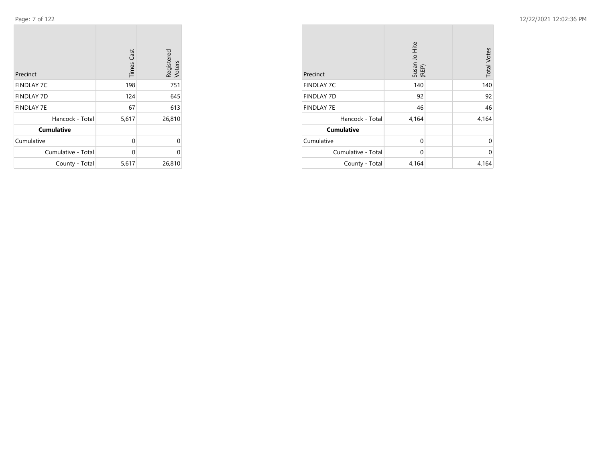12/22/2021 12:02:36 PM

Page: 7 of 122

**College** 

| Precinct           | <b>Times Cast</b> | Registered<br>Voters |
|--------------------|-------------------|----------------------|
| <b>FINDLAY 7C</b>  | 198               | 751                  |
| <b>FINDLAY 7D</b>  | 124               | 645                  |
| <b>FINDLAY 7E</b>  | 67                | 613                  |
| Hancock - Total    | 5,617             | 26,810               |
| <b>Cumulative</b>  |                   |                      |
| Cumulative         | 0                 | O                    |
| Cumulative - Total | $\Omega$          | Ω                    |
| County - Total     | 5,617             | 26,810               |

| Precinct           | Susan Jo Hite<br>(REP) | <b>Total Votes</b> |
|--------------------|------------------------|--------------------|
| <b>FINDLAY 7C</b>  | 140                    | 140                |
| <b>FINDLAY 7D</b>  | 92                     | 92                 |
| <b>FINDLAY 7E</b>  | 46                     | 46                 |
| Hancock - Total    | 4,164                  | 4,164              |
| <b>Cumulative</b>  |                        |                    |
| Cumulative         | $\Omega$               | 0                  |
| Cumulative - Total | $\Omega$               | 0                  |
| County - Total     | 4,164                  | 4,164              |

**College**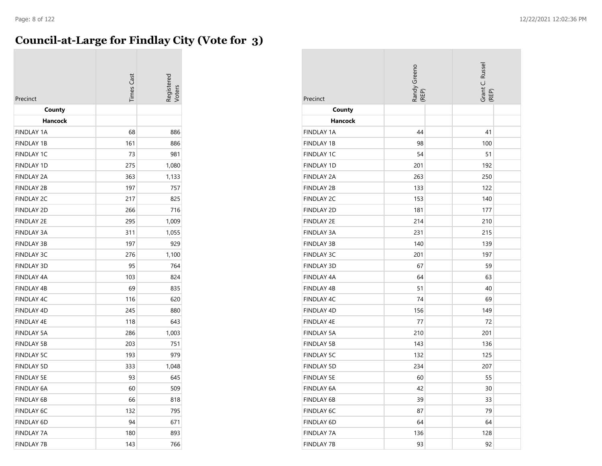#### **Council-at-Large for Findlay City (Vote for 3)**

| Precinct                               | <b>Times Cast</b> | oter         |
|----------------------------------------|-------------------|--------------|
| County<br>Hancock                      |                   |              |
| <b>FINDLAY 1A</b>                      | 68                | 886          |
| <b>FINDLAY 1B</b>                      | 161               | 886          |
| <b>FINDLAY 1C</b>                      | 73                | 981          |
| <b>FINDLAY 1D</b>                      | 275               |              |
| <b>FINDLAY 2A</b>                      | 363               | 1,080        |
| <b>FINDLAY 2B</b>                      | 197               | 1,133<br>757 |
| <b>FINDLAY 2C</b>                      | 217               | 825          |
| <b>FINDLAY 2D</b>                      | 266               | 716          |
| <b>FINDLAY 2E</b>                      | 295               |              |
| <b>FINDLAY 3A</b>                      | 311               | 1,009        |
| <b>FINDLAY 3B</b>                      | 197               | 1,055        |
|                                        | 276               | 929          |
| <b>FINDLAY 3C</b><br><b>FINDLAY 3D</b> |                   | 1,100        |
| <b>FINDLAY 4A</b>                      | 95<br>103         | 764          |
| <b>FINDLAY 4B</b>                      |                   | 824          |
|                                        | 69<br>116         | 835          |
| FINDLAY 4C<br><b>FINDLAY 4D</b>        | 245               | 620          |
|                                        |                   | 880          |
| <b>FINDLAY 4E</b>                      | 118               | 643          |
| <b>FINDLAY 5A</b>                      | 286               | 1,003        |
| <b>FINDLAY 5B</b>                      | 203               | 751          |
| <b>FINDLAY 5C</b>                      | 193               | 979          |
| <b>FINDLAY 5D</b>                      | 333               | 1,048        |
| <b>FINDLAY 5E</b>                      | 93                | 645          |
| <b>FINDLAY 6A</b>                      | 60                | 509          |
| FINDLAY 6B                             | 66                | 818          |
| <b>FINDLAY 6C</b>                      | 132               | 795          |
| FINDLAY 6D                             | 94                | 671          |
| <b>FINDLAY 7A</b>                      | 180               | 893          |
| <b>FINDLAY 7B</b>                      | 143               | 766          |

| Precinct          | Randy Greeno<br>(REP) | Grant C. Russel<br>(REP) |
|-------------------|-----------------------|--------------------------|
| County            |                       |                          |
| Hancock           |                       |                          |
| <b>FINDLAY 1A</b> | 44                    | 41                       |
| <b>FINDLAY 1B</b> | 98                    | 100                      |
| <b>FINDLAY 1C</b> | 54                    | 51                       |
| <b>FINDLAY 1D</b> | 201                   | 192                      |
| <b>FINDLAY 2A</b> | 263                   | 250                      |
| <b>FINDLAY 2B</b> | 133                   | 122                      |
| <b>FINDLAY 2C</b> | 153                   | 140                      |
| <b>FINDLAY 2D</b> | 181                   | 177                      |
| <b>FINDLAY 2E</b> | 214                   | 210                      |
| <b>FINDLAY 3A</b> | 231                   | 215                      |
| <b>FINDLAY 3B</b> | 140                   | 139                      |
| <b>FINDLAY 3C</b> | 201                   | 197                      |
| <b>FINDLAY 3D</b> | 67                    | 59                       |
| FINDLAY 4A        | 64                    | 63                       |
| <b>FINDLAY 4B</b> | 51                    | 40                       |
| <b>FINDLAY 4C</b> | 74                    | 69                       |
| <b>FINDLAY 4D</b> | 156                   | 149                      |
| <b>FINDLAY 4E</b> | 77                    | 72                       |
| <b>FINDLAY 5A</b> | 210                   | 201                      |
| <b>FINDLAY 5B</b> | 143                   | 136                      |
| <b>FINDLAY 5C</b> | 132                   | 125                      |
| <b>FINDLAY 5D</b> | 234                   | 207                      |
| <b>FINDLAY 5E</b> | 60                    | 55                       |
| <b>FINDLAY 6A</b> | 42                    | 30                       |
| FINDLAY 6B        | 39                    | 33                       |
| <b>FINDLAY 6C</b> | 87                    | 79                       |
| FINDLAY 6D        | 64                    | 64                       |
| <b>FINDLAY 7A</b> | 136                   | 128                      |
| <b>FINDLAY 7B</b> | 93                    | 92                       |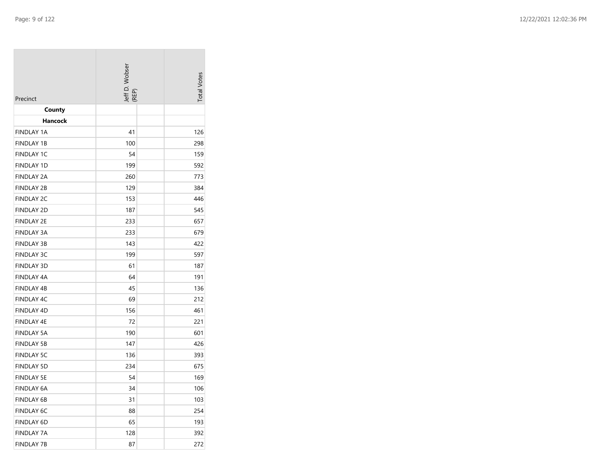| Precinct          | Jeff D. Wobser<br>(REP) |  | <b>Total Votes</b> |
|-------------------|-------------------------|--|--------------------|
| County            |                         |  |                    |
| Hancock           |                         |  |                    |
| <b>FINDLAY 1A</b> | 41                      |  | 126                |
| <b>FINDLAY 1B</b> | 100                     |  | 298                |
| <b>FINDLAY 1C</b> | 54                      |  | 159                |
| <b>FINDLAY 1D</b> | 199                     |  | 592                |
| <b>FINDLAY 2A</b> | 260                     |  | 773                |
| <b>FINDLAY 2B</b> | 129                     |  | 384                |
| <b>FINDLAY 2C</b> | 153                     |  | 446                |
| <b>FINDLAY 2D</b> | 187                     |  | 545                |
| <b>FINDLAY 2E</b> | 233                     |  | 657                |
| <b>FINDLAY 3A</b> | 233                     |  | 679                |
| <b>FINDLAY 3B</b> | 143                     |  | 422                |
| <b>FINDLAY 3C</b> | 199                     |  | 597                |
| <b>FINDLAY 3D</b> | 61                      |  | 187                |
| <b>FINDLAY 4A</b> | 64                      |  | 191                |
| <b>FINDLAY 4B</b> | 45                      |  | 136                |
| <b>FINDLAY 4C</b> | 69                      |  | 212                |
| <b>FINDLAY 4D</b> | 156                     |  | 461                |
| <b>FINDLAY 4E</b> | 72                      |  | 221                |
| <b>FINDLAY 5A</b> | 190                     |  | 601                |
| <b>FINDLAY 5B</b> | 147                     |  | 426                |
| <b>FINDLAY 5C</b> | 136                     |  | 393                |
| <b>FINDLAY 5D</b> | 234                     |  | 675                |
| <b>FINDLAY 5E</b> | 54                      |  | 169                |
| FINDLAY 6A        | 34                      |  | 106                |
| FINDLAY 6B        | 31                      |  | 103                |
| <b>FINDLAY 6C</b> | 88                      |  | 254                |
| <b>FINDLAY 6D</b> | 65                      |  | 193                |
| FINDLAY 7A        | 128                     |  | 392                |
| <b>FINDLAY 7B</b> | 87                      |  | 272                |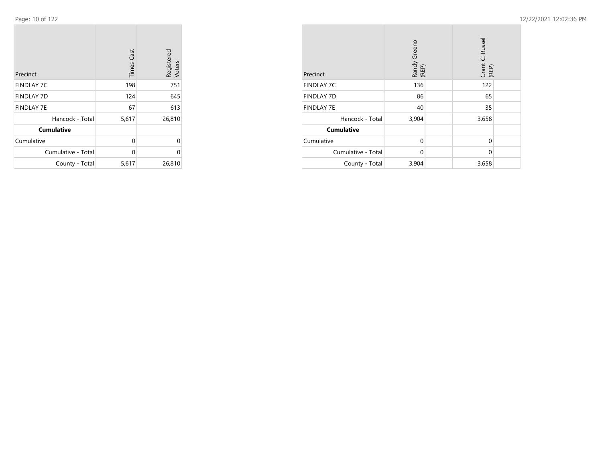$\mathcal{L}^{\text{max}}$ 

| Page: 10 of 122 | 12/22/2021 12:02:36 PM |  |
|-----------------|------------------------|--|
|-----------------|------------------------|--|

|                    | <b>Times Cast</b> | Registered<br>Voters |
|--------------------|-------------------|----------------------|
| Precinct           |                   |                      |
| <b>FINDLAY 7C</b>  | 198               | 751                  |
| <b>FINDLAY 7D</b>  | 124               | 645                  |
| <b>FINDLAY 7E</b>  | 67                | 613                  |
| Hancock - Total    | 5,617             | 26,810               |
| <b>Cumulative</b>  |                   |                      |
| Cumulative         | 0                 | $\Omega$             |
| Cumulative - Total | 0                 | 0                    |
| County - Total     | 5,617             | 26,810               |

the company's property and the company's

| Precinct           | Randy Greeno<br>(REP) | Grant C. Russel<br>(REP) |  |
|--------------------|-----------------------|--------------------------|--|
| <b>FINDLAY 7C</b>  | 136                   | 122                      |  |
| <b>FINDLAY 7D</b>  | 86                    | 65                       |  |
| <b>FINDLAY 7E</b>  | 40                    | 35                       |  |
| Hancock - Total    | 3,904                 | 3,658                    |  |
| <b>Cumulative</b>  |                       |                          |  |
| Cumulative         | $\Omega$              | $\mathbf 0$              |  |
| Cumulative - Total | $\Omega$              | $\mathbf 0$              |  |
| County - Total     | 3,904                 | 3,658                    |  |

 $\sim$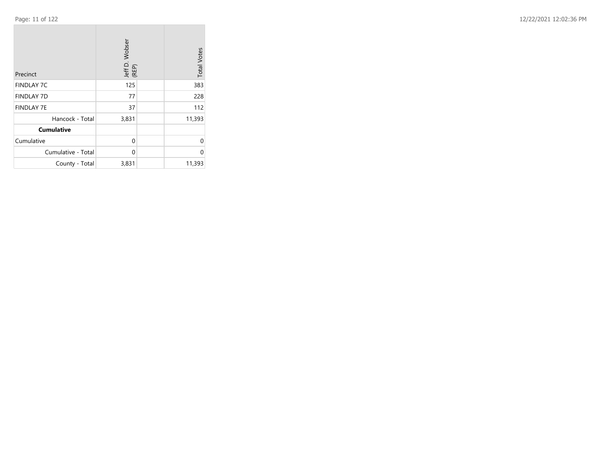$\sim$ 

| Precinct           | Jeff D. Wobser<br>(REP) |  | <b>Total Votes</b> |
|--------------------|-------------------------|--|--------------------|
| <b>FINDLAY 7C</b>  | 125                     |  | 383                |
| <b>FINDLAY 7D</b>  | 77                      |  | 228                |
| <b>FINDLAY 7E</b>  | 37                      |  | 112                |
| Hancock - Total    | 3,831                   |  | 11,393             |
| <b>Cumulative</b>  |                         |  |                    |
| Cumulative         | $\mathbf 0$             |  | $\mathbf 0$        |
| Cumulative - Total | 0                       |  | $\Omega$           |
| County - Total     | 3,831                   |  | 11,393             |

**STATISTICS**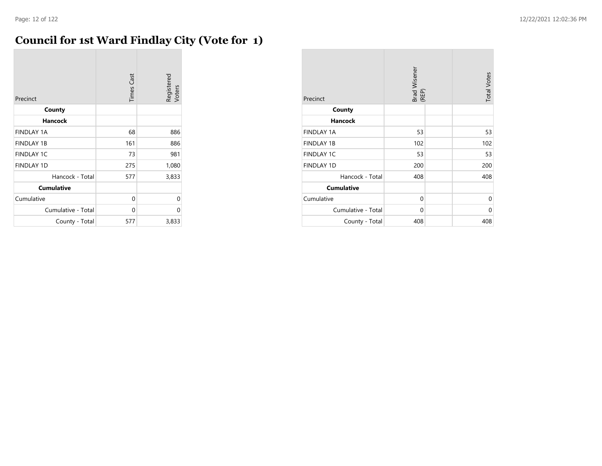## **Council for 1st Ward Findlay City (Vote for 1)**

| Precinct           | <b>Times Cast</b> | Registered<br>Voters |
|--------------------|-------------------|----------------------|
| County             |                   |                      |
| <b>Hancock</b>     |                   |                      |
| <b>FINDLAY 1A</b>  | 68                | 886                  |
| <b>FINDLAY 1B</b>  | 161               | 886                  |
| <b>FINDLAY 1C</b>  | 73                | 981                  |
| <b>FINDLAY 1D</b>  | 275               | 1,080                |
| Hancock - Total    | 577               | 3,833                |
| <b>Cumulative</b>  |                   |                      |
| Cumulative         | 0                 | 0                    |
| Cumulative - Total | 0                 | 0                    |
| County - Total     | 577               | 3,833                |

| Precinct           | Brad Wisener<br>(REP) | <b>Total Votes</b> |
|--------------------|-----------------------|--------------------|
| County             |                       |                    |
| <b>Hancock</b>     |                       |                    |
| <b>FINDLAY 1A</b>  | 53                    | 53                 |
| <b>FINDLAY 1B</b>  | 102                   | 102                |
| <b>FINDLAY 1C</b>  | 53                    | 53                 |
| <b>FINDLAY 1D</b>  | 200                   | 200                |
| Hancock - Total    | 408                   | 408                |
| <b>Cumulative</b>  |                       |                    |
| Cumulative         | $\Omega$              | $\Omega$           |
| Cumulative - Total | 0                     | $\Omega$           |
| County - Total     | 408                   | 408                |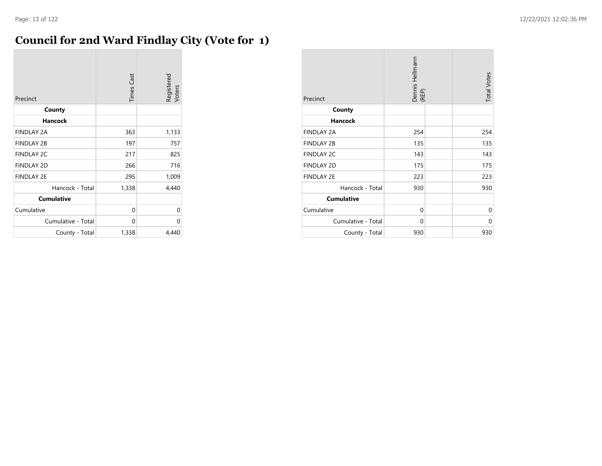## **Council for 2nd Ward Findlay City (Vote for 1)**

| Precinct           | <b>Times Cast</b> | Registered<br>Voters |
|--------------------|-------------------|----------------------|
| County             |                   |                      |
| <b>Hancock</b>     |                   |                      |
| <b>FINDLAY 2A</b>  | 363               | 1,133                |
| <b>FINDLAY 2B</b>  | 197               | 757                  |
| <b>FINDLAY 2C</b>  | 217               | 825                  |
| <b>FINDLAY 2D</b>  | 266               | 716                  |
| <b>FINDLAY 2E</b>  | 295               | 1,009                |
| Hancock - Total    | 1,338             | 4,440                |
| <b>Cumulative</b>  |                   |                      |
| Cumulative         | 0                 | 0                    |
| Cumulative - Total | 0                 | 0                    |
| County - Total     | 1,338             | 4,440                |

| Precinct           | Dennis Hellmann<br>(REP) |  | <b>Total Votes</b> |
|--------------------|--------------------------|--|--------------------|
| County             |                          |  |                    |
| <b>Hancock</b>     |                          |  |                    |
| <b>FINDLAY 2A</b>  | 254                      |  | 254                |
| <b>FINDLAY 2B</b>  | 135                      |  | 135                |
| <b>FINDLAY 2C</b>  | 143                      |  | 143                |
| <b>FINDLAY 2D</b>  | 175                      |  | 175                |
| <b>FINDLAY 2E</b>  | 223                      |  | 223                |
| Hancock - Total    | 930                      |  | 930                |
| <b>Cumulative</b>  |                          |  |                    |
| Cumulative         | 0                        |  | 0                  |
| Cumulative - Total | 0                        |  | 0                  |
| County - Total     | 930                      |  | 930                |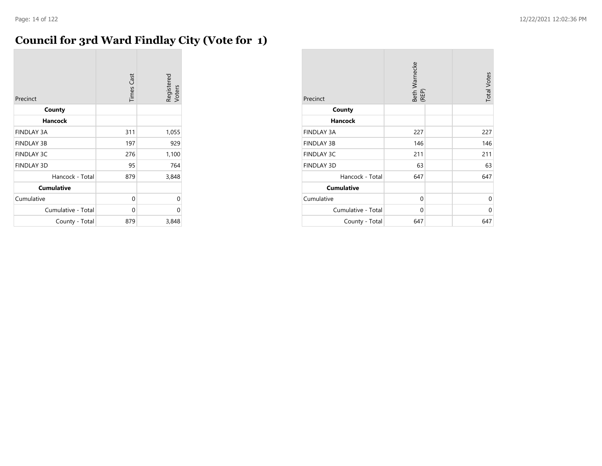#### **Council for 3rd Ward Findlay City (Vote for 1)**

| Precinct           | <b>Times Cast</b> | Registered<br>Voters |
|--------------------|-------------------|----------------------|
| County             |                   |                      |
| <b>Hancock</b>     |                   |                      |
| <b>FINDLAY 3A</b>  | 311               | 1,055                |
| <b>FINDLAY 3B</b>  | 197               | 929                  |
| <b>FINDLAY 3C</b>  | 276               | 1,100                |
| <b>FINDLAY 3D</b>  | 95                | 764                  |
| Hancock - Total    | 879               | 3,848                |
| <b>Cumulative</b>  |                   |                      |
| Cumulative         | 0                 | 0                    |
| Cumulative - Total | 0                 | 0                    |
| County - Total     | 879               | 3,848                |

| Precinct           | Beth Warnecke<br>(REP) | <b>Total Votes</b> |
|--------------------|------------------------|--------------------|
| County             |                        |                    |
| <b>Hancock</b>     |                        |                    |
| FINDLAY 3A         | 227                    | 227                |
| <b>FINDLAY 3B</b>  | 146                    | 146                |
| <b>FINDLAY 3C</b>  | 211                    | 211                |
| <b>FINDLAY 3D</b>  | 63                     | 63                 |
| Hancock - Total    | 647                    | 647                |
| <b>Cumulative</b>  |                        |                    |
| Cumulative         | $\Omega$               | $\Omega$           |
| Cumulative - Total | 0                      | 0                  |
| County - Total     | 647                    | 647                |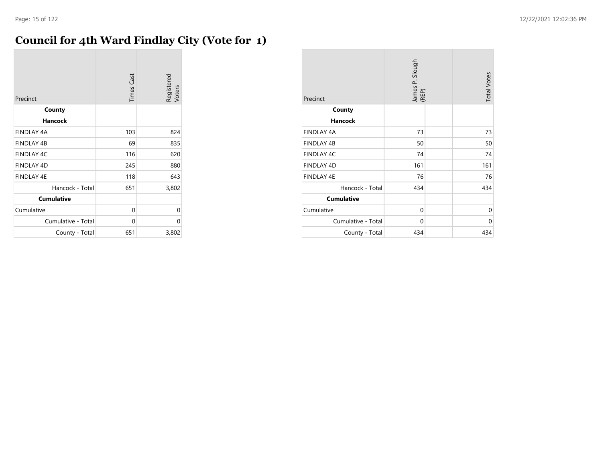## **Council for 4th Ward Findlay City (Vote for 1)**

| Precinct           | <b>Times Cast</b> | Registered<br>Voters |
|--------------------|-------------------|----------------------|
| County             |                   |                      |
| <b>Hancock</b>     |                   |                      |
| <b>FINDLAY 4A</b>  | 103               | 824                  |
| <b>FINDLAY 4B</b>  | 69                | 835                  |
| <b>FINDLAY 4C</b>  | 116               | 620                  |
| <b>FINDLAY 4D</b>  | 245               | 880                  |
| <b>FINDLAY 4E</b>  | 118               | 643                  |
| Hancock - Total    | 651               | 3,802                |
| <b>Cumulative</b>  |                   |                      |
| Cumulative         | 0                 | $\Omega$             |
| Cumulative - Total | 0                 | 0                    |
| County - Total     | 651               | 3,802                |

| Precinct           | James P. Slough<br>(REP) | <b>Total Votes</b> |
|--------------------|--------------------------|--------------------|
| County             |                          |                    |
| <b>Hancock</b>     |                          |                    |
| FINDLAY 4A         | 73                       | 73                 |
| <b>FINDLAY 4B</b>  | 50                       | 50                 |
| FINDLAY 4C         | 74                       | 74                 |
| FINDLAY 4D         | 161                      | 161                |
| <b>FINDLAY 4E</b>  | 76                       | 76                 |
| Hancock - Total    | 434                      | 434                |
| <b>Cumulative</b>  |                          |                    |
| Cumulative         | 0                        | 0                  |
| Cumulative - Total | 0                        | 0                  |
| County - Total     | 434                      | 434                |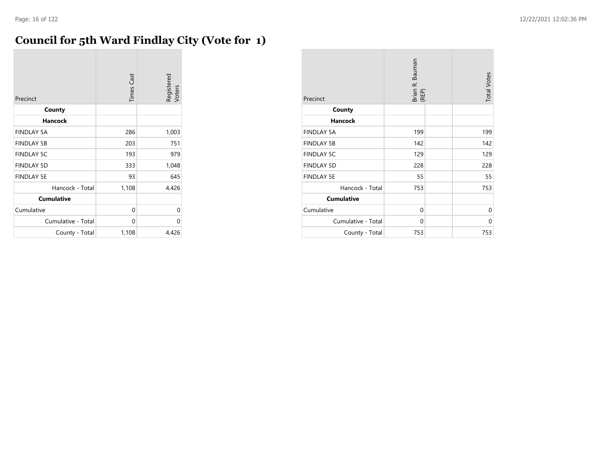## **Council for 5th Ward Findlay City (Vote for 1)**

| Precinct           | <b>Times Cast</b> | Registered<br>Voters |
|--------------------|-------------------|----------------------|
| County             |                   |                      |
| Hancock            |                   |                      |
| <b>FINDLAY 5A</b>  | 286               | 1,003                |
| <b>FINDLAY 5B</b>  | 203               | 751                  |
| <b>FINDLAY 5C</b>  | 193               | 979                  |
| <b>FINDLAY 5D</b>  | 333               | 1,048                |
| <b>FINDLAY 5E</b>  | 93                | 645                  |
| Hancock - Total    | 1,108             | 4,426                |
| <b>Cumulative</b>  |                   |                      |
| Cumulative         | 0                 | 0                    |
| Cumulative - Total | 0                 | 0                    |
| County - Total     | 1,108             | 4,426                |

| Precinct           | Brian R. Bauman<br>(REP) | <b>Total Votes</b> |
|--------------------|--------------------------|--------------------|
| County             |                          |                    |
| <b>Hancock</b>     |                          |                    |
| <b>FINDLAY 5A</b>  | 199                      | 199                |
| <b>FINDLAY 5B</b>  | 142                      | 142                |
| <b>FINDLAY 5C</b>  | 129                      | 129                |
| <b>FINDLAY 5D</b>  | 228                      | 228                |
| <b>FINDLAY 5E</b>  | 55                       | 55                 |
| Hancock - Total    | 753                      | 753                |
| <b>Cumulative</b>  |                          |                    |
| Cumulative         | 0                        | 0                  |
| Cumulative - Total | 0                        | 0                  |
| County - Total     | 753                      | 753                |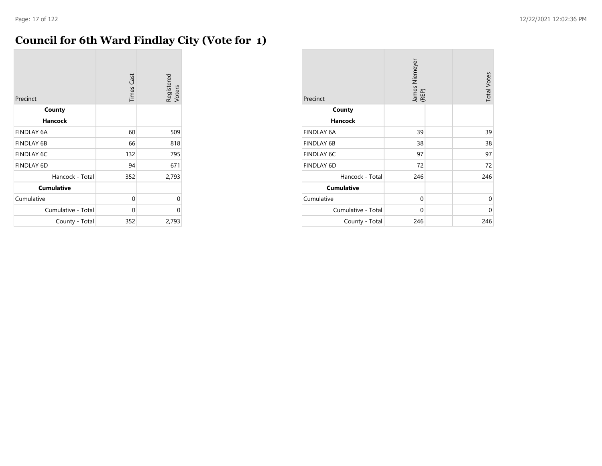## **Council for 6th Ward Findlay City (Vote for 1)**

| Precinct           | <b>Times Cast</b> | Registered<br>Voters |
|--------------------|-------------------|----------------------|
| County             |                   |                      |
| <b>Hancock</b>     |                   |                      |
| <b>FINDLAY 6A</b>  | 60                | 509                  |
| <b>FINDLAY 6B</b>  | 66                | 818                  |
| <b>FINDLAY 6C</b>  | 132               | 795                  |
| <b>FINDLAY 6D</b>  | 94                | 671                  |
| Hancock - Total    | 352               | 2,793                |
| <b>Cumulative</b>  |                   |                      |
| Cumulative         | 0                 | 0                    |
| Cumulative - Total | 0                 | 0                    |
| County - Total     | 352               | 2,793                |

| Precinct           | James Niemeyer<br>(REP) | <b>Total Votes</b> |
|--------------------|-------------------------|--------------------|
| County             |                         |                    |
| <b>Hancock</b>     |                         |                    |
| <b>FINDLAY 6A</b>  | 39                      | 39                 |
| <b>FINDLAY 6B</b>  | 38                      | 38                 |
| FINDLAY 6C         | 97                      | 97                 |
| <b>FINDLAY 6D</b>  | 72                      | 72                 |
| Hancock - Total    | 246                     | 246                |
| <b>Cumulative</b>  |                         |                    |
| Cumulative         | $\Omega$                | $\Omega$           |
| Cumulative - Total | 0                       | $\Omega$           |
| County - Total     | 246                     | 246                |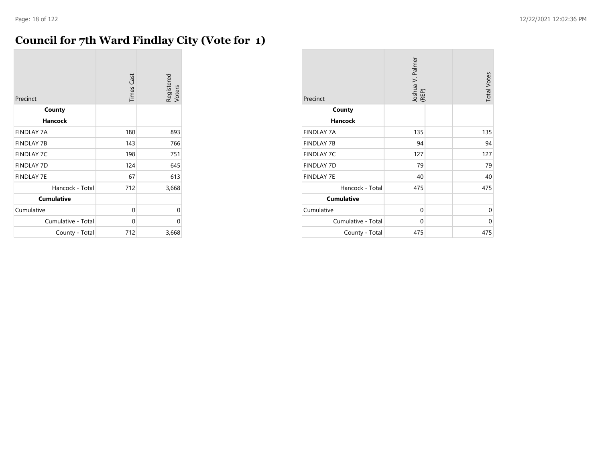#### **Council for 7th Ward Findlay City (Vote for 1)**

| Precinct           | <b>Times Cast</b> | Registered<br>Voters |
|--------------------|-------------------|----------------------|
| County             |                   |                      |
| <b>Hancock</b>     |                   |                      |
| <b>FINDLAY 7A</b>  | 180               | 893                  |
| <b>FINDLAY 7B</b>  | 143               | 766                  |
| <b>FINDLAY 7C</b>  | 198               | 751                  |
| <b>FINDLAY 7D</b>  | 124               | 645                  |
| <b>FINDLAY 7E</b>  | 67                | 613                  |
| Hancock - Total    | 712               | 3,668                |
| <b>Cumulative</b>  |                   |                      |
| Cumulative         | 0                 | 0                    |
| Cumulative - Total | 0                 | 0                    |
| County - Total     | 712               | 3,668                |

| Precinct           | Joshua V. Palmer<br>(REP) | <b>Total Votes</b> |
|--------------------|---------------------------|--------------------|
| County             |                           |                    |
| <b>Hancock</b>     |                           |                    |
| <b>FINDLAY 7A</b>  | 135                       | 135                |
| <b>FINDLAY 7B</b>  | 94                        | 94                 |
| <b>FINDLAY 7C</b>  | 127                       | 127                |
| <b>FINDLAY 7D</b>  | 79                        | 79                 |
| <b>FINDLAY 7E</b>  | 40                        | 40                 |
| Hancock - Total    | 475                       | 475                |
| <b>Cumulative</b>  |                           |                    |
| Cumulative         | 0                         | 0                  |
| Cumulative - Total | 0                         | 0                  |
| County - Total     | 475                       | 475                |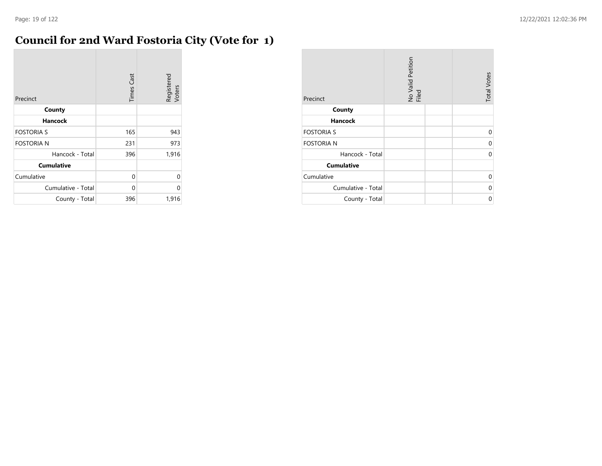÷

## **Council for 2nd Ward Fostoria City (Vote for 1)**

| Precinct           | <b>Times Cast</b> | Registered<br>Voters |
|--------------------|-------------------|----------------------|
| County             |                   |                      |
| <b>Hancock</b>     |                   |                      |
| <b>FOSTORIA S</b>  | 165               | 943                  |
| <b>FOSTORIA N</b>  | 231               | 973                  |
| Hancock - Total    | 396               | 1,916                |
| <b>Cumulative</b>  |                   |                      |
| Cumulative         | 0                 | 0                    |
| Cumulative - Total | $\Omega$          | 0                    |
| County - Total     | 396               | 1,916                |

| Precinct           | No Valid Petition<br>Filed | <b>Total Votes</b> |
|--------------------|----------------------------|--------------------|
| County             |                            |                    |
| <b>Hancock</b>     |                            |                    |
| <b>FOSTORIA S</b>  |                            | 0                  |
| <b>FOSTORIA N</b>  |                            | 0                  |
| Hancock - Total    |                            | $\Omega$           |
| <b>Cumulative</b>  |                            |                    |
| Cumulative         |                            | 0                  |
| Cumulative - Total |                            | $\Omega$           |
| County - Total     |                            | U                  |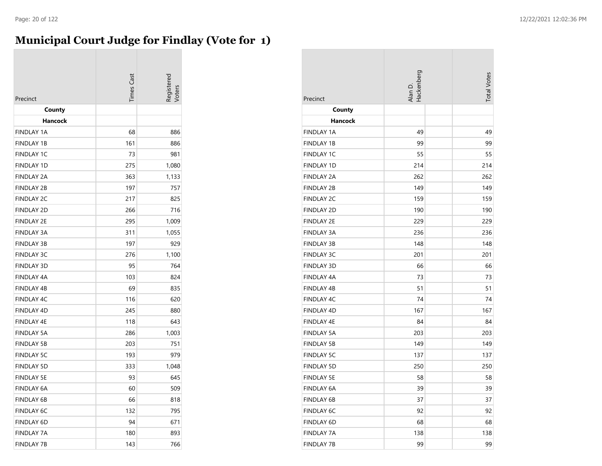#### **Municipal Court Judge for Findlay (Vote for 1)**

| Precinct          | <b>Times Cast</b> | egistered<br><b>loter</b> |
|-------------------|-------------------|---------------------------|
| County            |                   |                           |
| Hancock           |                   |                           |
| <b>FINDLAY 1A</b> | 68                | 886                       |
| <b>FINDLAY 1B</b> | 161               | 886                       |
| <b>FINDLAY 1C</b> | 73                | 981                       |
| <b>FINDLAY 1D</b> | 275               | 1,080                     |
| FINDLAY 2A        | 363               | 1,133                     |
| <b>FINDLAY 2B</b> | 197               | 757                       |
| <b>FINDLAY 2C</b> | 217               | 825                       |
| <b>FINDLAY 2D</b> | 266               | 716                       |
| <b>FINDLAY 2E</b> | 295               | 1,009                     |
| <b>FINDLAY 3A</b> | 311               | 1,055                     |
| <b>FINDLAY 3B</b> | 197               | 929                       |
| <b>FINDLAY 3C</b> | 276               | 1,100                     |
| <b>FINDLAY 3D</b> | 95                | 764                       |
| <b>FINDLAY 4A</b> | 103               | 824                       |
| <b>FINDLAY 4B</b> | 69                | 835                       |
| <b>FINDLAY 4C</b> | 116               | 620                       |
| <b>FINDLAY 4D</b> | 245               | 880                       |
| <b>FINDLAY 4E</b> | 118               | 643                       |
| <b>FINDLAY 5A</b> | 286               | 1,003                     |
| FINDLAY 5B        | 203               | 751                       |
| <b>FINDLAY 5C</b> | 193               | 979                       |
| <b>FINDLAY 5D</b> | 333               | 1,048                     |
| FINDLAY 5E        | 93                | 645                       |
| <b>FINDLAY 6A</b> | 60                | 509                       |
| FINDLAY 6B        | 66                | 818                       |
| <b>FINDLAY 6C</b> | 132               | 795                       |
| FINDLAY 6D        | 94                | 671                       |
| <b>FINDLAY 7A</b> | 180               | 893                       |
| <b>FINDLAY 7B</b> | 143               | 766                       |

| Precinct          | Alan D.<br>Hackenberg | <b>Total Votes</b> |
|-------------------|-----------------------|--------------------|
| County            |                       |                    |
| Hancock           |                       |                    |
| <b>FINDLAY 1A</b> | 49                    | 49                 |
| <b>FINDLAY 1B</b> | 99                    | 99                 |
| <b>FINDLAY 1C</b> | 55                    | 55                 |
| <b>FINDLAY 1D</b> | 214                   | 214                |
| <b>FINDLAY 2A</b> | 262                   | 262                |
| <b>FINDLAY 2B</b> | 149                   | 149                |
| <b>FINDLAY 2C</b> | 159                   | 159                |
| <b>FINDLAY 2D</b> | 190                   | 190                |
| <b>FINDLAY 2E</b> | 229                   | 229                |
| <b>FINDLAY 3A</b> | 236                   | 236                |
| <b>FINDLAY 3B</b> | 148                   | 148                |
| <b>FINDLAY 3C</b> | 201                   | 201                |
| <b>FINDLAY 3D</b> | 66                    | 66                 |
| <b>FINDLAY 4A</b> | 73                    | 73                 |
| <b>FINDLAY 4B</b> | 51                    | 51                 |
| FINDLAY 4C        | 74                    | 74                 |
| <b>FINDLAY 4D</b> | 167                   | 167                |
| FINDLAY 4E        | 84                    | 84                 |
| <b>FINDLAY 5A</b> | 203                   | 203                |
| <b>FINDLAY 5B</b> | 149                   | 149                |
| <b>FINDLAY 5C</b> | 137                   | 137                |
| <b>FINDLAY 5D</b> | 250                   | 250                |
| <b>FINDLAY 5E</b> | 58                    | 58                 |
| <b>FINDLAY 6A</b> | 39                    | 39                 |
| <b>FINDLAY 6B</b> | 37                    | 37                 |
| <b>FINDLAY 6C</b> | 92                    | 92                 |
| <b>FINDLAY 6D</b> | 68                    | 68                 |
| <b>FINDLAY 7A</b> | 138                   | 138                |
| <b>FINDLAY 7B</b> | 99                    | 99                 |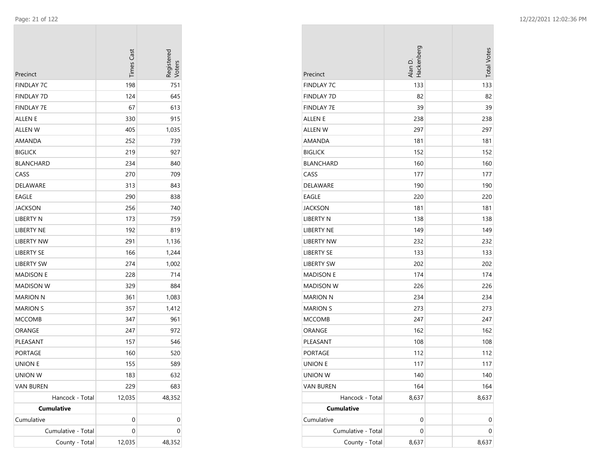| Precinct           | <b>Times Cast</b> | Registered<br>/oters |
|--------------------|-------------------|----------------------|
| <b>FINDLAY 7C</b>  | 198               | 751                  |
| <b>FINDLAY 7D</b>  | 124               | 645                  |
| <b>FINDLAY 7E</b>  | 67                | 613                  |
| <b>ALLEN E</b>     | 330               | 915                  |
| <b>ALLEN W</b>     | 405               | 1,035                |
| AMANDA             | 252               | 739                  |
| <b>BIGLICK</b>     | 219               | 927                  |
| BLANCHARD          | 234               | 840                  |
| CASS               | 270               | 709                  |
| <b>DELAWARE</b>    | 313               | 843                  |
| EAGLE              | 290               | 838                  |
| <b>JACKSON</b>     | 256               | 740                  |
| LIBERTY N          | 173               | 759                  |
| <b>LIBERTY NE</b>  | 192               | 819                  |
| <b>LIBERTY NW</b>  | 291               | 1,136                |
| <b>LIBERTY SE</b>  | 166               | 1,244                |
| LIBERTY SW         | 274               | 1,002                |
| <b>MADISON E</b>   | 228               | 714                  |
| <b>MADISON W</b>   | 329               | 884                  |
| <b>MARION N</b>    | 361               | 1,083                |
| <b>MARION S</b>    | 357               | 1,412                |
| <b>MCCOMB</b>      | 347               | 961                  |
| ORANGE             | 247               | 972                  |
| PLEASANT           | 157               | 546                  |
| <b>PORTAGE</b>     | 160               | 520                  |
| UNION E            | 155               | 589                  |
| UNION W            | 183               | 632                  |
| <b>VAN BUREN</b>   | 229               | 683                  |
| Hancock - Total    | 12,035            | 48,352               |
| <b>Cumulative</b>  |                   |                      |
| Cumulative         | 0                 | 0                    |
| Cumulative - Total | 0                 | 0                    |
| County - Total     | 12,035            | 48,352               |

| Precinct           | Hackenberg<br>Alan D. | <b>Total Votes</b> |
|--------------------|-----------------------|--------------------|
| <b>FINDLAY 7C</b>  | 133                   | 133                |
| <b>FINDLAY 7D</b>  | 82                    | 82                 |
| <b>FINDLAY 7E</b>  | 39                    | 39                 |
| ALLEN E            | 238                   | 238                |
| <b>ALLEN W</b>     | 297                   | 297                |
| <b>AMANDA</b>      | 181                   | 181                |
| <b>BIGLICK</b>     | 152                   | 152                |
| <b>BLANCHARD</b>   | 160                   | 160                |
| CASS               | 177                   | 177                |
| <b>DELAWARE</b>    | 190                   | 190                |
| EAGLE              | 220                   | 220                |
| JACKSON            | 181                   | 181                |
| <b>LIBERTY N</b>   | 138                   | 138                |
| <b>LIBERTY NE</b>  | 149                   | 149                |
| <b>LIBERTY NW</b>  | 232                   | 232                |
| <b>LIBERTY SE</b>  | 133                   | 133                |
| <b>LIBERTY SW</b>  | 202                   | 202                |
| <b>MADISON E</b>   | 174                   | 174                |
| <b>MADISON W</b>   | 226                   | 226                |
| <b>MARION N</b>    | 234                   | 234                |
| <b>MARION S</b>    | 273                   | 273                |
| <b>MCCOMB</b>      | 247                   | 247                |
| ORANGE             | 162                   | 162                |
| PLEASANT           | 108                   | 108                |
| PORTAGE            | 112                   | 112                |
| UNION E            | 117                   | 117                |
| <b>UNION W</b>     | 140                   | 140                |
| <b>VAN BUREN</b>   | 164                   | 164                |
| Hancock - Total    | 8,637                 | 8,637              |
| <b>Cumulative</b>  |                       |                    |
| Cumulative         | 0                     | 0                  |
| Cumulative - Total | 0                     | 0                  |
| County - Total     | 8,637                 | 8,637              |

п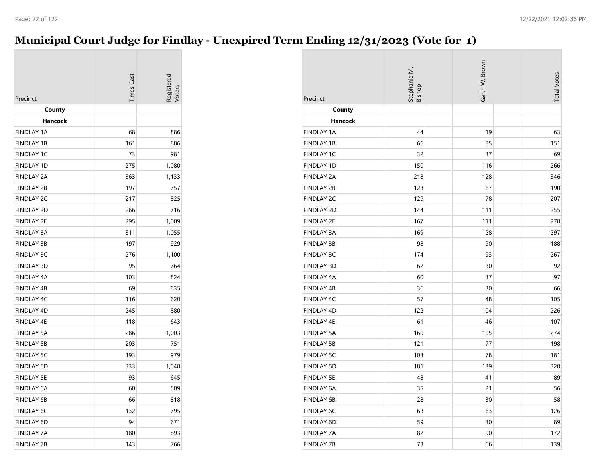# **Municipal Court Judge for Findlay - Unexpired Term Ending 12/31/2023 (Vote for 1)**

| Precinct          | <b>Times Cas</b> | Registered |
|-------------------|------------------|------------|
| County            |                  |            |
| Hancock           |                  |            |
| <b>FINDLAY 1A</b> | 68               | 886        |
| <b>FINDLAY 1B</b> | 161              | 886        |
| <b>FINDLAY 1C</b> | 73               | 981        |
| <b>FINDLAY 1D</b> | 275              | 1,080      |
| <b>FINDLAY 2A</b> | 363              | 1,133      |
| <b>FINDLAY 2B</b> | 197              | 757        |
| <b>FINDLAY 2C</b> | 217              | 825        |
| <b>FINDLAY 2D</b> | 266              | 716        |
| <b>FINDLAY 2E</b> | 295              | 1,009      |
| <b>FINDLAY 3A</b> | 311              | 1,055      |
| <b>FINDLAY 3B</b> | 197              | 929        |
| <b>FINDLAY 3C</b> | 276              | 1,100      |
| <b>FINDLAY 3D</b> | 95               | 764        |
| <b>FINDLAY 4A</b> | 103              | 824        |
| <b>FINDLAY 4B</b> | 69               | 835        |
| <b>FINDLAY 4C</b> | 116              | 620        |
| <b>FINDLAY 4D</b> | 245              | 880        |
| FINDLAY 4E        | 118              | 643        |
| <b>FINDLAY 5A</b> | 286              | 1,003      |
| <b>FINDLAY 5B</b> | 203              | 751        |
| <b>FINDLAY 5C</b> | 193              | 979        |
| <b>FINDLAY 5D</b> | 333              | 1,048      |
| <b>FINDLAY 5E</b> | 93               | 645        |
| <b>FINDLAY 6A</b> | 60               | 509        |
| <b>FINDLAY 6B</b> | 66               | 818        |
| <b>FINDLAY 6C</b> | 132              | 795        |
| FINDLAY 6D        | 94               | 671        |
| <b>FINDLAY 7A</b> | 180              | 893        |
| <b>FINDLAY 7B</b> | 143              | 766        |

| Precinct          | Stephanie M.<br>Bishop | Garth W. Brown | <b>Total Votes</b> |
|-------------------|------------------------|----------------|--------------------|
| County            |                        |                |                    |
| Hancock           |                        |                |                    |
| <b>FINDLAY 1A</b> | 44                     | 19             | 63                 |
| <b>FINDLAY 1B</b> | 66                     | 85             | 151                |
| FINDLAY 1C        | 32                     | 37             | 69                 |
| <b>FINDLAY 1D</b> | 150                    | 116            | 266                |
| <b>FINDLAY 2A</b> | 218                    | 128            | 346                |
| <b>FINDLAY 2B</b> | 123                    | 67             | 190                |
| <b>FINDLAY 2C</b> | 129                    | 78             | 207                |
| <b>FINDLAY 2D</b> | 144                    | 111            | 255                |
| <b>FINDLAY 2E</b> | 167                    | 111            | 278                |
| <b>FINDLAY 3A</b> | 169                    | 128            | 297                |
| <b>FINDLAY 3B</b> | 98                     | 90             | 188                |
| <b>FINDLAY 3C</b> | 174                    | 93             | 267                |
| FINDLAY 3D        | 62                     | 30             | 92                 |
| FINDLAY 4A        | 60                     | 37             | 97                 |
| FINDLAY 4B        | 36                     | 30             | 66                 |
| FINDLAY 4C        | 57                     | 48             | 105                |
| <b>FINDLAY 4D</b> | 122                    | 104            | 226                |
| FINDLAY 4E        | 61                     | 46             | 107                |
| <b>FINDLAY 5A</b> | 169                    | 105            | 274                |
| <b>FINDLAY 5B</b> | 121                    | 77             | 198                |
| <b>FINDLAY 5C</b> | 103                    | 78             | 181                |
| <b>FINDLAY 5D</b> | 181                    | 139            | 320                |
| <b>FINDLAY 5E</b> | 48                     | 41             | 89                 |
| <b>FINDLAY 6A</b> | 35                     | 21             | 56                 |
| <b>FINDLAY 6B</b> | 28                     | 30             | 58                 |
| <b>FINDLAY 6C</b> | 63                     | 63             | 126                |
| FINDLAY 6D        | 59                     | 30             | 89                 |
| FINDLAY 7A        | 82                     | 90             | 172                |
| <b>FINDLAY 7B</b> | 73                     | 66             | 139                |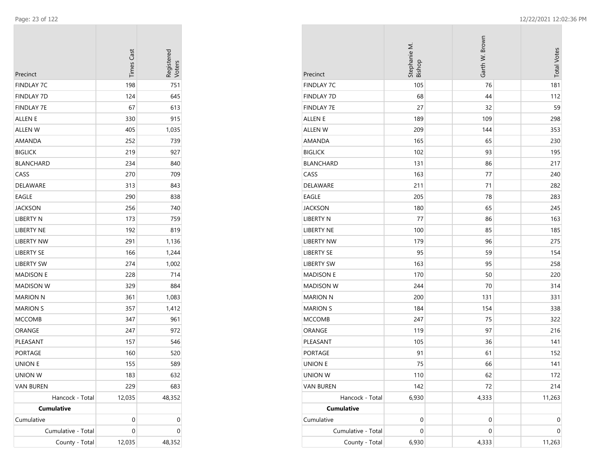| Precinct           | <b>Times Cast</b> | Registered<br>Voters |
|--------------------|-------------------|----------------------|
| <b>FINDLAY 7C</b>  | 198               | 751                  |
| <b>FINDLAY 7D</b>  | 124               | 645                  |
| <b>FINDLAY 7E</b>  | 67                | 613                  |
| <b>ALLEN E</b>     | 330               | 915                  |
| <b>ALLEN W</b>     | 405               | 1,035                |
| AMANDA             | 252               | 739                  |
| <b>BIGLICK</b>     | 219               | 927                  |
| <b>BLANCHARD</b>   | 234               | 840                  |
| CASS               | 270               | 709                  |
| DELAWARE           | 313               | 843                  |
| EAGLE              | 290               | 838                  |
| <b>JACKSON</b>     | 256               | 740                  |
| LIBERTY N          | 173               | 759                  |
| <b>LIBERTY NE</b>  | 192               | 819                  |
| <b>LIBERTY NW</b>  | 291               | 1,136                |
| <b>LIBERTY SE</b>  | 166               | 1,244                |
| LIBERTY SW         | 274               | 1,002                |
| <b>MADISON E</b>   | 228               | 714                  |
| <b>MADISON W</b>   | 329               | 884                  |
| <b>MARION N</b>    | 361               | 1,083                |
| <b>MARION S</b>    | 357               | 1,412                |
| <b>MCCOMB</b>      | 347               | 961                  |
| ORANGE             | 247               | 972                  |
| PLEASANT           | 157               | 546                  |
| PORTAGE            | 160               | 520                  |
| UNION E            | 155               | 589                  |
| UNION W            | 183               | 632                  |
| <b>VAN BUREN</b>   | 229               | 683                  |
| Hancock - Total    | 12,035            | 48,352               |
| <b>Cumulative</b>  |                   |                      |
| Cumulative         | 0                 | 0                    |
| Cumulative - Total | 0                 | 0                    |
| County - Total     | 12,035            | 48,352               |

| Precinct           | Stephanie M.<br>Bishop | Garth W. Brown | <b>Total Votes</b> |
|--------------------|------------------------|----------------|--------------------|
| <b>FINDLAY 7C</b>  | 105                    | 76             | 181                |
| <b>FINDLAY 7D</b>  | 68                     | 44             | 112                |
| <b>FINDLAY 7E</b>  | 27                     | 32             | 59                 |
| ALLEN E            | 189                    | 109            | 298                |
| <b>ALLEN W</b>     | 209                    | 144            | 353                |
| AMANDA             | 165                    | 65             | 230                |
| <b>BIGLICK</b>     | 102                    | 93             | 195                |
| <b>BLANCHARD</b>   | 131                    | 86             | 217                |
| CASS               | 163                    | 77             | 240                |
| DELAWARE           | 211                    | 71             | 282                |
| EAGLE              | 205                    | 78             | 283                |
| <b>JACKSON</b>     | 180                    | 65             | 245                |
| LIBERTY N          | 77                     | 86             | 163                |
| <b>LIBERTY NE</b>  | 100                    | 85             | 185                |
| <b>LIBERTY NW</b>  | 179                    | 96             | 275                |
| <b>LIBERTY SE</b>  | 95                     | 59             | 154                |
| <b>LIBERTY SW</b>  | 163                    | 95             | 258                |
| <b>MADISON E</b>   | 170                    | 50             | 220                |
| <b>MADISON W</b>   | 244                    | 70             | 314                |
| <b>MARION N</b>    | 200                    | 131            | 331                |
| <b>MARION S</b>    | 184                    | 154            | 338                |
| <b>MCCOMB</b>      | 247                    | 75             | 322                |
| ORANGE             | 119                    | 97             | 216                |
| PLEASANT           | 105                    | 36             | 141                |
| <b>PORTAGE</b>     | 91                     | 61             | 152                |
| <b>UNION E</b>     | 75                     | 66             | 141                |
| UNION W            | 110                    | 62             | 172                |
| <b>VAN BUREN</b>   | 142                    | 72             | 214                |
| Hancock - Total    | 6,930                  | 4,333          | 11,263             |
| <b>Cumulative</b>  |                        |                |                    |
| Cumulative         | 0                      | 0              | 0                  |
| Cumulative - Total | 0                      | 0              | 0                  |
| County - Total     | 6,930                  | 4,333          | 11,263             |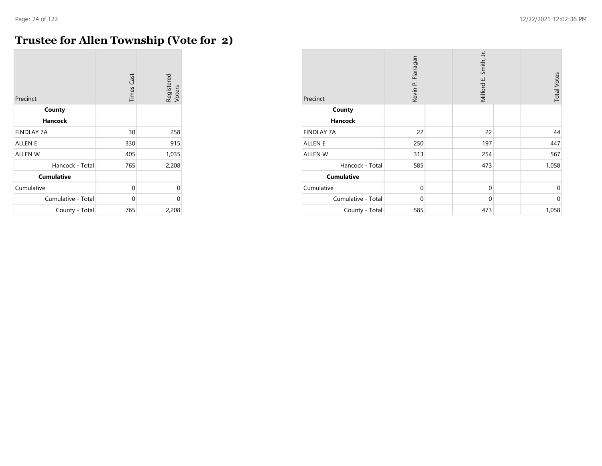#### **Trustee for Allen Township (Vote for 2)**

| Precinct           | <b>Times Cast</b> | Registered<br>Voters |
|--------------------|-------------------|----------------------|
| County             |                   |                      |
| <b>Hancock</b>     |                   |                      |
| <b>FINDLAY 7A</b>  | 30                | 258                  |
| <b>ALLEN E</b>     | 330               | 915                  |
| <b>ALLEN W</b>     | 405               | 1,035                |
| Hancock - Total    | 765               | 2,208                |
| <b>Cumulative</b>  |                   |                      |
| Cumulative         | 0                 | 0                    |
| Cumulative - Total | 0                 | 0                    |
| County - Total     | 765               | 2,208                |

| Precinct           | Kevin P. Flanagan | Milford E. Smith, Jr. | <b>Total Votes</b> |
|--------------------|-------------------|-----------------------|--------------------|
| County             |                   |                       |                    |
| <b>Hancock</b>     |                   |                       |                    |
| <b>FINDLAY 7A</b>  | 22                | 22                    | 44                 |
| <b>ALLEN E</b>     | 250               | 197                   | 447                |
| ALLEN W            | 313               | 254                   | 567                |
| Hancock - Total    | 585               | 473                   | 1,058              |
| <b>Cumulative</b>  |                   |                       |                    |
| Cumulative         | $\mathbf 0$       | $\mathbf 0$           | $\Omega$           |
| Cumulative - Total | $\mathbf{0}$      | $\mathbf 0$           | $\Omega$           |
| County - Total     | 585               | 473                   | 1,058              |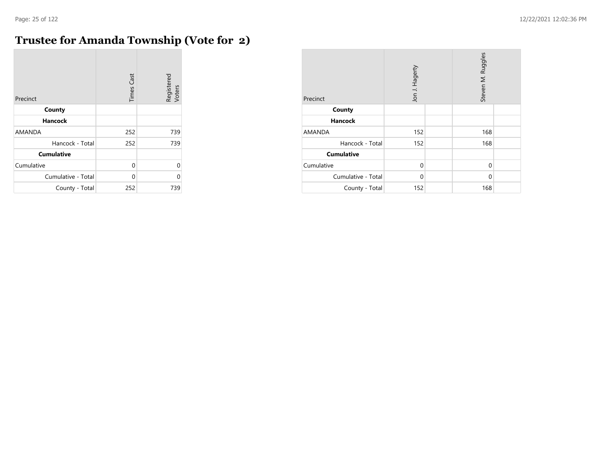$\overline{\phantom{a}}$ 

## **Trustee for Amanda Township (Vote for 2)**

| Precinct           | <b>Times Cast</b> | Registered<br>Voters |
|--------------------|-------------------|----------------------|
| County             |                   |                      |
| <b>Hancock</b>     |                   |                      |
| <b>AMANDA</b>      | 252               | 739                  |
| Hancock - Total    | 252               | 739                  |
| <b>Cumulative</b>  |                   |                      |
| Cumulative         | 0                 | $\Omega$             |
| Cumulative - Total | 0                 | 0                    |
| County - Total     | 252               | 739                  |

| Precinct           | Jon J. Hagerty | Steven M. Ruggles |  |
|--------------------|----------------|-------------------|--|
| County             |                |                   |  |
| <b>Hancock</b>     |                |                   |  |
| AMANDA             | 152            | 168               |  |
| Hancock - Total    | 152            | 168               |  |
| <b>Cumulative</b>  |                |                   |  |
| Cumulative         | $\Omega$       | $\mathbf 0$       |  |
| Cumulative - Total | $\Omega$       | $\Omega$          |  |
| County - Total     | 152            | 168               |  |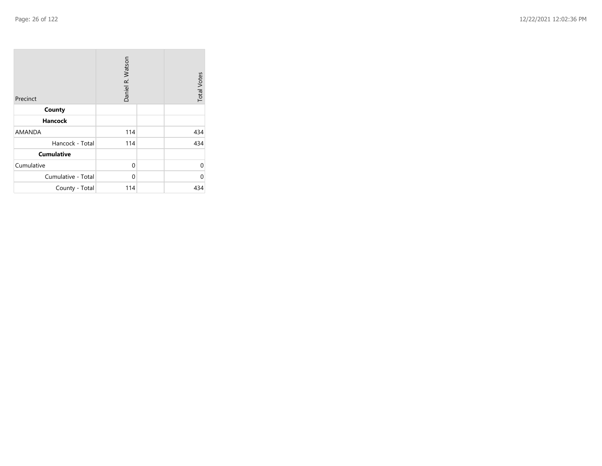| Precinct           | Daniel R. Watson |  | <b>Total Votes</b> |
|--------------------|------------------|--|--------------------|
| County             |                  |  |                    |
| <b>Hancock</b>     |                  |  |                    |
| <b>AMANDA</b>      | 114              |  | 434                |
| Hancock - Total    | 114              |  | 434                |
| <b>Cumulative</b>  |                  |  |                    |
| Cumulative         | 0                |  | 0                  |
| Cumulative - Total | 0                |  | 0                  |
| County - Total     | 114              |  | 434                |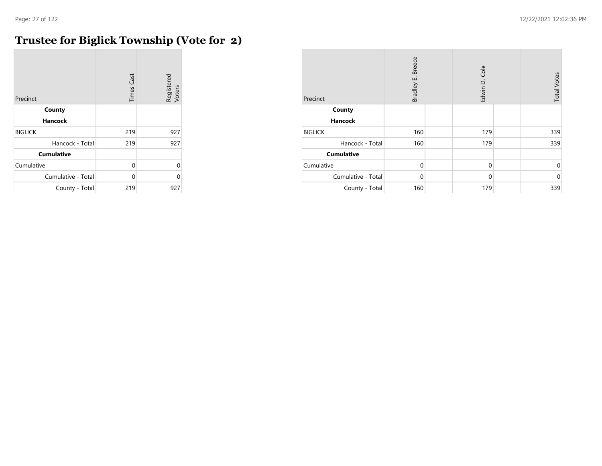## **Trustee for Biglick Township (Vote for 2)**

| Precinct           | <b>Times Cast</b> | Registered<br>Voters |
|--------------------|-------------------|----------------------|
| County             |                   |                      |
| Hancock            |                   |                      |
| <b>BIGLICK</b>     | 219               | 927                  |
| Hancock - Total    | 219               | 927                  |
| <b>Cumulative</b>  |                   |                      |
| Cumulative         | 0                 | $\Omega$             |
| Cumulative - Total | 0                 | 0                    |
| County - Total     | 219               | 927                  |

| Precinct           | <b>Breece</b><br>Bradley E. | Edwin D. Cole | <b>Total Votes</b> |
|--------------------|-----------------------------|---------------|--------------------|
| County             |                             |               |                    |
| Hancock            |                             |               |                    |
| <b>BIGLICK</b>     | 160                         | 179           | 339                |
| Hancock - Total    | 160                         | 179           | 339                |
| <b>Cumulative</b>  |                             |               |                    |
| Cumulative         | $\Omega$                    | $\mathbf{0}$  | $\mathbf 0$        |
| Cumulative - Total | $\mathbf 0$                 | $\mathbf{0}$  | $\mathbf{0}$       |
| County - Total     | 160                         | 179           | 339                |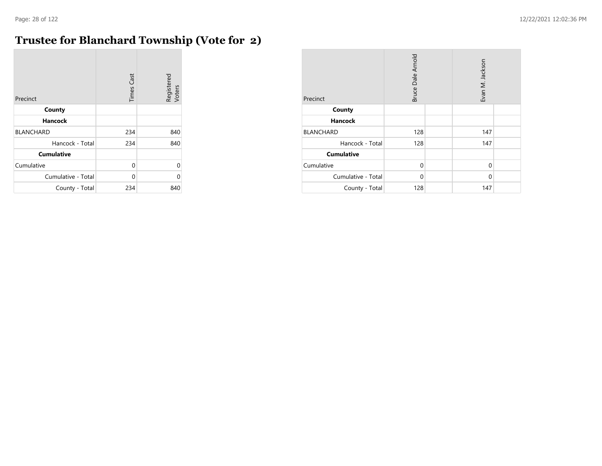$\sim$ 

# **Trustee for Blanchard Township (Vote for 2)**

| Precinct           | <b>Times Cast</b> | Registered<br>Voters |
|--------------------|-------------------|----------------------|
| County             |                   |                      |
| <b>Hancock</b>     |                   |                      |
| <b>BLANCHARD</b>   | 234               | 840                  |
| Hancock - Total    | 234               | 840                  |
| <b>Cumulative</b>  |                   |                      |
| Cumulative         | 0                 | $\Omega$             |
| Cumulative - Total | U                 | C                    |
| County - Total     | 234               | 840                  |

| Precinct           | <b>Bruce Dale Arnold</b> |  | Evan M. Jackson |  |
|--------------------|--------------------------|--|-----------------|--|
| County             |                          |  |                 |  |
| <b>Hancock</b>     |                          |  |                 |  |
| <b>BLANCHARD</b>   | 128                      |  | 147             |  |
| Hancock - Total    | 128                      |  | 147             |  |
| <b>Cumulative</b>  |                          |  |                 |  |
| Cumulative         | $\Omega$                 |  | $\Omega$        |  |
| Cumulative - Total | $\Omega$                 |  | $\Omega$        |  |
| County - Total     | 128                      |  | 147             |  |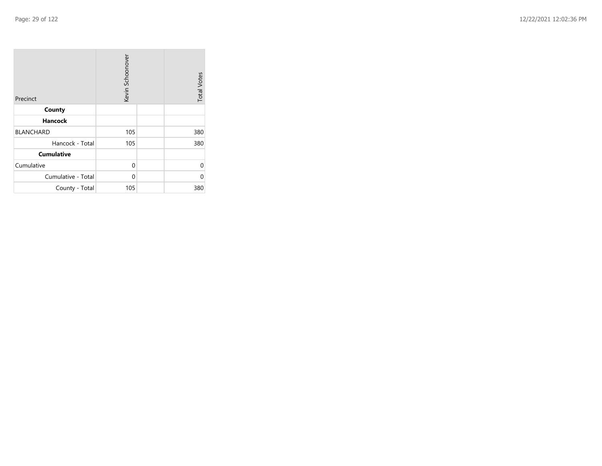| Precinct           | Kevin Schoonover | <b>Total Votes</b> |     |
|--------------------|------------------|--------------------|-----|
| County             |                  |                    |     |
| <b>Hancock</b>     |                  |                    |     |
| <b>BLANCHARD</b>   | 105              |                    | 380 |
| Hancock - Total    | 105              |                    | 380 |
| <b>Cumulative</b>  |                  |                    |     |
| Cumulative         | 0                |                    | 0   |
| Cumulative - Total | 0                |                    | U   |
| County - Total     | 105              |                    | 380 |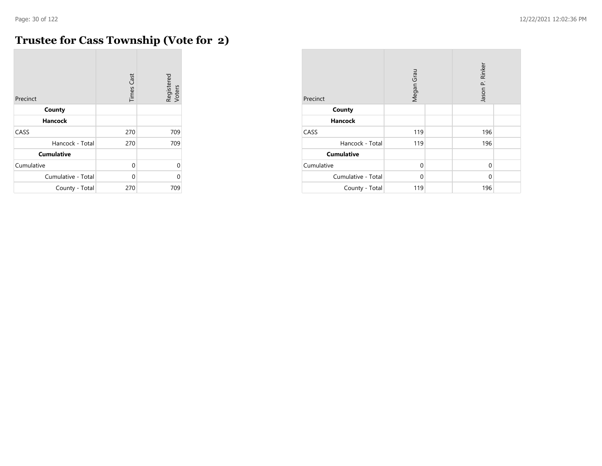$\overline{\phantom{a}}$ 

## **Trustee for Cass Township (Vote for 2)**

| Precinct           | <b>Times Cast</b> | Registered<br>Voters |
|--------------------|-------------------|----------------------|
| County             |                   |                      |
| <b>Hancock</b>     |                   |                      |
| CASS               | 270               | 709                  |
| Hancock - Total    | 270               | 709                  |
| <b>Cumulative</b>  |                   |                      |
| Cumulative         | $\Omega$          | $\Omega$             |
| Cumulative - Total | 0                 | 0                    |
| County - Total     | 270               | 709                  |

| Precinct           | Megan Grau  |  | Jason P. Rinker |  |
|--------------------|-------------|--|-----------------|--|
| County             |             |  |                 |  |
| <b>Hancock</b>     |             |  |                 |  |
| CASS               | 119         |  | 196             |  |
| Hancock - Total    | 119         |  | 196             |  |
| <b>Cumulative</b>  |             |  |                 |  |
| Cumulative         | $\mathbf 0$ |  | $\mathbf 0$     |  |
| Cumulative - Total | $\Omega$    |  | $\Omega$        |  |
| County - Total     | 119         |  | 196             |  |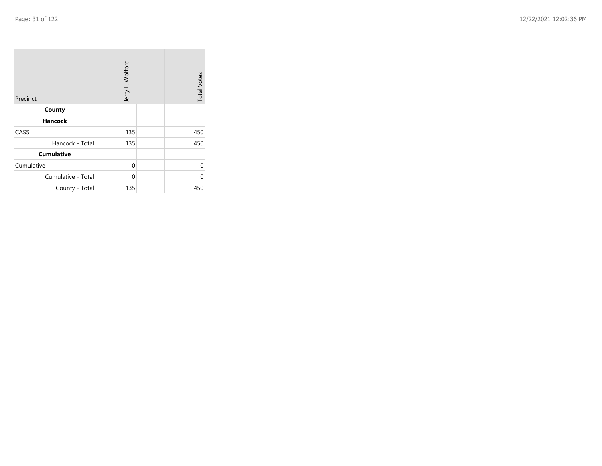| Precinct           | Jerry L. Wolford | <b>Total Votes</b> |     |
|--------------------|------------------|--------------------|-----|
| County             |                  |                    |     |
| <b>Hancock</b>     |                  |                    |     |
| CASS               | 135              |                    | 450 |
| Hancock - Total    | 135              |                    | 450 |
| <b>Cumulative</b>  |                  |                    |     |
| Cumulative         | 0                |                    | 0   |
| Cumulative - Total | 0                |                    | 0   |
| County - Total     | 135              |                    | 450 |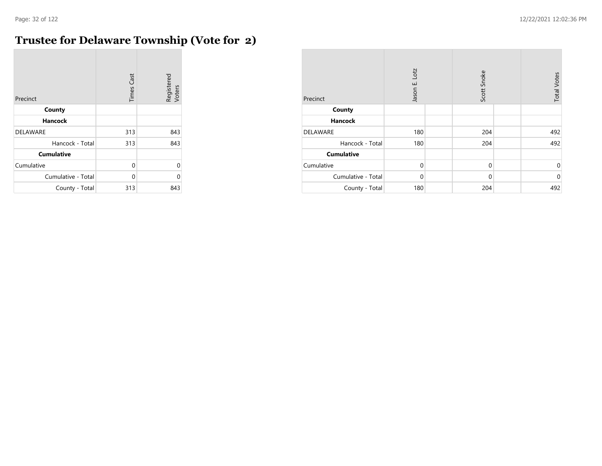m.

## **Trustee for Delaware Township (Vote for 2)**

| Precinct           | <b>Times Cast</b> | Registered<br>Voters |
|--------------------|-------------------|----------------------|
| County             |                   |                      |
| <b>Hancock</b>     |                   |                      |
| <b>DELAWARE</b>    | 313               | 843                  |
| Hancock - Total    | 313               | 843                  |
| <b>Cumulative</b>  |                   |                      |
| Cumulative         | 0                 | $\Omega$             |
| Cumulative - Total | 0                 | 0                    |
| County - Total     | 313               | 843                  |

| Precinct           | Lotz<br>Jason E. | Scott Snoke | <b>Total Votes</b> |
|--------------------|------------------|-------------|--------------------|
| County             |                  |             |                    |
| <b>Hancock</b>     |                  |             |                    |
| DELAWARE           | 180              | 204         | 492                |
| Hancock - Total    | 180              | 204         | 492                |
| <b>Cumulative</b>  |                  |             |                    |
| Cumulative         | $\mathbf 0$      | $\mathbf 0$ | $\mathbf 0$        |
| Cumulative - Total | $\mathbf 0$      | $\mathbf 0$ | $\mathbf{0}$       |
| County - Total     | 180              | 204         | 492                |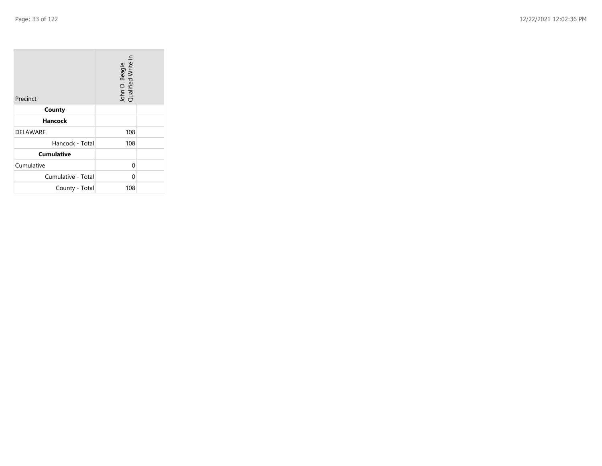| Precinct           | John D. Beagle<br>Qualified Write In |  |
|--------------------|--------------------------------------|--|
| County             |                                      |  |
| Hancock            |                                      |  |
| <b>DELAWARE</b>    | 108                                  |  |
| Hancock - Total    | 108                                  |  |
| <b>Cumulative</b>  |                                      |  |
| Cumulative         | 0                                    |  |
| Cumulative - Total | 0                                    |  |
| County - Total     | 108                                  |  |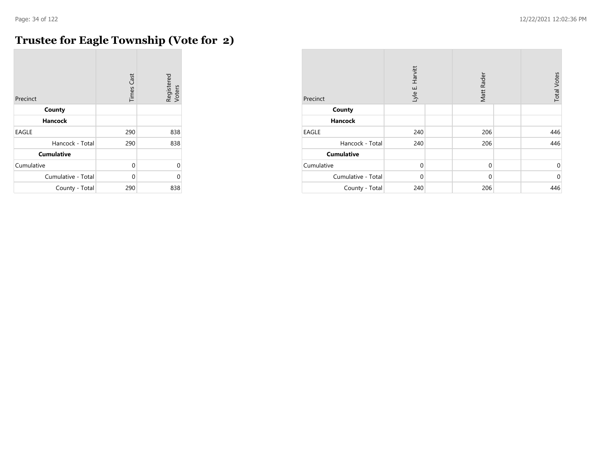$\overline{\phantom{a}}$ 

## **Trustee for Eagle Township (Vote for 2)**

| Precinct           | <b>Times Cast</b> | Registered<br>Voters |
|--------------------|-------------------|----------------------|
| County             |                   |                      |
| <b>Hancock</b>     |                   |                      |
| <b>EAGLE</b>       | 290               | 838                  |
| Hancock - Total    | 290               | 838                  |
| <b>Cumulative</b>  |                   |                      |
| Cumulative         | $\Omega$          | $\Omega$             |
| Cumulative - Total | 0                 | $\Omega$             |
| County - Total     | 290               | 838                  |

| Precinct           | Harvitt<br>Lyle E. |  | Matt Rader  |  | <b>Total Votes</b> |
|--------------------|--------------------|--|-------------|--|--------------------|
| County             |                    |  |             |  |                    |
| <b>Hancock</b>     |                    |  |             |  |                    |
| <b>EAGLE</b>       | 240                |  | 206         |  | 446                |
| Hancock - Total    | 240                |  | 206         |  | 446                |
| <b>Cumulative</b>  |                    |  |             |  |                    |
| Cumulative         | $\mathbf{0}$       |  | $\mathbf 0$ |  | $\mathbf 0$        |
| Cumulative - Total | $\mathbf 0$        |  | $\mathbf 0$ |  | $\mathbf 0$        |
| County - Total     | 240                |  | 206         |  | 446                |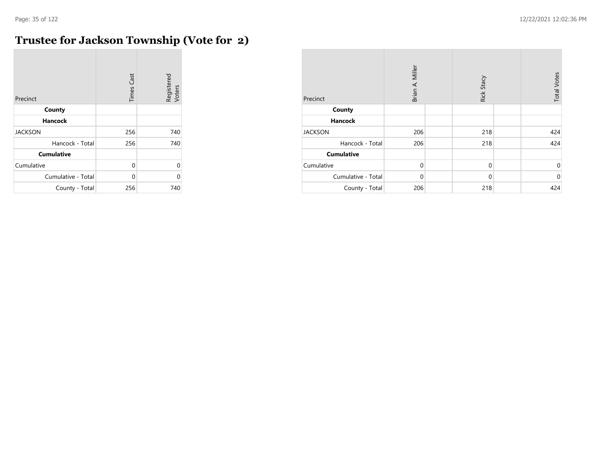**COL** 

## **Trustee for Jackson Township (Vote for 2)**

| Precinct           | <b>Times Cast</b> | Registered<br>Voters |
|--------------------|-------------------|----------------------|
| County             |                   |                      |
| <b>Hancock</b>     |                   |                      |
| <b>JACKSON</b>     | 256               | 740                  |
| Hancock - Total    | 256               | 740                  |
| <b>Cumulative</b>  |                   |                      |
| Cumulative         | $\Omega$          | $\Omega$             |
| Cumulative - Total | U                 | 0                    |
| County - Total     | 256               | 740                  |

| Precinct           | Brian A. Miller |  | Rick Stacy   |  | <b>Total Votes</b> |
|--------------------|-----------------|--|--------------|--|--------------------|
| County             |                 |  |              |  |                    |
| <b>Hancock</b>     |                 |  |              |  |                    |
| <b>JACKSON</b>     | 206             |  | 218          |  | 424                |
| Hancock - Total    | 206             |  | 218          |  | 424                |
| <b>Cumulative</b>  |                 |  |              |  |                    |
| Cumulative         | $\mathbf{0}$    |  | $\mathbf{0}$ |  | $\mathbf 0$        |
| Cumulative - Total | $\Omega$        |  | $\mathbf 0$  |  | $\mathbf{0}$       |
| County - Total     | 206             |  | 218          |  | 424                |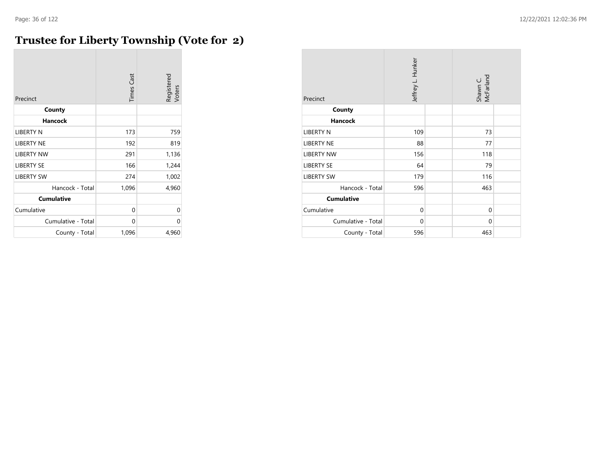## **Trustee for Liberty Township (Vote for 2)**

| Precinct           | <b>Times Cast</b> | Registered<br>Voters |
|--------------------|-------------------|----------------------|
| County             |                   |                      |
| Hancock            |                   |                      |
| LIBERTY N          | 173               | 759                  |
| <b>LIBERTY NE</b>  | 192               | 819                  |
| <b>LIBERTY NW</b>  | 291               | 1,136                |
| <b>LIBERTY SE</b>  | 166               | 1,244                |
| <b>LIBERTY SW</b>  | 274               | 1,002                |
| Hancock - Total    | 1,096             | 4,960                |
| <b>Cumulative</b>  |                   |                      |
| Cumulative         | 0                 | 0                    |
| Cumulative - Total | 0                 | U                    |
| County - Total     | 1,096             | 4,960                |

| Precinct           | Jeffrey L. Hunker | Shawn C.<br>McFarland |  |
|--------------------|-------------------|-----------------------|--|
| County             |                   |                       |  |
| <b>Hancock</b>     |                   |                       |  |
| <b>LIBERTY N</b>   | 109               | 73                    |  |
| <b>LIBERTY NE</b>  | 88                | 77                    |  |
| <b>LIBERTY NW</b>  | 156               | 118                   |  |
| <b>LIBERTY SE</b>  | 64                | 79                    |  |
| <b>LIBERTY SW</b>  | 179               | 116                   |  |
| Hancock - Total    | 596               | 463                   |  |
| <b>Cumulative</b>  |                   |                       |  |
| Cumulative         | $\mathbf 0$       | $\Omega$              |  |
| Cumulative - Total | $\mathbf 0$       | $\Omega$              |  |
| County - Total     | 596               | 463                   |  |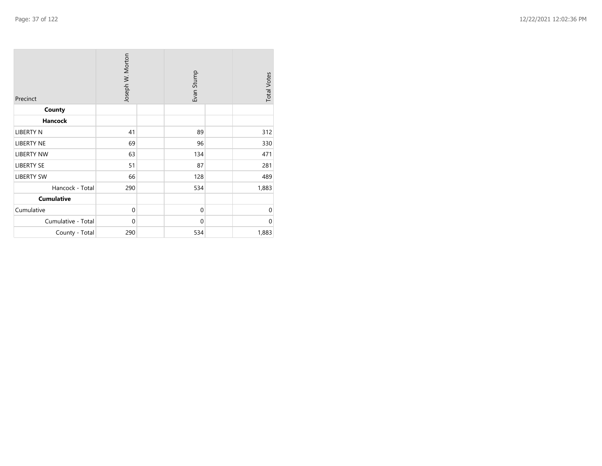| Precinct           | Joseph W. Morton | Evan Stump  | <b>Total Votes</b> |
|--------------------|------------------|-------------|--------------------|
| County             |                  |             |                    |
| <b>Hancock</b>     |                  |             |                    |
| <b>LIBERTY N</b>   | 41               | 89          | 312                |
| <b>LIBERTY NE</b>  | 69               | 96          | 330                |
| <b>LIBERTY NW</b>  | 63               | 134         | 471                |
| <b>LIBERTY SE</b>  | 51               | 87          | 281                |
| <b>LIBERTY SW</b>  | 66               | 128         | 489                |
| Hancock - Total    | 290              | 534         | 1,883              |
| <b>Cumulative</b>  |                  |             |                    |
| Cumulative         | $\mathbf 0$      | $\mathbf 0$ | $\overline{0}$     |
| Cumulative - Total | 0                | $\Omega$    | $\Omega$           |
| County - Total     | 290              | 534         | 1,883              |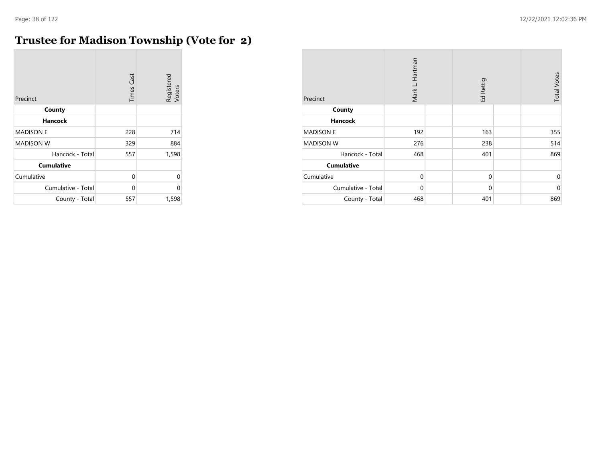$\sim$ 

## **Trustee for Madison Township (Vote for 2)**

| Precinct           | <b>Times Cast</b> | Registered<br>Voters |
|--------------------|-------------------|----------------------|
| County             |                   |                      |
| Hancock            |                   |                      |
| <b>MADISON E</b>   | 228               | 714                  |
| <b>MADISON W</b>   | 329               | 884                  |
| Hancock - Total    | 557               | 1,598                |
| <b>Cumulative</b>  |                   |                      |
| Cumulative         | 0                 | $\Omega$             |
| Cumulative - Total | $\Omega$          | $\Omega$             |
| County - Total     | 557               | 1,598                |

| Precinct           | Mark L. Hartman | Ed Rettig   | <b>Total Votes</b> |
|--------------------|-----------------|-------------|--------------------|
| County             |                 |             |                    |
| <b>Hancock</b>     |                 |             |                    |
| <b>MADISON E</b>   | 192             | 163         | 355                |
| <b>MADISON W</b>   | 276             | 238         | 514                |
| Hancock - Total    | 468             | 401         | 869                |
| <b>Cumulative</b>  |                 |             |                    |
| Cumulative         | $\mathbf 0$     | $\mathbf 0$ | $\mathbf 0$        |
| Cumulative - Total | $\mathbf 0$     | $\mathbf 0$ | $\mathbf 0$        |
| County - Total     | 468             | 401         | 869                |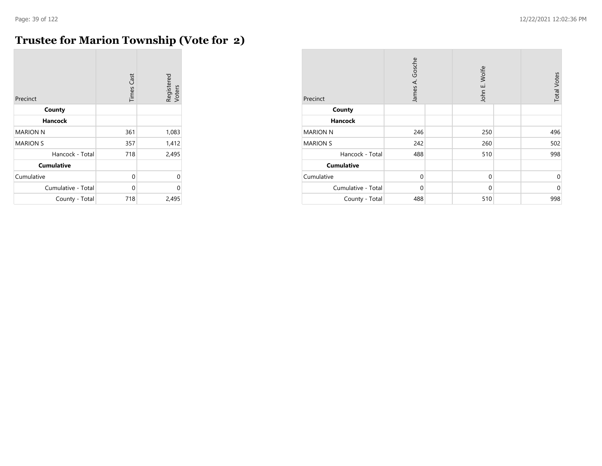### **Trustee for Marion Township (Vote for 2)**

| Precinct           | <b>Times Cast</b> | Registered<br>Voters |
|--------------------|-------------------|----------------------|
| County             |                   |                      |
| <b>Hancock</b>     |                   |                      |
| <b>MARION N</b>    | 361               | 1,083                |
| <b>MARION S</b>    | 357               | 1,412                |
| Hancock - Total    | 718               | 2,495                |
| <b>Cumulative</b>  |                   |                      |
| Cumulative         | 0                 | $\Omega$             |
| Cumulative - Total | $\Omega$          | $\Omega$             |
| County - Total     | 718               | 2,495                |

| Precinct           | James A. Gosche | John E. Wolfe | <b>Total Votes</b> |
|--------------------|-----------------|---------------|--------------------|
| County             |                 |               |                    |
| <b>Hancock</b>     |                 |               |                    |
| <b>MARION N</b>    | 246             | 250           | 496                |
| <b>MARION S</b>    | 242             | 260           | 502                |
| Hancock - Total    | 488             | 510           | 998                |
| <b>Cumulative</b>  |                 |               |                    |
| Cumulative         | $\mathbf 0$     | $\mathbf 0$   | $\mathbf 0$        |
| Cumulative - Total | $\mathbf 0$     | $\mathbf 0$   | $\mathbf 0$        |
| County - Total     | 488             | 510           | 998                |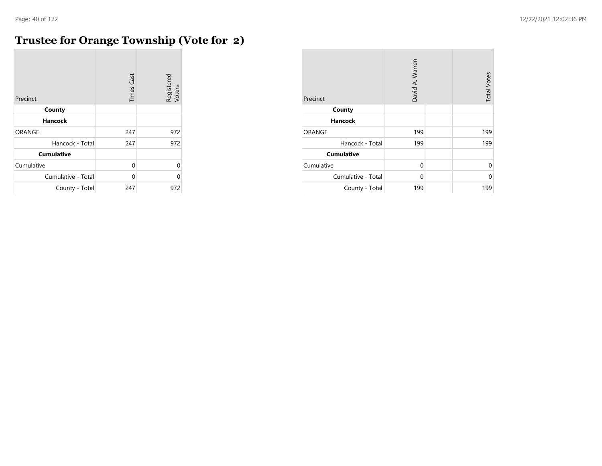**COL** 

## **Trustee for Orange Township (Vote for 2)**

| Precinct           | <b>Times Cast</b> | Registered<br>Voters |
|--------------------|-------------------|----------------------|
| County             |                   |                      |
| <b>Hancock</b>     |                   |                      |
| <b>ORANGE</b>      | 247               | 972                  |
| Hancock - Total    | 247               | 972                  |
| <b>Cumulative</b>  |                   |                      |
| Cumulative         | 0                 | $\Omega$             |
| Cumulative - Total | U                 | U                    |
| County - Total     | 247               | 972                  |

| Precinct           | David A. Warren | <b>Total Votes</b> |     |
|--------------------|-----------------|--------------------|-----|
| County             |                 |                    |     |
| <b>Hancock</b>     |                 |                    |     |
| ORANGE             | 199             |                    | 199 |
| Hancock - Total    | 199             |                    | 199 |
| <b>Cumulative</b>  |                 |                    |     |
| Cumulative         | $\mathbf 0$     |                    | 0   |
| Cumulative - Total | 0               |                    | O   |
| County - Total     | 199             |                    | 199 |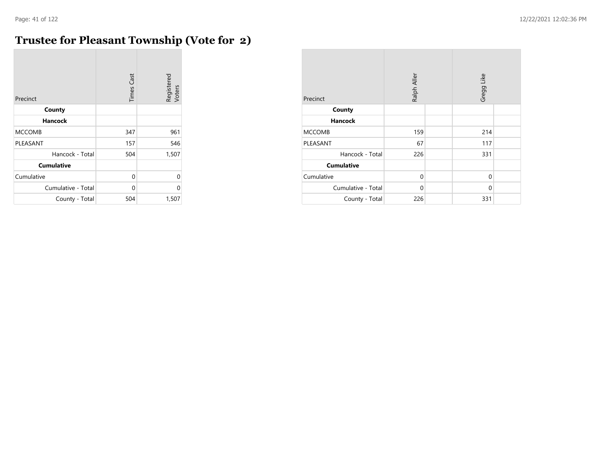m.

## **Trustee for Pleasant Township (Vote for 2)**

| Precinct           | <b>Times Cast</b> | Registered<br>Voters |
|--------------------|-------------------|----------------------|
| County             |                   |                      |
| <b>Hancock</b>     |                   |                      |
| <b>MCCOMB</b>      | 347               | 961                  |
| PLEASANT           | 157               | 546                  |
| Hancock - Total    | 504               | 1,507                |
| <b>Cumulative</b>  |                   |                      |
| Cumulative         | 0                 | $\Omega$             |
| Cumulative - Total | 0                 | $\Omega$             |
| County - Total     | 504               | 1,507                |

| Precinct           | Ralph Aller  | Gregg Like  |  |
|--------------------|--------------|-------------|--|
| County             |              |             |  |
| <b>Hancock</b>     |              |             |  |
| <b>MCCOMB</b>      | 159          | 214         |  |
| PLEASANT           | 67           | 117         |  |
| Hancock - Total    | 226          | 331         |  |
| <b>Cumulative</b>  |              |             |  |
| Cumulative         | $\mathbf{0}$ | $\mathbf 0$ |  |
| Cumulative - Total | $\mathbf 0$  | 0           |  |
| County - Total     | 226          | 331         |  |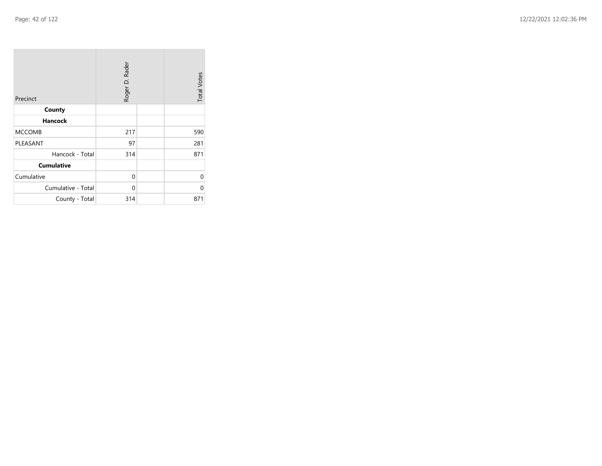| Precinct           | Roger D. Rader | <b>Total Votes</b> |          |
|--------------------|----------------|--------------------|----------|
| County             |                |                    |          |
| <b>Hancock</b>     |                |                    |          |
| <b>MCCOMB</b>      | 217            |                    | 590      |
| PLEASANT           | 97             |                    | 281      |
| Hancock - Total    | 314            |                    | 871      |
| <b>Cumulative</b>  |                |                    |          |
| Cumulative         | 0              |                    | 0        |
| Cumulative - Total | 0              |                    | $\Omega$ |
| County - Total     | 314            |                    | 871      |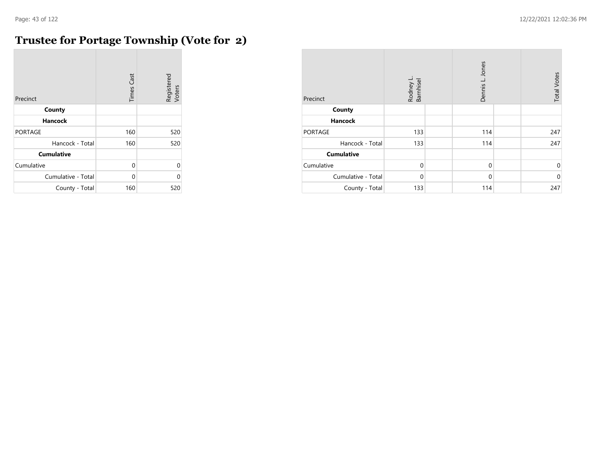$\mathcal{L}_{\mathcal{A}}$ 

## **Trustee for Portage Township (Vote for 2)**

| Precinct           | <b>Times Cast</b> | Registered<br>Voters |
|--------------------|-------------------|----------------------|
| County             |                   |                      |
| <b>Hancock</b>     |                   |                      |
| <b>PORTAGE</b>     | 160               | 520                  |
| Hancock - Total    | 160               | 520                  |
| <b>Cumulative</b>  |                   |                      |
| Cumulative         | $\Omega$          | $\Omega$             |
| Cumulative - Total | U                 | 0                    |
| County - Total     | 160               | 520                  |

| Precinct           | Rodney L.<br>Barnhisel | Dennis L. Jones | <b>Total Votes</b> |
|--------------------|------------------------|-----------------|--------------------|
| County             |                        |                 |                    |
| <b>Hancock</b>     |                        |                 |                    |
| <b>PORTAGE</b>     | 133                    | 114             | 247                |
| Hancock - Total    | 133                    | 114             | 247                |
| <b>Cumulative</b>  |                        |                 |                    |
| Cumulative         | $\mathbf 0$            | $\mathbf 0$     | $\mathbf 0$        |
| Cumulative - Total | $\mathbf 0$            | $\mathbf 0$     | $\mathbf 0$        |
| County - Total     | 133                    | 114             | 247                |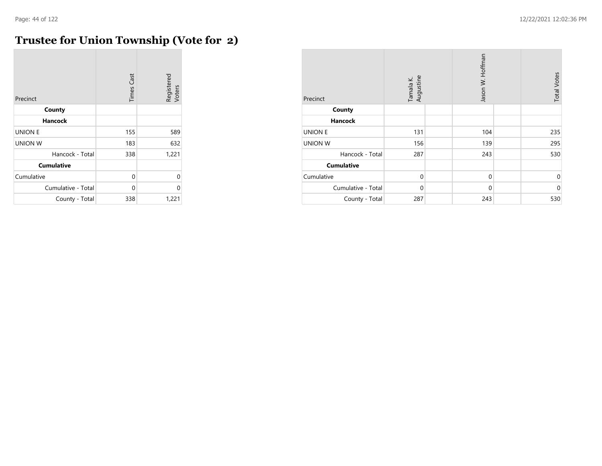$\mathcal{L}$ 

## **Trustee for Union Township (Vote for 2)**

| Precinct           | <b>Times Cast</b> | Registered<br>Voters |
|--------------------|-------------------|----------------------|
| County             |                   |                      |
| <b>Hancock</b>     |                   |                      |
| <b>UNION E</b>     | 155               | 589                  |
| <b>UNION W</b>     | 183               | 632                  |
| Hancock - Total    | 338               | 1,221                |
| <b>Cumulative</b>  |                   |                      |
| Cumulative         | 0                 | 0                    |
| Cumulative - Total | 0                 | 0                    |
| County - Total     | 338               | 1,221                |

| Precinct           | Tamala K.<br>Augustine | Jason W. Hoffman | <b>Total Votes</b> |
|--------------------|------------------------|------------------|--------------------|
| County             |                        |                  |                    |
| Hancock            |                        |                  |                    |
| <b>UNION E</b>     | 131                    | 104              | 235                |
| <b>UNION W</b>     | 156                    | 139              | 295                |
| Hancock - Total    | 287                    | 243              | 530                |
| <b>Cumulative</b>  |                        |                  |                    |
| Cumulative         | $\mathbf{0}$           | $\mathbf 0$      | 0                  |
| Cumulative - Total | $\mathbf{0}$           | $\mathbf 0$      | $\mathbf 0$        |
| County - Total     | 287                    | 243              | 530                |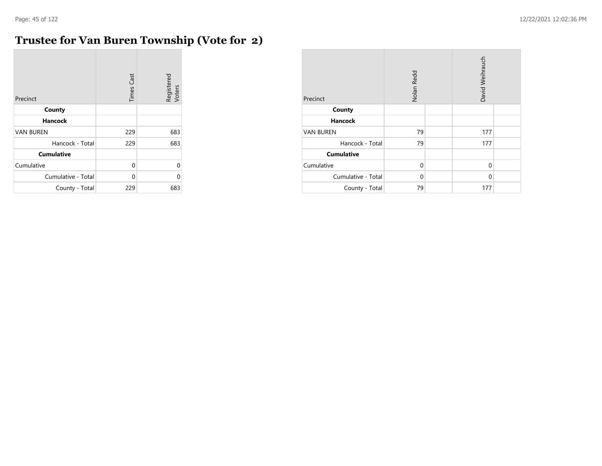$\sim$ 

## **Trustee for Van Buren Township (Vote for 2)**

| Precinct           | <b>Times Cast</b> | Registered<br>Voters |
|--------------------|-------------------|----------------------|
| County             |                   |                      |
| <b>Hancock</b>     |                   |                      |
| <b>VAN BUREN</b>   | 229               | 683                  |
| Hancock - Total    | 229               | 683                  |
| <b>Cumulative</b>  |                   |                      |
| Cumulative         | 0                 | $\Omega$             |
| Cumulative - Total | $\Omega$          | 0                    |
| County - Total     | 229               | 683                  |

| Precinct           | Nolan Redd | David Weihrauch |  |
|--------------------|------------|-----------------|--|
| County             |            |                 |  |
| <b>Hancock</b>     |            |                 |  |
| <b>VAN BUREN</b>   | 79         | 177             |  |
| Hancock - Total    | 79         | 177             |  |
| <b>Cumulative</b>  |            |                 |  |
| Cumulative         | $\Omega$   | $\Omega$        |  |
| Cumulative - Total | $\Omega$   | $\Omega$        |  |
| County - Total     | 79         | 177             |  |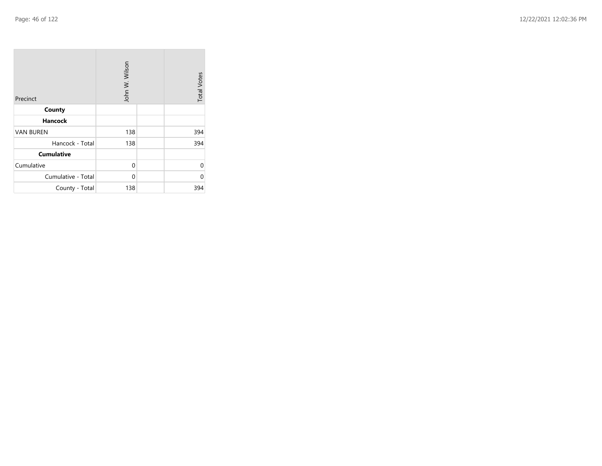| Precinct           | John W. Wilson | <b>Total Votes</b> |
|--------------------|----------------|--------------------|
| County             |                |                    |
| <b>Hancock</b>     |                |                    |
| <b>VAN BUREN</b>   | 138            | 394                |
| Hancock - Total    | 138            | 394                |
| <b>Cumulative</b>  |                |                    |
| Cumulative         | 0              | 0                  |
| Cumulative - Total | 0              | U                  |
| County - Total     | 138            | 394                |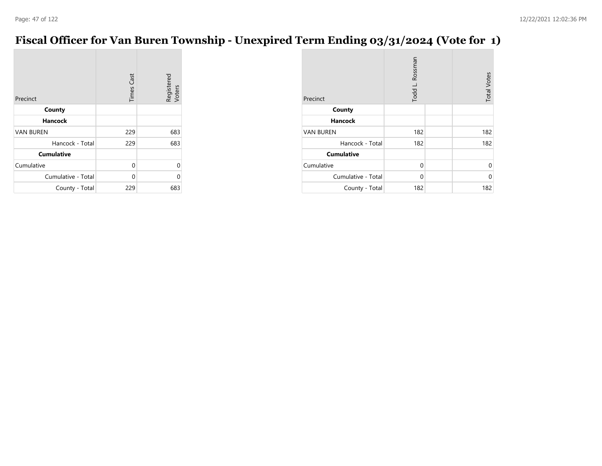## **Fiscal Officer for Van Buren Township - Unexpired Term Ending 03/31/2024 (Vote for 1)**

| Precinct           | <b>Times Cast</b> | Registered<br>Voters |
|--------------------|-------------------|----------------------|
| County             |                   |                      |
| Hancock            |                   |                      |
| <b>VAN BUREN</b>   | 229               | 683                  |
| Hancock - Total    | 229               | 683                  |
| <b>Cumulative</b>  |                   |                      |
| Cumulative         | 0                 |                      |
| Cumulative - Total | 0                 |                      |
| County - Total     | 229               | 683                  |

| Precinct           | Todd L. Rossman | <b>Total Votes</b> |
|--------------------|-----------------|--------------------|
| County             |                 |                    |
| <b>Hancock</b>     |                 |                    |
| <b>VAN BUREN</b>   | 182             | 182                |
| Hancock - Total    | 182             | 182                |
| <b>Cumulative</b>  |                 |                    |
| Cumulative         | $\Omega$        | 0                  |
| Cumulative - Total | $\Omega$        | 0                  |
| County - Total     | 182             | 182                |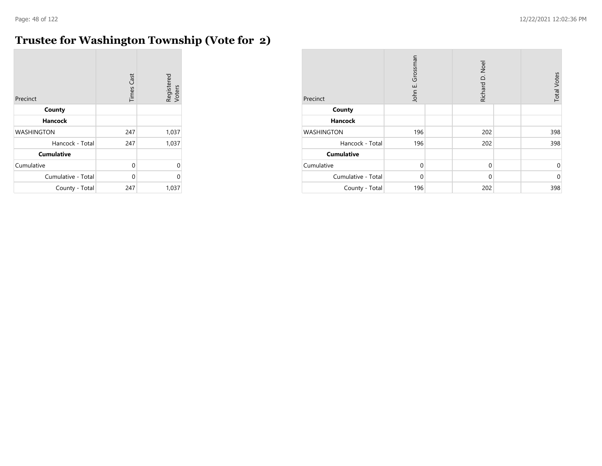$\mathcal{L}$ 

## **Trustee for Washington Township (Vote for 2)**

| Precinct           | <b>Times Cast</b> | Registered<br>Voters |
|--------------------|-------------------|----------------------|
| County             |                   |                      |
| <b>Hancock</b>     |                   |                      |
| <b>WASHINGTON</b>  | 247               | 1,037                |
| Hancock - Total    | 247               | 1,037                |
| <b>Cumulative</b>  |                   |                      |
| Cumulative         | $\mathbf{0}$      | 0                    |
| Cumulative - Total | 0                 | Ω                    |
| County - Total     | 247               | 1,037                |

| Precinct           | Grossman<br>John E. | Richard D. Noel | <b>Total Votes</b> |
|--------------------|---------------------|-----------------|--------------------|
| County             |                     |                 |                    |
| <b>Hancock</b>     |                     |                 |                    |
| <b>WASHINGTON</b>  | 196                 | 202             | 398                |
| Hancock - Total    | 196                 | 202             | 398                |
| <b>Cumulative</b>  |                     |                 |                    |
| Cumulative         | $\mathbf{0}$        | $\mathbf 0$     | 0                  |
| Cumulative - Total | $\Omega$            | $\mathbf 0$     | $\mathbf{0}$       |
| County - Total     | 196                 | 202             | 398                |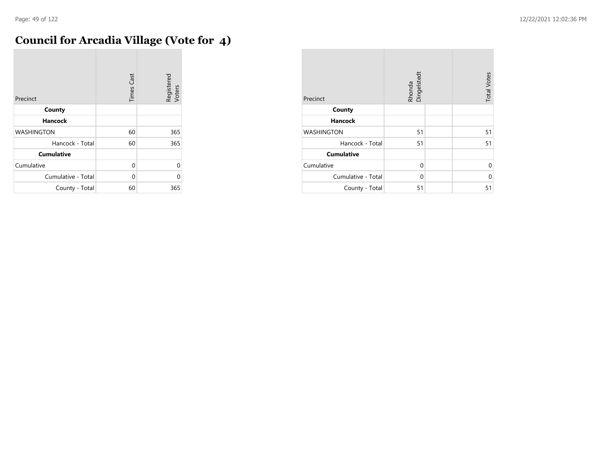$\sim$ 

## **Council for Arcadia Village (Vote for 4)**

| Precinct           | <b>Times Cast</b> | Registered<br>Voters |
|--------------------|-------------------|----------------------|
| County             |                   |                      |
| <b>Hancock</b>     |                   |                      |
| <b>WASHINGTON</b>  | 60                | 365                  |
| Hancock - Total    | 60                | 365                  |
| <b>Cumulative</b>  |                   |                      |
| Cumulative         | $\Omega$          | $\Omega$             |
| Cumulative - Total | 0                 | O                    |
| County - Total     | 60                | 365                  |

| Precinct           | Rhonda<br>Dingelstedt | <b>Total Votes</b> |
|--------------------|-----------------------|--------------------|
| County             |                       |                    |
| <b>Hancock</b>     |                       |                    |
| <b>WASHINGTON</b>  | 51                    | 51                 |
| Hancock - Total    | 51                    | 51                 |
| <b>Cumulative</b>  |                       |                    |
| Cumulative         | $\Omega$              | 0                  |
| Cumulative - Total | $\Omega$              | 0                  |
| County - Total     | 51                    | 51                 |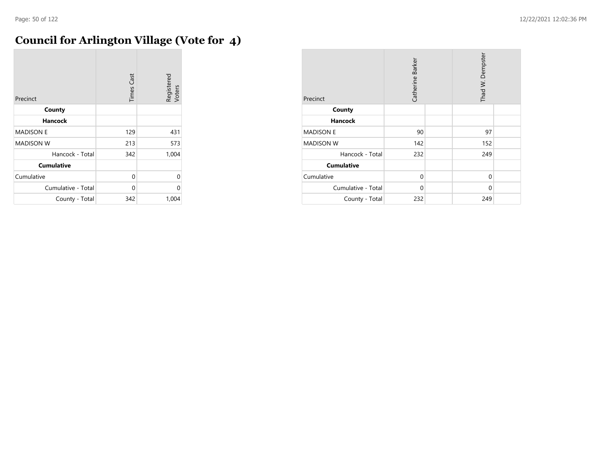## **Council for Arlington Village (Vote for 4)**

| Precinct           | <b>Times Cast</b> | Registered<br>Voters |
|--------------------|-------------------|----------------------|
| County             |                   |                      |
| <b>Hancock</b>     |                   |                      |
| <b>MADISON E</b>   | 129               | 431                  |
| <b>MADISON W</b>   | 213               | 573                  |
| Hancock - Total    | 342               | 1,004                |
| <b>Cumulative</b>  |                   |                      |
| Cumulative         | 0                 | 0                    |
| Cumulative - Total | 0                 | 0                    |
| County - Total     | 342               | 1,004                |

| Precinct           | Catherine Barker |  | Thad W. Dempster |  |
|--------------------|------------------|--|------------------|--|
| County             |                  |  |                  |  |
| <b>Hancock</b>     |                  |  |                  |  |
| <b>MADISON E</b>   | 90               |  | 97               |  |
| <b>MADISON W</b>   | 142              |  | 152              |  |
| Hancock - Total    | 232              |  | 249              |  |
| <b>Cumulative</b>  |                  |  |                  |  |
| Cumulative         | $\mathbf{0}$     |  | 0                |  |
| Cumulative - Total | $\mathbf{0}$     |  | 0                |  |
| County - Total     | 232              |  | 249              |  |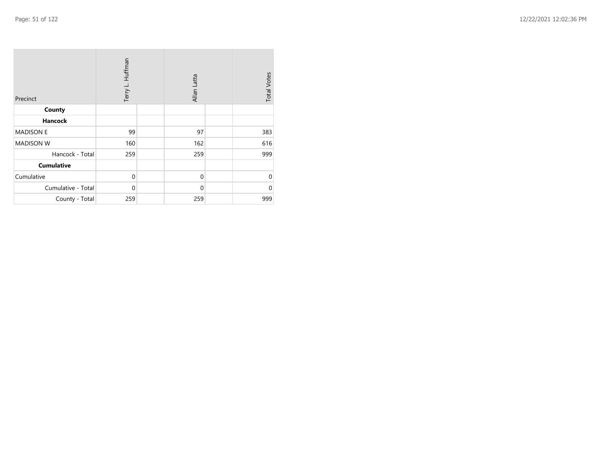| Precinct           | Terry L. Huffman |  | Allan Latta |  | <b>Total Votes</b> |
|--------------------|------------------|--|-------------|--|--------------------|
| County             |                  |  |             |  |                    |
| <b>Hancock</b>     |                  |  |             |  |                    |
| <b>MADISON E</b>   | 99               |  | 97          |  | 383                |
| <b>MADISON W</b>   | 160              |  | 162         |  | 616                |
| Hancock - Total    | 259              |  | 259         |  | 999                |
| <b>Cumulative</b>  |                  |  |             |  |                    |
| Cumulative         | $\mathbf 0$      |  | $\mathbf 0$ |  | $\Omega$           |
| Cumulative - Total | $\mathbf 0$      |  | $\Omega$    |  | $\Omega$           |
| County - Total     | 259              |  | 259         |  | 999                |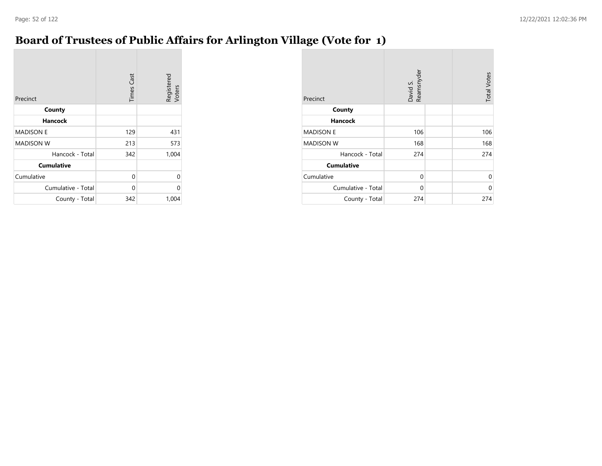### **Board of Trustees of Public Affairs for Arlington Village (Vote for 1)**

| Precinct           | <b>Times Cast</b> | Registered<br>Voters |
|--------------------|-------------------|----------------------|
| County             |                   |                      |
| <b>Hancock</b>     |                   |                      |
| <b>MADISON E</b>   | 129               | 431                  |
| <b>MADISON W</b>   | 213               | 573                  |
| Hancock - Total    | 342               | 1,004                |
| <b>Cumulative</b>  |                   |                      |
| Cumulative         | 0                 | U                    |
| Cumulative - Total | 0                 | U                    |
| County - Total     | 342               | 1,004                |

| Precinct           | David S.<br>Reamsnyder | <b>Total Votes</b> |
|--------------------|------------------------|--------------------|
| County             |                        |                    |
| <b>Hancock</b>     |                        |                    |
| <b>MADISON E</b>   | 106                    | 106                |
| <b>MADISON W</b>   | 168                    | 168                |
| Hancock - Total    | 274                    | 274                |
| <b>Cumulative</b>  |                        |                    |
| Cumulative         | $\mathbf 0$            | 0                  |
| Cumulative - Total | $\Omega$               | U                  |
| County - Total     | 274                    | 274                |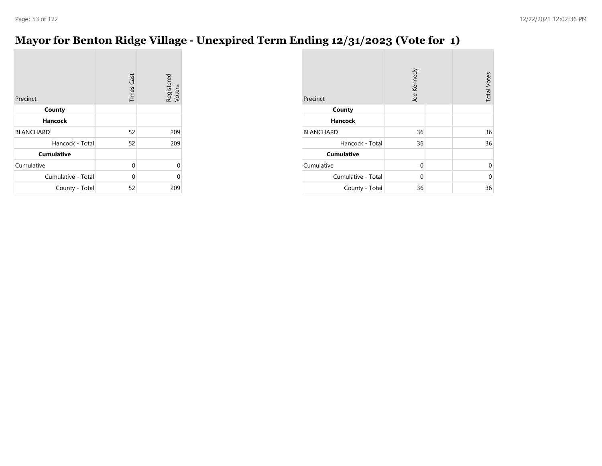## **Mayor for Benton Ridge Village - Unexpired Term Ending 12/31/2023 (Vote for 1)**

| Precinct           | <b>Times Cast</b> | Registered<br>Voters |
|--------------------|-------------------|----------------------|
| County             |                   |                      |
| Hancock            |                   |                      |
| <b>BLANCHARD</b>   | 52                | 209                  |
| Hancock - Total    | 52                | 209                  |
| <b>Cumulative</b>  |                   |                      |
| Cumulative         | $\Omega$          | 0                    |
| Cumulative - Total | 0                 | 0                    |
| County - Total     | 52                | 209                  |

| Precinct           | Joe Kennedy | <b>Total Votes</b> |    |
|--------------------|-------------|--------------------|----|
| County             |             |                    |    |
| <b>Hancock</b>     |             |                    |    |
| <b>BLANCHARD</b>   | 36          |                    | 36 |
| Hancock - Total    | 36          |                    | 36 |
| <b>Cumulative</b>  |             |                    |    |
| Cumulative         | $\Omega$    |                    | 0  |
| Cumulative - Total | 0           |                    | 0  |
| County - Total     | 36          |                    | 36 |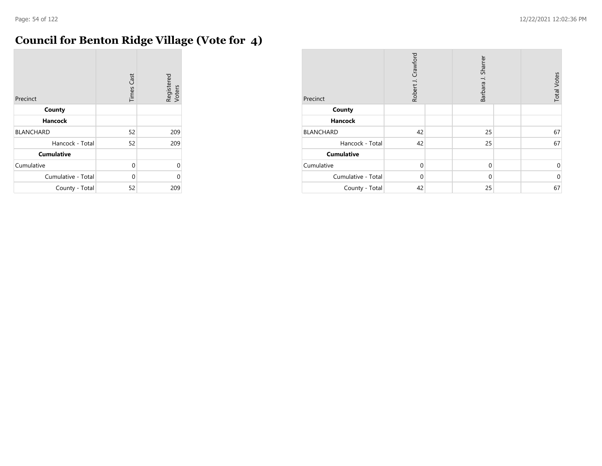## **Council for Benton Ridge Village (Vote for 4)**

| Precinct           | <b>Times Cast</b> | Registered<br>Voters |
|--------------------|-------------------|----------------------|
| County             |                   |                      |
| <b>Hancock</b>     |                   |                      |
| <b>BLANCHARD</b>   | 52                | 209                  |
| Hancock - Total    | 52                | 209                  |
| <b>Cumulative</b>  |                   |                      |
| Cumulative         | 0                 | $\Omega$             |
| Cumulative - Total | 0                 | U                    |
| County - Total     | 52                | 209                  |

| Precinct           | Robert J. Crawford |  | Barbara J. Sharrer |  | <b>Total Votes</b> |
|--------------------|--------------------|--|--------------------|--|--------------------|
| County             |                    |  |                    |  |                    |
| <b>Hancock</b>     |                    |  |                    |  |                    |
| <b>BLANCHARD</b>   | 42                 |  | 25                 |  | 67                 |
| Hancock - Total    | 42                 |  | 25                 |  | 67                 |
| <b>Cumulative</b>  |                    |  |                    |  |                    |
| Cumulative         | $\Omega$           |  | $\mathbf 0$        |  | $\mathbf 0$        |
| Cumulative - Total | $\Omega$           |  | $\mathbf 0$        |  | $\mathbf{0}$       |
| County - Total     | 42                 |  | 25                 |  | 67                 |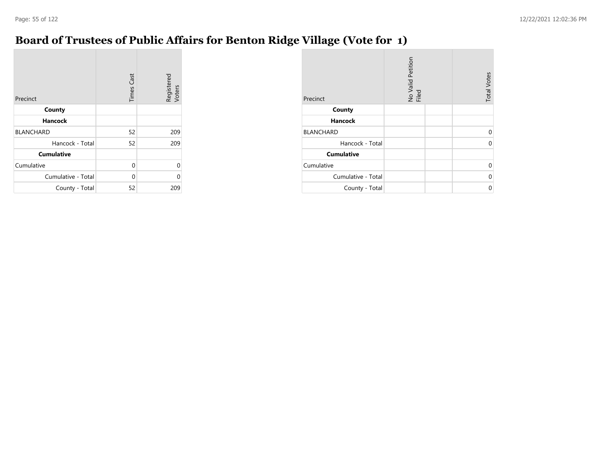### **Board of Trustees of Public Affairs for Benton Ridge Village (Vote for 1)**

| Precinct           | <b>Times Cast</b> | Registered<br>Voters |
|--------------------|-------------------|----------------------|
| County             |                   |                      |
| <b>Hancock</b>     |                   |                      |
| <b>BLANCHARD</b>   | 52                | 209                  |
| Hancock - Total    | 52                | 209                  |
| <b>Cumulative</b>  |                   |                      |
| Cumulative         | 0                 | 0                    |
| Cumulative - Total | $\Omega$          | ი                    |
| County - Total     | 52                | 209                  |

| Precinct           | No Valid Petition<br>Filed | <b>Total Votes</b> |
|--------------------|----------------------------|--------------------|
| County             |                            |                    |
| <b>Hancock</b>     |                            |                    |
| <b>BLANCHARD</b>   |                            | 0                  |
| Hancock - Total    |                            | 0                  |
| <b>Cumulative</b>  |                            |                    |
| Cumulative         |                            | 0                  |
| Cumulative - Total |                            | 0                  |
| County - Total     |                            | 0                  |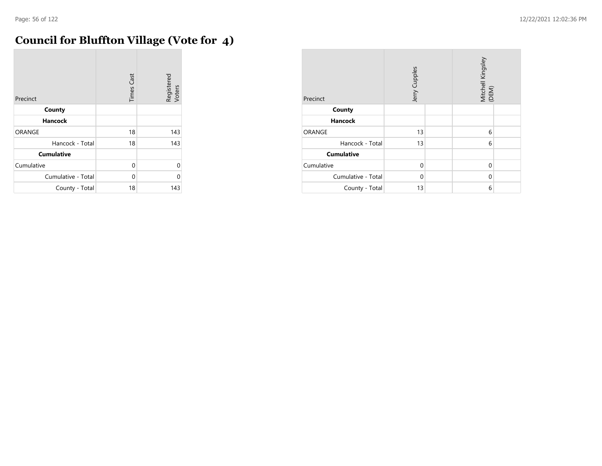$\sim$ 

## **Council for Bluffton Village (Vote for 4)**

| Precinct           | <b>Times Cast</b> | Registered<br>Voters |
|--------------------|-------------------|----------------------|
| County             |                   |                      |
| <b>Hancock</b>     |                   |                      |
| <b>ORANGE</b>      | 18                | 143                  |
| Hancock - Total    | 18                | 143                  |
| <b>Cumulative</b>  |                   |                      |
| Cumulative         | $\Omega$          | $\Omega$             |
| Cumulative - Total | $\Omega$          | 0                    |
| County - Total     | 18                | 143                  |

| Precinct           | Jerry Cupples |  | Mitchell Kingsley<br>(DEM) |  |
|--------------------|---------------|--|----------------------------|--|
| County             |               |  |                            |  |
| <b>Hancock</b>     |               |  |                            |  |
| <b>ORANGE</b>      | 13            |  | 6                          |  |
| Hancock - Total    | 13            |  | 6                          |  |
| <b>Cumulative</b>  |               |  |                            |  |
| Cumulative         | $\Omega$      |  | $\mathbf 0$                |  |
| Cumulative - Total | $\Omega$      |  | $\Omega$                   |  |
| County - Total     | 13            |  | 6                          |  |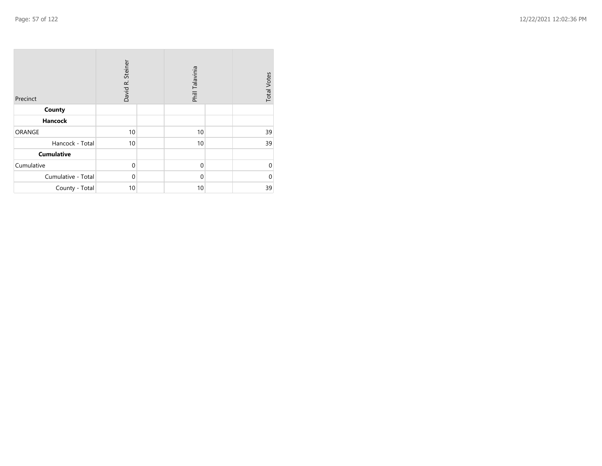| Precinct           | David R. Steiner |  | Phill Talavinia | <b>Total Votes</b> |          |
|--------------------|------------------|--|-----------------|--------------------|----------|
| County             |                  |  |                 |                    |          |
| <b>Hancock</b>     |                  |  |                 |                    |          |
| <b>ORANGE</b>      | 10               |  | 10              |                    | 39       |
| Hancock - Total    | 10               |  | 10              |                    | 39       |
| <b>Cumulative</b>  |                  |  |                 |                    |          |
| Cumulative         | $\mathbf 0$      |  | $\mathbf 0$     |                    | $\Omega$ |
| Cumulative - Total | $\mathbf 0$      |  | $\mathbf{0}$    |                    | $\Omega$ |
| County - Total     | 10               |  | 10              |                    | 39       |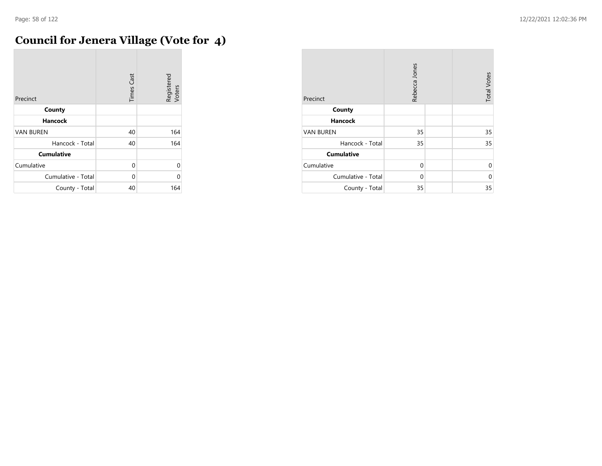÷

## **Council for Jenera Village (Vote for 4)**

| Precinct           | <b>Times Cast</b> | Registered<br>Voters |
|--------------------|-------------------|----------------------|
| County             |                   |                      |
| <b>Hancock</b>     |                   |                      |
| <b>VAN BUREN</b>   | 40                | 164                  |
| Hancock - Total    | 40                | 164                  |
| <b>Cumulative</b>  |                   |                      |
| Cumulative         | 0                 | $\Omega$             |
| Cumulative - Total | 0                 | 0                    |
| County - Total     | 40                | 164                  |

| Precinct           | Rebecca Jones | <b>Total Votes</b> |
|--------------------|---------------|--------------------|
| County             |               |                    |
| <b>Hancock</b>     |               |                    |
| <b>VAN BUREN</b>   | 35            | 35                 |
| Hancock - Total    | 35            | 35                 |
| <b>Cumulative</b>  |               |                    |
| Cumulative         | $\Omega$      | $\Omega$           |
| Cumulative - Total | $\Omega$      | $\Omega$           |
| County - Total     | 35            | 35                 |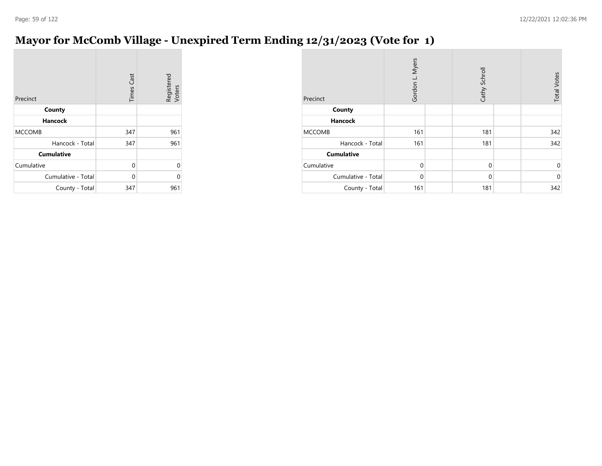# **Mayor for McComb Village - Unexpired Term Ending 12/31/2023 (Vote for 1)**

| Precinct           | <b>Times Cast</b> | Registered<br>Voters |
|--------------------|-------------------|----------------------|
| County             |                   |                      |
| <b>Hancock</b>     |                   |                      |
| <b>MCCOMB</b>      | 347               | 961                  |
| Hancock - Total    | 347               | 961                  |
| <b>Cumulative</b>  |                   |                      |
| Cumulative         | 0                 |                      |
| Cumulative - Total | $\Omega$          |                      |
| County - Total     | 347               | 961                  |

| Precinct           | Gordon L. Myers | Cathy Schroll | <b>Total Votes</b> |              |
|--------------------|-----------------|---------------|--------------------|--------------|
| County             |                 |               |                    |              |
| <b>Hancock</b>     |                 |               |                    |              |
| <b>MCCOMB</b>      | 161             | 181           |                    | 342          |
| Hancock - Total    | 161             | 181           |                    | 342          |
| <b>Cumulative</b>  |                 |               |                    |              |
| Cumulative         | $\mathbf{0}$    | $\mathbf 0$   |                    | 0            |
| Cumulative - Total | $\mathbf 0$     | $\mathbf 0$   |                    | $\mathbf{0}$ |
| County - Total     | 161             | 181           |                    | 342          |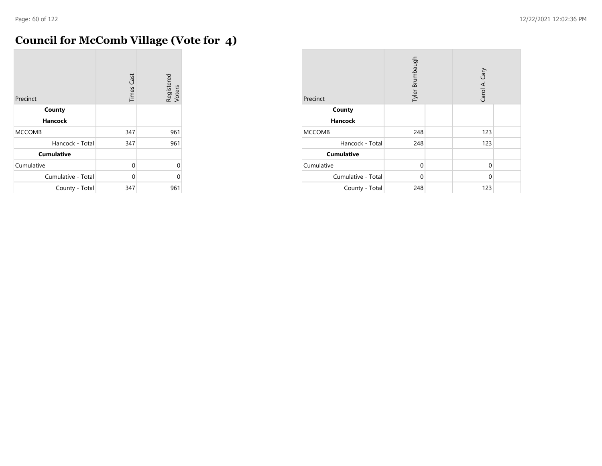## **Council for McComb Village (Vote for 4)**

| Precinct           | <b>Times Cast</b> | Registered<br>Voters |
|--------------------|-------------------|----------------------|
| County             |                   |                      |
| <b>Hancock</b>     |                   |                      |
| <b>MCCOMB</b>      | 347               | 961                  |
| Hancock - Total    | 347               | 961                  |
| <b>Cumulative</b>  |                   |                      |
| Cumulative         | $\Omega$          | 0                    |
| Cumulative - Total | 0                 | C                    |
| County - Total     | 347               | 961                  |

| Precinct           | Tyler Brumbaugh | Carol A. Cary |  |
|--------------------|-----------------|---------------|--|
| County             |                 |               |  |
| <b>Hancock</b>     |                 |               |  |
| <b>MCCOMB</b>      | 248             | 123           |  |
| Hancock - Total    | 248             | 123           |  |
| <b>Cumulative</b>  |                 |               |  |
| Cumulative         | $\mathbf 0$     | $\mathbf 0$   |  |
| Cumulative - Total | $\Omega$        | $\Omega$      |  |
| County - Total     | 248             | 123           |  |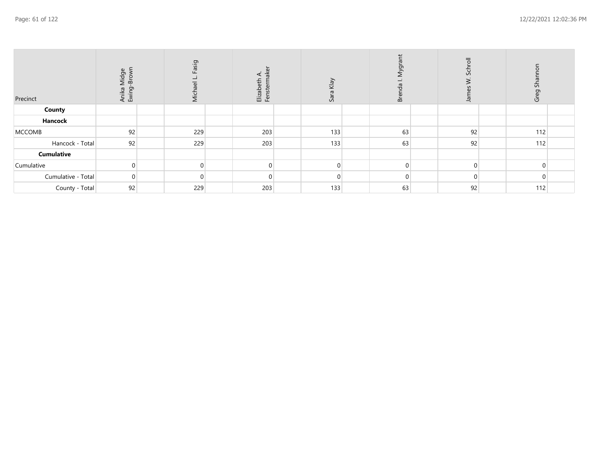| Precinct           | Anika Midge<br>Ewing-Brown | asig<br>$\overline{a}$<br>Michae | $\blacktriangleleft$<br>⇆<br>Elizabe<br>Fenste | Klay<br>Sara I | ∞  | Schroll<br>≷<br>흑 | ᇰ<br>Greg |  |
|--------------------|----------------------------|----------------------------------|------------------------------------------------|----------------|----|-------------------|-----------|--|
| County             |                            |                                  |                                                |                |    |                   |           |  |
| Hancock            |                            |                                  |                                                |                |    |                   |           |  |
| <b>MCCOMB</b>      | 92                         | 229                              | 203                                            | 133            | 63 | 92                | 112       |  |
| Hancock - Total    | 92                         | 229                              | 203                                            | 133            | 63 | 92                | 112       |  |
| <b>Cumulative</b>  |                            |                                  |                                                |                |    |                   |           |  |
| Cumulative         |                            |                                  | 0                                              |                |    | $\Omega$          |           |  |
| Cumulative - Total | $\Omega$                   |                                  |                                                |                |    | $\Omega$          |           |  |
| County - Total     | 92                         | 229                              | 203                                            | 133            | 63 | 92                | 112       |  |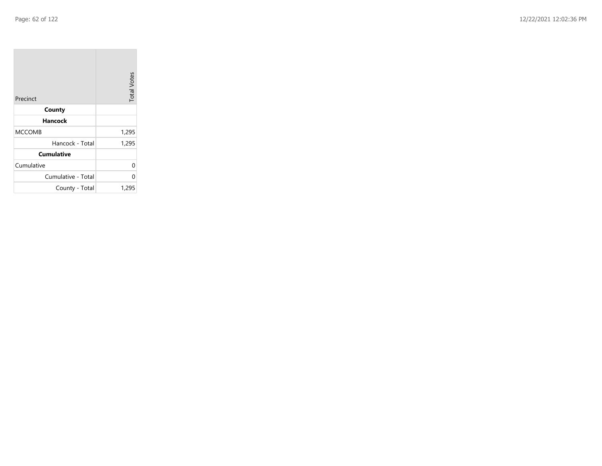| Precinct           | <b>Total Votes</b> |
|--------------------|--------------------|
| County             |                    |
| Hancock            |                    |
| <b>MCCOMB</b>      | 1,295              |
| Hancock - Total    | 1,295              |
| <b>Cumulative</b>  |                    |
| Cumulative         | 0                  |
| Cumulative - Total | 0                  |
| County - Total     | 1,295              |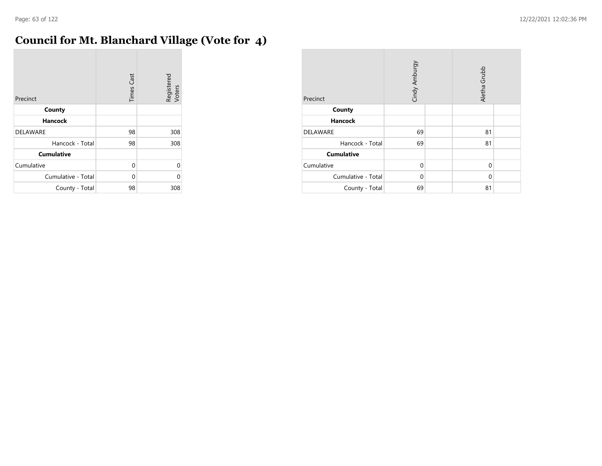### **Council for Mt. Blanchard Village (Vote for 4)**

| Precinct           | <b>Times Cast</b> | Registered<br>Voters |
|--------------------|-------------------|----------------------|
| County             |                   |                      |
| <b>Hancock</b>     |                   |                      |
| <b>DELAWARE</b>    | 98                | 308                  |
| Hancock - Total    | 98                | 308                  |
| <b>Cumulative</b>  |                   |                      |
| Cumulative         | 0                 | $\Omega$             |
| Cumulative - Total | 0                 | 0                    |
| County - Total     | 98                | 308                  |

| Precinct           | Cindy Amburgy | Aletha Grubb |  |
|--------------------|---------------|--------------|--|
| County             |               |              |  |
| <b>Hancock</b>     |               |              |  |
| DELAWARE           | 69            | 81           |  |
| Hancock - Total    | 69            | 81           |  |
| <b>Cumulative</b>  |               |              |  |
| Cumulative         | $\Omega$      | $\mathbf 0$  |  |
| Cumulative - Total | $\Omega$      | $\Omega$     |  |
| County - Total     | 69            | 81           |  |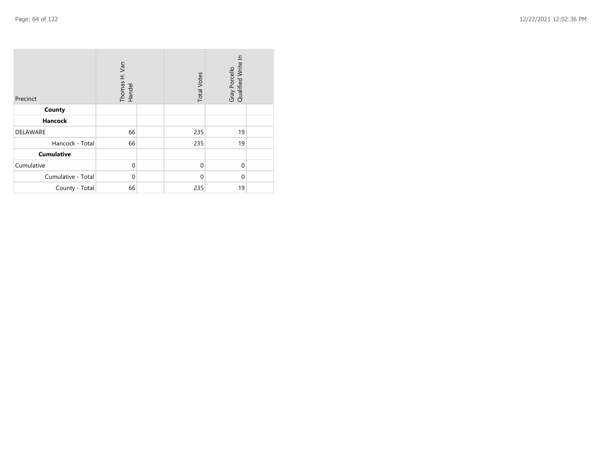| Precinct           | Thomas H. Van<br>Handel | <b>Total Votes</b> | Gray Porcello<br>Qualified Write In |  |
|--------------------|-------------------------|--------------------|-------------------------------------|--|
| County             |                         |                    |                                     |  |
| <b>Hancock</b>     |                         |                    |                                     |  |
| <b>DELAWARE</b>    | 66                      | 235                | 19                                  |  |
| Hancock - Total    | 66                      | 235                | 19                                  |  |
| <b>Cumulative</b>  |                         |                    |                                     |  |
| Cumulative         | $\mathbf 0$             | $\mathbf{0}$       | $\Omega$                            |  |
| Cumulative - Total | $\mathbf{0}$            | $\Omega$           | $\Omega$                            |  |
| County - Total     | 66                      | 235                | 19                                  |  |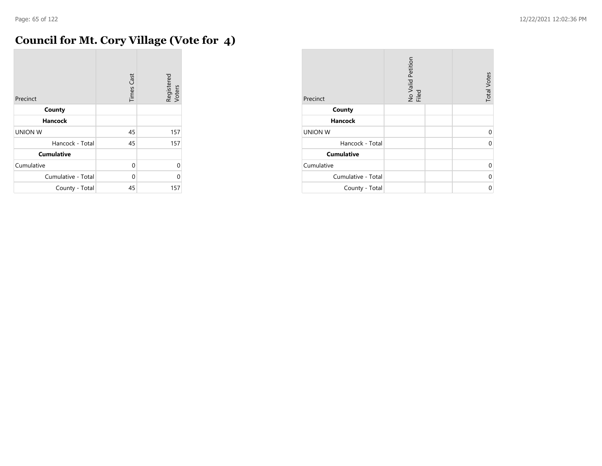## **Council for Mt. Cory Village (Vote for 4)**

| Precinct           | <b>Times Cast</b> | Registered<br>Voters |
|--------------------|-------------------|----------------------|
| County             |                   |                      |
| <b>Hancock</b>     |                   |                      |
| <b>UNION W</b>     | 45                | 157                  |
| Hancock - Total    | 45                | 157                  |
| <b>Cumulative</b>  |                   |                      |
| Cumulative         | 0                 | $\Omega$             |
| Cumulative - Total | 0                 | 0                    |
| County - Total     | 45                | 157                  |

| Precinct           | No Valid Petition<br>Filed | <b>Total Votes</b> |
|--------------------|----------------------------|--------------------|
| County             |                            |                    |
| <b>Hancock</b>     |                            |                    |
| <b>UNION W</b>     |                            | 0                  |
| Hancock - Total    |                            | U                  |
| <b>Cumulative</b>  |                            |                    |
| Cumulative         |                            | 0                  |
| Cumulative - Total |                            | U                  |
| County - Total     |                            | U                  |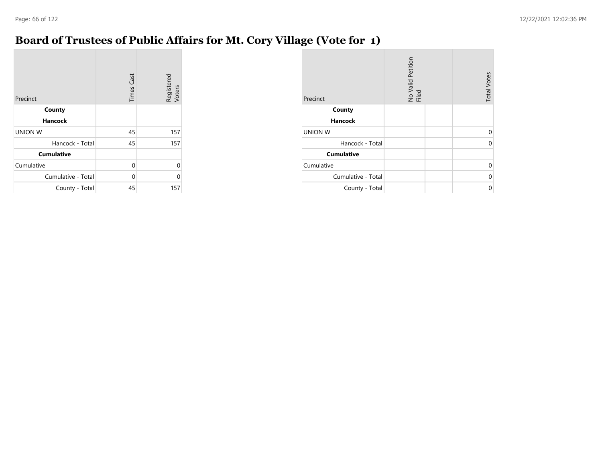### **Board of Trustees of Public Affairs for Mt. Cory Village (Vote for 1)**

| Precinct           | <b>Times Cast</b> | Registered<br>Voters |
|--------------------|-------------------|----------------------|
| County             |                   |                      |
| <b>Hancock</b>     |                   |                      |
| <b>UNION W</b>     | 45                | 157                  |
| Hancock - Total    | 45                | 157                  |
| <b>Cumulative</b>  |                   |                      |
| Cumulative         | 0                 | 0                    |
| Cumulative - Total | $\Omega$          | 0                    |
| County - Total     | 45                | 157                  |

| Precinct           | No Valid Petition<br>Filed | <b>Total Votes</b> |
|--------------------|----------------------------|--------------------|
| County             |                            |                    |
| <b>Hancock</b>     |                            |                    |
| <b>UNION W</b>     |                            | 0                  |
| Hancock - Total    |                            | 0                  |
| <b>Cumulative</b>  |                            |                    |
| Cumulative         |                            | $\Omega$           |
| Cumulative - Total |                            | 0                  |
| County - Total     |                            | 0                  |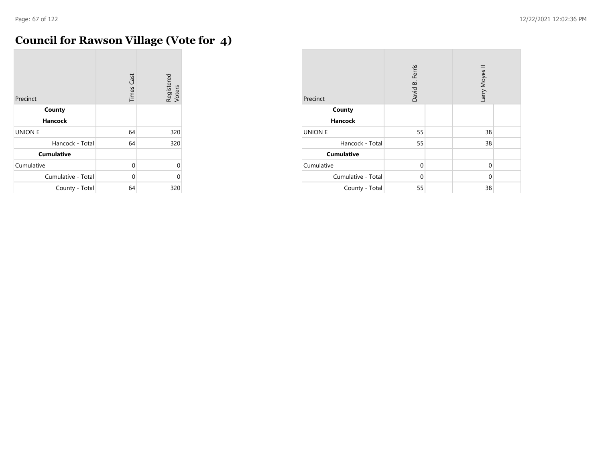$\sim$ 

## **Council for Rawson Village (Vote for 4)**

| Precinct           | <b>Times Cast</b> | Registered<br>Voters |
|--------------------|-------------------|----------------------|
| County             |                   |                      |
| <b>Hancock</b>     |                   |                      |
| <b>UNION E</b>     | 64                | 320                  |
| Hancock - Total    | 64                | 320                  |
| <b>Cumulative</b>  |                   |                      |
| Cumulative         | 0                 | $\Omega$             |
| Cumulative - Total | 0                 | 0                    |
| County - Total     | 64                | 320                  |

| Precinct           | David B. Ferris | Larry Moyes |  |
|--------------------|-----------------|-------------|--|
| County             |                 |             |  |
| <b>Hancock</b>     |                 |             |  |
| <b>UNION E</b>     | 55              | 38          |  |
| Hancock - Total    | 55              | 38          |  |
| <b>Cumulative</b>  |                 |             |  |
| Cumulative         | $\Omega$        | $\mathbf 0$ |  |
| Cumulative - Total | $\Omega$        | $\mathbf 0$ |  |
| County - Total     | 55              | 38          |  |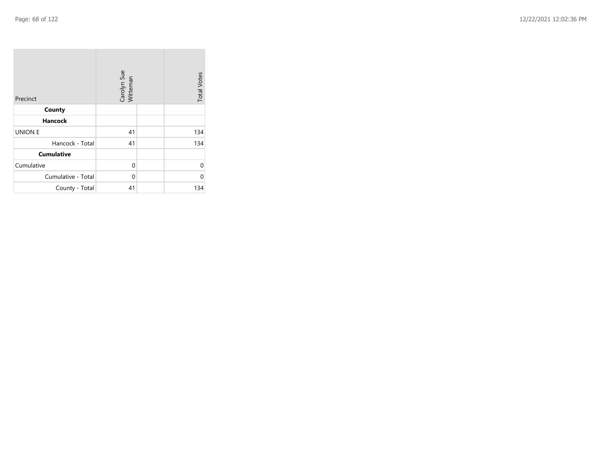| Precinct           | Carolyn Sue<br>Witteman |  | <b>Total Votes</b> |
|--------------------|-------------------------|--|--------------------|
| County             |                         |  |                    |
| <b>Hancock</b>     |                         |  |                    |
| <b>UNION E</b>     | 41                      |  | 134                |
| Hancock - Total    | 41                      |  | 134                |
| <b>Cumulative</b>  |                         |  |                    |
| Cumulative         | 0                       |  | 0                  |
| Cumulative - Total | 0                       |  | 0                  |
| County - Total     | 41                      |  | 134                |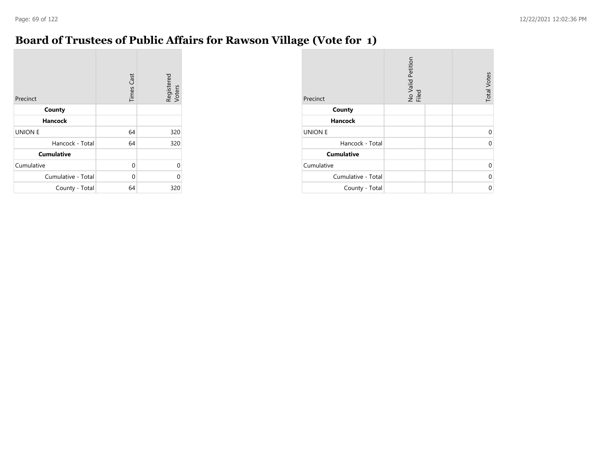### **Board of Trustees of Public Affairs for Rawson Village (Vote for 1)**

| Precinct           | <b>Times Cast</b> | Registered<br>Voters |
|--------------------|-------------------|----------------------|
| County             |                   |                      |
| <b>Hancock</b>     |                   |                      |
| <b>UNION E</b>     | 64                | 320                  |
| Hancock - Total    | 64                | 320                  |
| <b>Cumulative</b>  |                   |                      |
| Cumulative         | $\Omega$          | 0                    |
| Cumulative - Total | $\Omega$          | 0                    |
| County - Total     | 64                | 320                  |

| Precinct           | No Valid Petition<br>Filed | <b>Total Votes</b> |
|--------------------|----------------------------|--------------------|
| County             |                            |                    |
| <b>Hancock</b>     |                            |                    |
| <b>UNION E</b>     |                            | $\Omega$           |
| Hancock - Total    |                            | 0                  |
| <b>Cumulative</b>  |                            |                    |
| Cumulative         |                            | 0                  |
| Cumulative - Total |                            | 0                  |
| County - Total     |                            | 0                  |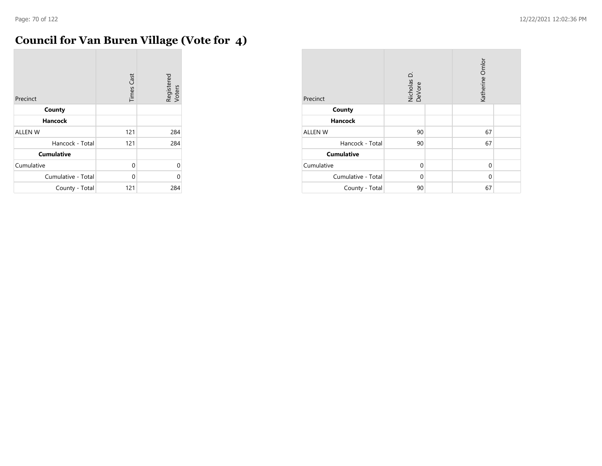## **Council for Van Buren Village (Vote for 4)**

| Precinct           | <b>Times Cast</b> | Registered<br>Voters |
|--------------------|-------------------|----------------------|
| County             |                   |                      |
| <b>Hancock</b>     |                   |                      |
| <b>ALLEN W</b>     | 121               | 284                  |
| Hancock - Total    | 121               | 284                  |
| <b>Cumulative</b>  |                   |                      |
| Cumulative         | 0                 | $\Omega$             |
| Cumulative - Total | $\Omega$          | 0                    |
| County - Total     | 121               | 284                  |

| Precinct           | Nicholas D.<br>DeVore | Katherine Omlor |  |
|--------------------|-----------------------|-----------------|--|
| County             |                       |                 |  |
| <b>Hancock</b>     |                       |                 |  |
| <b>ALLEN W</b>     | 90                    | 67              |  |
| Hancock - Total    | 90                    | 67              |  |
| <b>Cumulative</b>  |                       |                 |  |
| Cumulative         | $\mathbf 0$           | $\mathbf 0$     |  |
| Cumulative - Total | $\Omega$              | $\Omega$        |  |
| County - Total     | 90                    | 67              |  |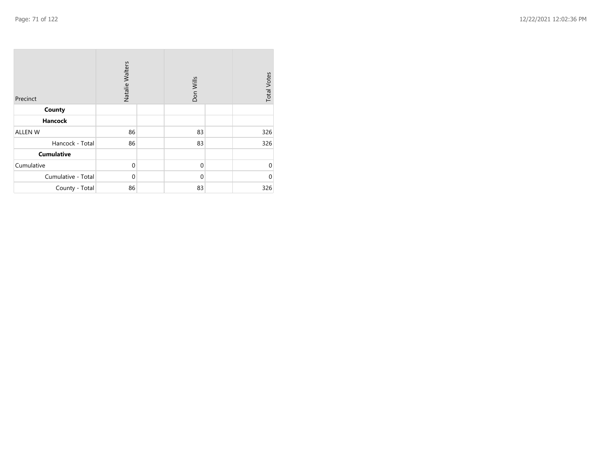| Precinct           | Natalie Walters |  | Don Wills   |  | <b>Total Votes</b> |
|--------------------|-----------------|--|-------------|--|--------------------|
| County             |                 |  |             |  |                    |
| Hancock            |                 |  |             |  |                    |
| <b>ALLEN W</b>     | 86              |  | 83          |  | 326                |
| Hancock - Total    | 86              |  | 83          |  | 326                |
| <b>Cumulative</b>  |                 |  |             |  |                    |
| Cumulative         | $\mathbf 0$     |  | $\mathbf 0$ |  | $\Omega$           |
| Cumulative - Total | $\mathbf 0$     |  | $\Omega$    |  | U                  |
| County - Total     | 86              |  | 83          |  | 326                |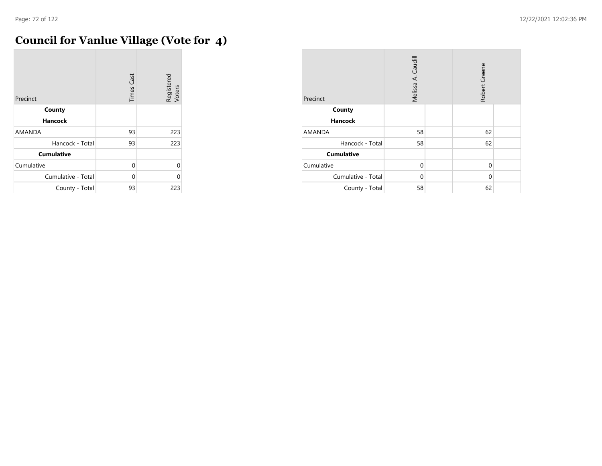÷

## **Council for Vanlue Village (Vote for 4)**

| Precinct           | <b>Times Cast</b> | Registered<br>Voters |
|--------------------|-------------------|----------------------|
| County             |                   |                      |
| <b>Hancock</b>     |                   |                      |
| <b>AMANDA</b>      | 93                | 223                  |
| Hancock - Total    | 93                | 223                  |
| <b>Cumulative</b>  |                   |                      |
| Cumulative         | $\Omega$          | $\Omega$             |
| Cumulative - Total | $\Omega$          | O                    |
| County - Total     | 93                | 223                  |

| Precinct           | Melissa A. Caudill |  | Robert Greene |  |
|--------------------|--------------------|--|---------------|--|
| County             |                    |  |               |  |
| <b>Hancock</b>     |                    |  |               |  |
| AMANDA             | 58                 |  | 62            |  |
| Hancock - Total    | 58                 |  | 62            |  |
| <b>Cumulative</b>  |                    |  |               |  |
| Cumulative         | $\Omega$           |  | $\Omega$      |  |
| Cumulative - Total | $\Omega$           |  | $\Omega$      |  |
| County - Total     | 58                 |  | 62            |  |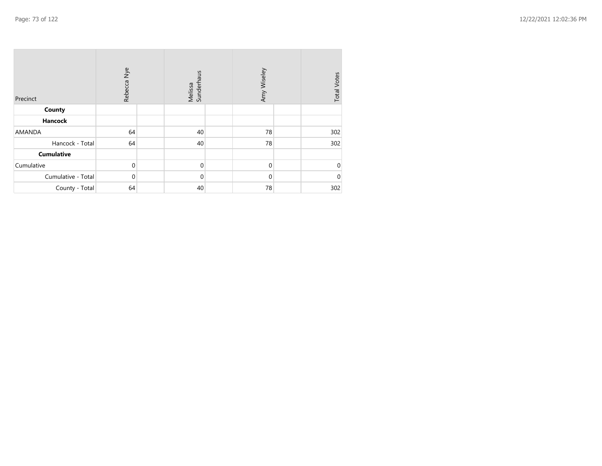| Precinct           | Rebecca Nye | Melissa<br>Sunderhaus | Amy Wiseley  | <b>Total Votes</b> |
|--------------------|-------------|-----------------------|--------------|--------------------|
| County             |             |                       |              |                    |
| Hancock            |             |                       |              |                    |
| <b>AMANDA</b>      | 64          | 40                    | 78           | 302                |
| Hancock - Total    | 64          | 40                    | 78           | 302                |
| <b>Cumulative</b>  |             |                       |              |                    |
| Cumulative         | $\mathbf 0$ | $\mathbf 0$           | $\mathbf{0}$ | $\Omega$           |
| Cumulative - Total | $\mathbf 0$ | $\mathbf 0$           | $\mathbf{0}$ | 0                  |
| County - Total     | 64          | 40                    | 78           | 302                |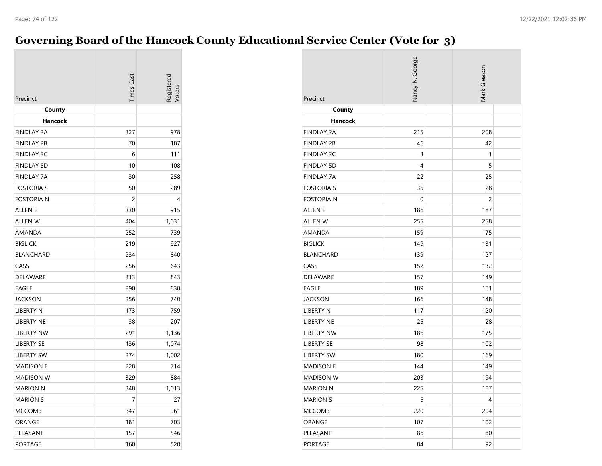### **Governing Board of the Hancock County Educational Service Center (Vote for 3)**

|                   | <b>Times Cas</b> | legistered |
|-------------------|------------------|------------|
| Precinct          |                  |            |
| County            |                  |            |
| Hancock           |                  |            |
| <b>FINDLAY 2A</b> | 327              | 978        |
| <b>FINDLAY 2B</b> | 70               | 187        |
| <b>FINDLAY 2C</b> | 6                | 111        |
| <b>FINDLAY 5D</b> | 10               | 108        |
| <b>FINDLAY 7A</b> | 30               | 258        |
| <b>FOSTORIA S</b> | 50               | 289        |
| <b>FOSTORIA N</b> | 2                | 4          |
| <b>ALLEN E</b>    | 330              | 915        |
| <b>ALLEN W</b>    | 404              | 1,031      |
| AMANDA            | 252              | 739        |
| <b>BIGLICK</b>    | 219              | 927        |
| <b>BLANCHARD</b>  | 234              | 840        |
| CASS              | 256              | 643        |
| DELAWARE          | 313              | 843        |
| <b>EAGLE</b>      | 290              | 838        |
| <b>JACKSON</b>    | 256              | 740        |
| <b>LIBERTY N</b>  | 173              | 759        |
| LIBERTY NE        | 38               | 207        |
| <b>LIBERTY NW</b> | 291              | 1,136      |
| <b>LIBERTY SE</b> | 136              | 1,074      |
| <b>LIBERTY SW</b> | 274              | 1,002      |
| <b>MADISON E</b>  | 228              | 714        |
| <b>MADISON W</b>  | 329              | 884        |
| <b>MARION N</b>   | 348              | 1,013      |
| <b>MARION S</b>   | 7                | 27         |
| <b>MCCOMB</b>     | 347              | 961        |
| ORANGE            | 181              | 703        |
| PLEASANT          | 157              | 546        |
| PORTAGE           | 160              | 520        |

| Precinct          | Nancy N. George | Mark Gleason |
|-------------------|-----------------|--------------|
| County            |                 |              |
| <b>Hancock</b>    |                 |              |
| <b>FINDLAY 2A</b> | 215             | 208          |
| <b>FINDLAY 2B</b> | 46              | 42           |
| <b>FINDLAY 2C</b> | 3               | 1            |
| <b>FINDLAY 5D</b> | 4               | 5            |
| <b>FINDLAY 7A</b> | 22              | 25           |
| <b>FOSTORIA S</b> | 35              | 28           |
| <b>FOSTORIA N</b> | 0               | 2            |
| <b>ALLEN E</b>    | 186             | 187          |
| ALLEN W           | 255             | 258          |
| AMANDA            | 159             | 175          |
| <b>BIGLICK</b>    | 149             | 131          |
| <b>BLANCHARD</b>  | 139             | 127          |
| CASS              | 152             | 132          |
| DELAWARE          | 157             | 149          |
| EAGLE             | 189             | 181          |
| <b>JACKSON</b>    | 166             | 148          |
| <b>LIBERTY N</b>  | 117             | 120          |
| <b>LIBERTY NE</b> | 25              | 28           |
| <b>LIBERTY NW</b> | 186             | 175          |
| LIBERTY SE        | 98              | 102          |
| <b>LIBERTY SW</b> | 180             | 169          |
| <b>MADISON E</b>  | 144             | 149          |
| <b>MADISON W</b>  | 203             | 194          |
| <b>MARION N</b>   | 225             | 187          |
| <b>MARION S</b>   | 5               | 4            |
| MCCOMB            | 220             | 204          |
| ORANGE            | 107             | 102          |
| PLEASANT          | 86              | 80           |
| PORTAGE           | 84              | 92           |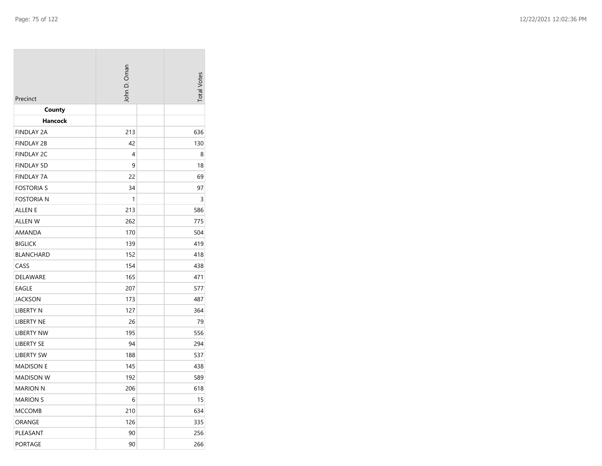| Precinct          | John D. Oman | <b>Total Votes</b> |
|-------------------|--------------|--------------------|
| County            |              |                    |
| Hancock           |              |                    |
| <b>FINDLAY 2A</b> | 213          | 636                |
| <b>FINDLAY 2B</b> | 42           | 130                |
| <b>FINDLAY 2C</b> | 4            | 8                  |
| <b>FINDLAY 5D</b> | 9            | 18                 |
| <b>FINDLAY 7A</b> | 22           | 69                 |
| <b>FOSTORIA S</b> | 34           | 97                 |
| <b>FOSTORIA N</b> | 1            | 3                  |
| ALLEN E           | 213          | 586                |
| ALLEN W           | 262          | 775                |
| AMANDA            | 170          | 504                |
| <b>BIGLICK</b>    | 139          | 419                |
| <b>BLANCHARD</b>  | 152          | 418                |
| CASS              | 154          | 438                |
| DELAWARE          | 165          | 471                |
| <b>EAGLE</b>      | 207          | 577                |
| <b>JACKSON</b>    | 173          | 487                |
| LIBERTY N         | 127          | 364                |
| <b>LIBERTY NE</b> | 26           | 79                 |
| <b>LIBERTY NW</b> | 195          | 556                |
| <b>LIBERTY SE</b> | 94           | 294                |
| <b>LIBERTY SW</b> | 188          | 537                |
| <b>MADISON E</b>  | 145          | 438                |
| <b>MADISON W</b>  | 192          | 589                |
| <b>MARION N</b>   | 206          | 618                |
| <b>MARION S</b>   | 6            | 15                 |
| <b>MCCOMB</b>     | 210          | 634                |
| ORANGE            | 126          | 335                |
| PLEASANT          | 90           | 256                |
| PORTAGE           | 90           | 266                |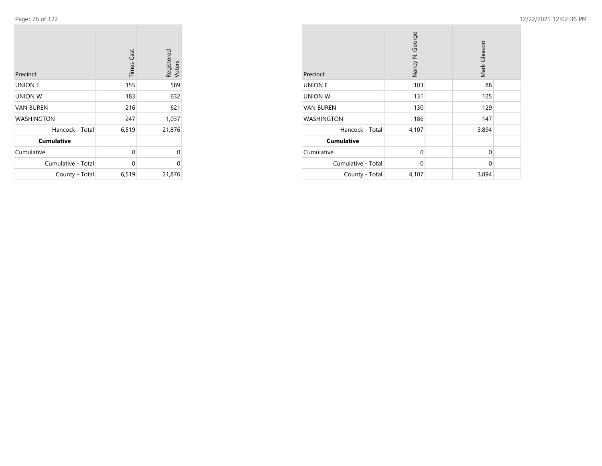$\sim$ 

| Precinct           | <b>Times Cast</b> | Registered<br>Voters |
|--------------------|-------------------|----------------------|
| <b>UNION E</b>     | 155               | 589                  |
| <b>UNION W</b>     | 183               | 632                  |
| <b>VAN BUREN</b>   | 216               | 621                  |
| <b>WASHINGTON</b>  | 247               | 1,037                |
| Hancock - Total    | 6,519             | 21,876               |
| <b>Cumulative</b>  |                   |                      |
| Cumulative         | 0                 | $\Omega$             |
| Cumulative - Total | $\Omega$          | 0                    |
| County - Total     | 6,519             | 21,876               |

| Precinct           | Nancy N. George | Mark Gleason |  |
|--------------------|-----------------|--------------|--|
| <b>UNION E</b>     | 103             | 88           |  |
| <b>UNION W</b>     | 131             | 125          |  |
| <b>VAN BUREN</b>   | 130             | 129          |  |
| <b>WASHINGTON</b>  | 186             | 147          |  |
| Hancock - Total    | 4,107           | 3,894        |  |
| <b>Cumulative</b>  |                 |              |  |
| Cumulative         | $\Omega$        | $\Omega$     |  |
| Cumulative - Total | $\Omega$        | $\Omega$     |  |
| County - Total     | 4,107           | 3,894        |  |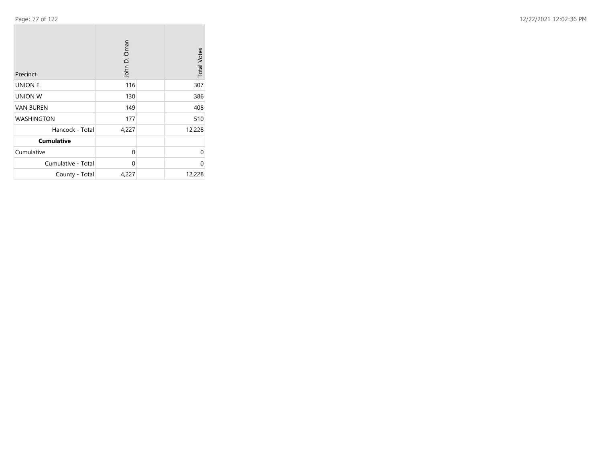**College** 

| Precinct           | John D. Oman | <b>Total Votes</b> |
|--------------------|--------------|--------------------|
| <b>UNION E</b>     | 116          | 307                |
| <b>UNION W</b>     | 130          | 386                |
| <b>VAN BUREN</b>   | 149          | 408                |
| <b>WASHINGTON</b>  | 177          | 510                |
| Hancock - Total    | 4,227        | 12,228             |
| <b>Cumulative</b>  |              |                    |
| Cumulative         | 0            | 0                  |
| Cumulative - Total | 0            | $\Omega$           |
| County - Total     | 4,227        | 12,228             |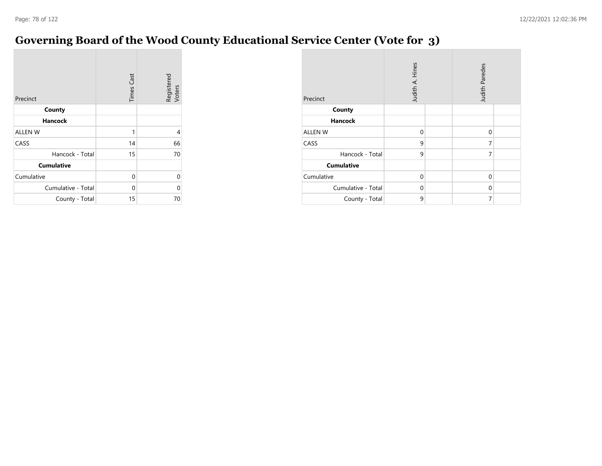#### **Governing Board of the Wood County Educational Service Center (Vote for 3)**

| Precinct           | <b>Times Cast</b> | Registered<br>Voters |
|--------------------|-------------------|----------------------|
| County             |                   |                      |
| <b>Hancock</b>     |                   |                      |
| <b>ALLEN W</b>     | 1                 | 4                    |
| CASS               | 14                | 66                   |
| Hancock - Total    | 15                | 70                   |
| <b>Cumulative</b>  |                   |                      |
| Cumulative         | 0                 | 0                    |
| Cumulative - Total | 0                 | 0                    |
| County - Total     | 15                | 70                   |

| Precinct           | Judith A. Hines<br>Judith Paredes |  |             |  |
|--------------------|-----------------------------------|--|-------------|--|
| County             |                                   |  |             |  |
| <b>Hancock</b>     |                                   |  |             |  |
| <b>ALLEN W</b>     | $\mathbf 0$                       |  | $\mathbf 0$ |  |
| CASS               | 9                                 |  | 7           |  |
| Hancock - Total    | 9                                 |  | 7           |  |
| <b>Cumulative</b>  |                                   |  |             |  |
| Cumulative         | $\mathbf 0$                       |  | 0           |  |
| Cumulative - Total | $\Omega$                          |  | 0           |  |
| County - Total     | 9                                 |  | 7           |  |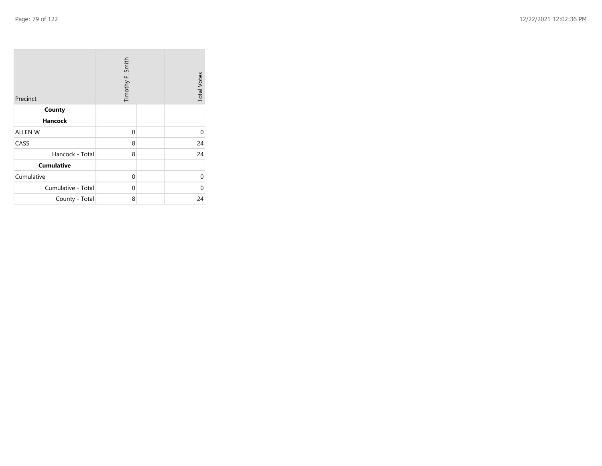| Precinct           | Timothy F. Smith |  | <b>Total Votes</b> |
|--------------------|------------------|--|--------------------|
| County             |                  |  |                    |
| <b>Hancock</b>     |                  |  |                    |
| <b>ALLEN W</b>     | 0                |  | 0                  |
| CASS               | 8                |  | 24                 |
| Hancock - Total    | 8                |  | 24                 |
| <b>Cumulative</b>  |                  |  |                    |
| Cumulative         | $\mathbf 0$      |  | 0                  |
| Cumulative - Total | 0                |  | 0                  |
| County - Total     | 8                |  | 24                 |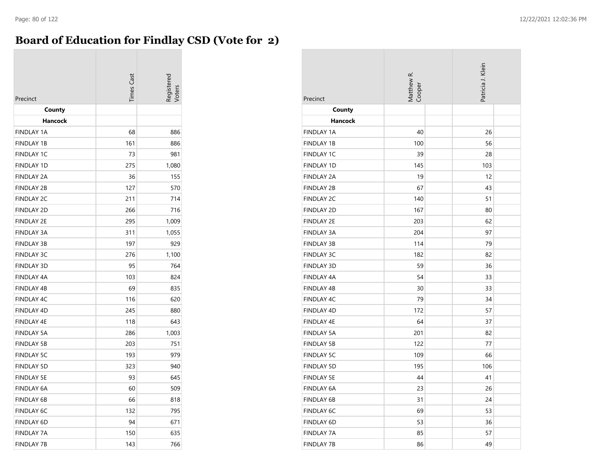# **Board of Education for Findlay CSD (Vote for 2)**

| Precinct          | <b>Times Cast</b> | eqistered<br><b>loter</b> |
|-------------------|-------------------|---------------------------|
| County            |                   |                           |
| Hancock           |                   |                           |
| <b>FINDLAY 1A</b> | 68                | 886                       |
| <b>FINDLAY 1B</b> | 161               | 886                       |
| <b>FINDLAY 1C</b> | 73                | 981                       |
| <b>FINDLAY 1D</b> | 275               | 1,080                     |
| <b>FINDLAY 2A</b> | 36                | 155                       |
| <b>FINDLAY 2B</b> | 127               | 570                       |
| <b>FINDLAY 2C</b> | 211               | 714                       |
| <b>FINDLAY 2D</b> | 266               | 716                       |
| <b>FINDLAY 2E</b> | 295               | 1,009                     |
| <b>FINDLAY 3A</b> | 311               | 1,055                     |
| <b>FINDLAY 3B</b> | 197               | 929                       |
| <b>FINDLAY 3C</b> | 276               | 1,100                     |
| <b>FINDLAY 3D</b> | 95                | 764                       |
| <b>FINDLAY 4A</b> | 103               | 824                       |
| <b>FINDLAY 4B</b> | 69                | 835                       |
| FINDLAY 4C        | 116               | 620                       |
| <b>FINDLAY 4D</b> | 245               | 880                       |
| <b>FINDLAY 4E</b> | 118               | 643                       |
| <b>FINDLAY 5A</b> | 286               | 1,003                     |
| <b>FINDLAY 5B</b> | 203               | 751                       |
| <b>FINDLAY 5C</b> | 193               | 979                       |
| <b>FINDLAY 5D</b> | 323               | 940                       |
| <b>FINDLAY 5E</b> | 93                | 645                       |
| FINDLAY 6A        | 60                | 509                       |
| <b>FINDLAY 6B</b> | 66                | 818                       |
| <b>FINDLAY 6C</b> | 132               | 795                       |
| <b>FINDLAY 6D</b> | 94                | 671                       |
| <b>FINDLAY 7A</b> | 150               | 635                       |
| <b>FINDLAY 7B</b> | 143               | 766                       |

| Precinct          | Matthew R.<br>Cooper | Patricia J. Klein |  |
|-------------------|----------------------|-------------------|--|
| County            |                      |                   |  |
| <b>Hancock</b>    |                      |                   |  |
| <b>FINDLAY 1A</b> | 40                   | 26                |  |
| <b>FINDLAY 1B</b> | 100                  | 56                |  |
| <b>FINDLAY 1C</b> | 39                   | 28                |  |
| <b>FINDLAY 1D</b> | 145                  | 103               |  |
| <b>FINDLAY 2A</b> | 19                   | 12                |  |
| <b>FINDLAY 2B</b> | 67                   | 43                |  |
| <b>FINDLAY 2C</b> | 140                  | 51                |  |
| <b>FINDLAY 2D</b> | 167                  | 80                |  |
| <b>FINDLAY 2E</b> | 203                  | 62                |  |
| <b>FINDLAY 3A</b> | 204                  | 97                |  |
| <b>FINDLAY 3B</b> | 114                  | 79                |  |
| <b>FINDLAY 3C</b> | 182                  | 82                |  |
| <b>FINDLAY 3D</b> | 59                   | 36                |  |
| FINDLAY 4A        | 54                   | 33                |  |
| <b>FINDLAY 4B</b> | 30                   | 33                |  |
| FINDLAY 4C        | 79                   | 34                |  |
| <b>FINDLAY 4D</b> | 172                  | 57                |  |
| <b>FINDLAY 4E</b> | 64                   | 37                |  |
| <b>FINDLAY 5A</b> | 201                  | 82                |  |
| <b>FINDLAY 5B</b> | 122                  | 77                |  |
| <b>FINDLAY 5C</b> | 109                  | 66                |  |
| <b>FINDLAY 5D</b> | 195                  | 106               |  |
| <b>FINDLAY 5E</b> | 44                   | 41                |  |
| FINDLAY 6A        | 23                   | 26                |  |
| FINDLAY 6B        | 31                   | 24                |  |
| <b>FINDLAY 6C</b> | 69                   | 53                |  |
| FINDLAY 6D        | 53                   | 36                |  |
| FINDLAY 7A        | 85                   | 57                |  |
| <b>FINDLAY 7B</b> | 86                   | 49                |  |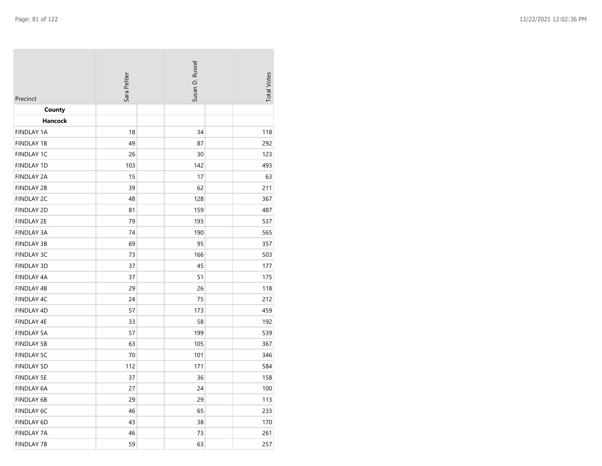| Precinct          | Sara Peltier | Susan D. Russel | <b>Total Votes</b> |
|-------------------|--------------|-----------------|--------------------|
| County            |              |                 |                    |
| <b>Hancock</b>    |              |                 |                    |
| <b>FINDLAY 1A</b> | 18           | 34              | 118                |
| <b>FINDLAY 1B</b> | 49           | 87              | 292                |
| <b>FINDLAY 1C</b> | 26           | 30              | 123                |
| <b>FINDLAY 1D</b> | 103          | 142             | 493                |
| <b>FINDLAY 2A</b> | 15           | 17              | 63                 |
| <b>FINDLAY 2B</b> | 39           | 62              | 211                |
| <b>FINDLAY 2C</b> | 48           | 128             | 367                |
| <b>FINDLAY 2D</b> | 81           | 159             | 487                |
| <b>FINDLAY 2E</b> | 79           | 193             | 537                |
| <b>FINDLAY 3A</b> | 74           | 190             | 565                |
| <b>FINDLAY 3B</b> | 69           | 95              | 357                |
| <b>FINDLAY 3C</b> | 73           | 166             | 503                |
| <b>FINDLAY 3D</b> | 37           | 45              | 177                |
| <b>FINDLAY 4A</b> | 37           | 51              | 175                |
| <b>FINDLAY 4B</b> | 29           | 26              | 118                |
| FINDLAY 4C        | 24           | 75              | 212                |
| FINDLAY 4D        | 57           | 173             | 459                |
| FINDLAY 4E        | 33           | 58              | 192                |
| <b>FINDLAY 5A</b> | 57           | 199             | 539                |
| <b>FINDLAY 5B</b> | 63           | 105             | 367                |
| <b>FINDLAY 5C</b> | 70           | 101             | 346                |
| <b>FINDLAY 5D</b> | 112          | 171             | 584                |
| <b>FINDLAY 5E</b> | 37           | 36              | 158                |
| <b>FINDLAY 6A</b> | 27           | 24              | 100                |
| <b>FINDLAY 6B</b> | 29           | 29              | 113                |
| <b>FINDLAY 6C</b> | 46           | 65              | 233                |
| FINDLAY 6D        | 43           | 38              | 170                |
| <b>FINDLAY 7A</b> | 46           | 73              | 261                |
| <b>FINDLAY 7B</b> | 59           | 63              | 257                |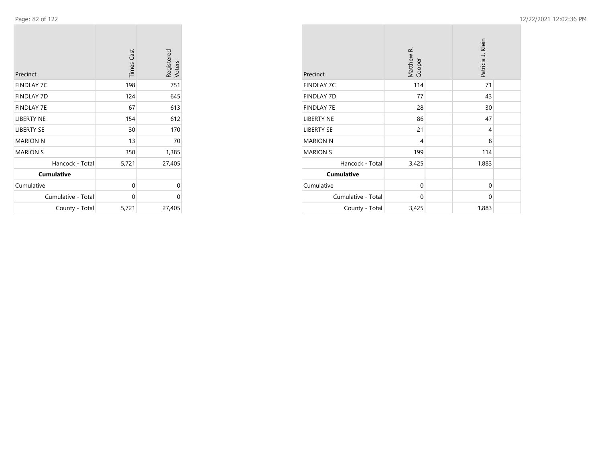**COL** 

 $\mathcal{L}$ 

| Precinct           | <b>Times Cast</b> | Registered<br>Voters |
|--------------------|-------------------|----------------------|
|                    |                   |                      |
| <b>FINDLAY 7C</b>  | 198               | 751                  |
| <b>FINDLAY 7D</b>  | 124               | 645                  |
| <b>FINDLAY 7E</b>  | 67                | 613                  |
| <b>LIBERTY NE</b>  | 154               | 612                  |
| <b>LIBERTY SE</b>  | 30                | 170                  |
| <b>MARION N</b>    | 13                | 70                   |
| <b>MARION S</b>    | 350               | 1,385                |
| Hancock - Total    | 5,721             | 27,405               |
| <b>Cumulative</b>  |                   |                      |
| Cumulative         | 0                 | 0                    |
| Cumulative - Total | 0                 | 0                    |
| County - Total     | 5,721             | 27,405               |

 $\sim$ 

| Precinct           | Matthew R.<br>Cooper | Patricia J. Klein |
|--------------------|----------------------|-------------------|
| <b>FINDLAY 7C</b>  | 114                  | 71                |
| <b>FINDLAY 7D</b>  | 77                   | 43                |
| <b>FINDLAY 7E</b>  | 28                   | 30                |
| <b>LIBERTY NE</b>  | 86                   | 47                |
| <b>LIBERTY SE</b>  | 21                   | 4                 |
| <b>MARION N</b>    | 4                    | 8                 |
| <b>MARION S</b>    | 199                  | 114               |
| Hancock - Total    | 3,425                | 1,883             |
| <b>Cumulative</b>  |                      |                   |
| Cumulative         | $\mathbf 0$          | $\mathbf 0$       |
| Cumulative - Total | $\mathbf 0$          | $\Omega$          |
| County - Total     | 3,425                | 1,883             |

 $\sim$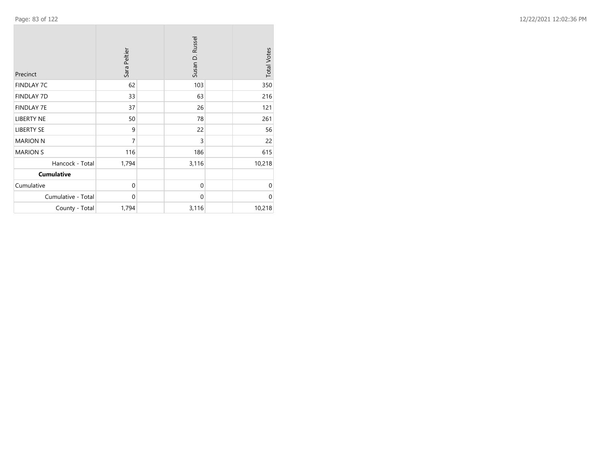| Precinct           | Sara Peltier   | Susan D. Russel | <b>Total Votes</b> |
|--------------------|----------------|-----------------|--------------------|
| <b>FINDLAY 7C</b>  | 62             | 103             | 350                |
| <b>FINDLAY 7D</b>  | 33             | 63              | 216                |
| <b>FINDLAY 7E</b>  | 37             | 26              | 121                |
| <b>LIBERTY NE</b>  | 50             | 78              | 261                |
| <b>LIBERTY SE</b>  | 9              | 22              | 56                 |
| <b>MARION N</b>    | $\overline{7}$ | 3               | 22                 |
| <b>MARION S</b>    | 116            | 186             | 615                |
| Hancock - Total    | 1,794          | 3,116           | 10,218             |
| <b>Cumulative</b>  |                |                 |                    |
| Cumulative         | $\mathbf{0}$   | $\mathbf{0}$    | $\mathbf{0}$       |
| Cumulative - Total | $\mathbf{0}$   | $\mathbf{0}$    | $\mathbf 0$        |
| County - Total     | 1,794          | 3,116           | 10,218             |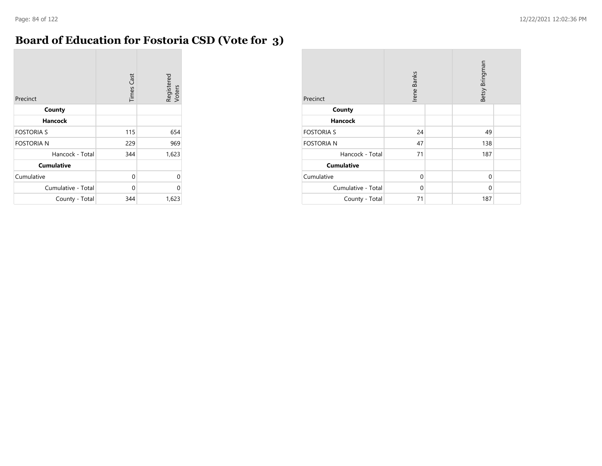#### **Board of Education for Fostoria CSD (Vote for 3)**

| Precinct           | <b>Times Cast</b> | Registered<br>Voters |
|--------------------|-------------------|----------------------|
| County             |                   |                      |
| <b>Hancock</b>     |                   |                      |
| <b>FOSTORIA S</b>  | 115               | 654                  |
| <b>FOSTORIA N</b>  | 229               | 969                  |
| Hancock - Total    | 344               | 1,623                |
| <b>Cumulative</b>  |                   |                      |
| Cumulative         | 0                 | 0                    |
| Cumulative - Total | 0                 | U                    |
| County - Total     | 344               | 1,623                |

| Precinct           | Irene Banks  |  | Betsy Bringman |  |
|--------------------|--------------|--|----------------|--|
| County             |              |  |                |  |
| <b>Hancock</b>     |              |  |                |  |
| <b>FOSTORIA S</b>  | 24           |  | 49             |  |
| <b>FOSTORIA N</b>  | 47           |  | 138            |  |
| Hancock - Total    | 71           |  | 187            |  |
| <b>Cumulative</b>  |              |  |                |  |
| Cumulative         | $\mathbf{0}$ |  | $\mathbf 0$    |  |
| Cumulative - Total | $\mathbf 0$  |  | $\mathbf 0$    |  |
| County - Total     | 71           |  | 187            |  |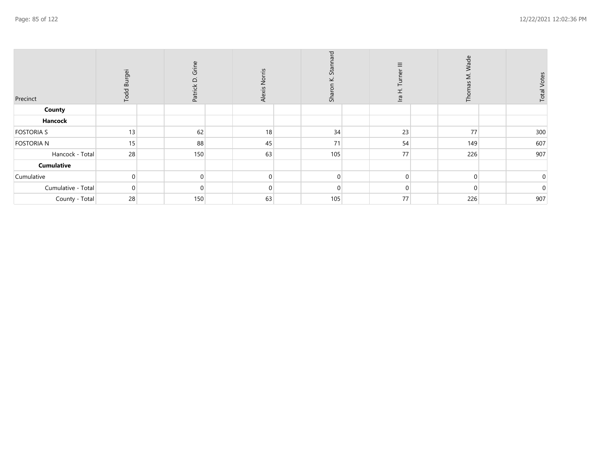| Precinct           | <b>Burgei</b><br>Todd | Grine<br>$\mathsf{\Omega}$<br>Patrick | Norris<br>Alexis | 짇<br>Star<br>Shar | $\overline{a}$ | Wade<br>⋝<br>亡 | <b>Total Votes</b> |
|--------------------|-----------------------|---------------------------------------|------------------|-------------------|----------------|----------------|--------------------|
| County             |                       |                                       |                  |                   |                |                |                    |
| Hancock            |                       |                                       |                  |                   |                |                |                    |
| <b>FOSTORIA S</b>  | 13                    | 62                                    | 18               | 34                | 23             | 77             | 300                |
| <b>FOSTORIA N</b>  | 15                    | 88                                    | 45               | 71                | 54             | 149            | 607                |
| Hancock - Total    | 28                    | 150                                   | 63               | 105               | 77             | 226            | 907                |
| <b>Cumulative</b>  |                       |                                       |                  |                   |                |                |                    |
| Cumulative         |                       | $\mathbf{0}$                          | $\overline{0}$   | $\Omega$          | $\Omega$       | $\Omega$       | $\mathbf 0$        |
| Cumulative - Total |                       | $\Omega$                              | $\overline{0}$   | $\Omega$          |                | $\Omega$       | $\Omega$           |
| County - Total     | 28                    | 150                                   | 63               | 105               | 77             | 226            | 907                |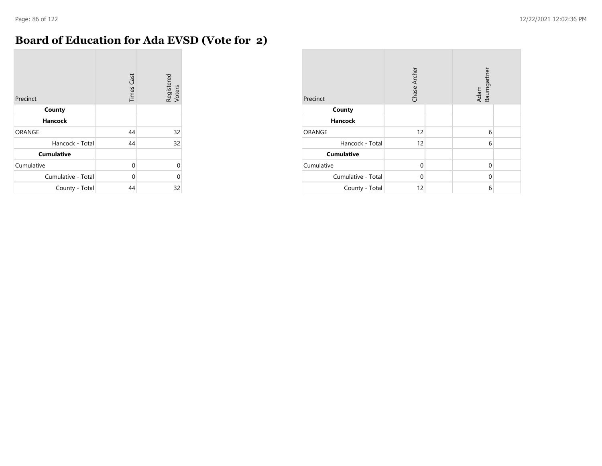$\sim$ 

# **Board of Education for Ada EVSD (Vote for 2)**

| Precinct           | <b>Times Cast</b> | Registered<br>Voters |
|--------------------|-------------------|----------------------|
| County             |                   |                      |
| <b>Hancock</b>     |                   |                      |
| ORANGE             | 44                | 32                   |
| Hancock - Total    | 44                | 32                   |
| <b>Cumulative</b>  |                   |                      |
| Cumulative         | $\Omega$          | $\Omega$             |
| Cumulative - Total | 0                 | 0                    |
| County - Total     | 44                | 32                   |

| Precinct           | Chase Archer | Adam<br>Baumgartner |  |  |
|--------------------|--------------|---------------------|--|--|
| County             |              |                     |  |  |
| <b>Hancock</b>     |              |                     |  |  |
| <b>ORANGE</b>      | 12           | 6                   |  |  |
| Hancock - Total    | 12           | 6                   |  |  |
| <b>Cumulative</b>  |              |                     |  |  |
| Cumulative         | $\Omega$     | $\mathbf 0$         |  |  |
| Cumulative - Total | $\Omega$     | $\Omega$            |  |  |
| County - Total     | 12           | 6                   |  |  |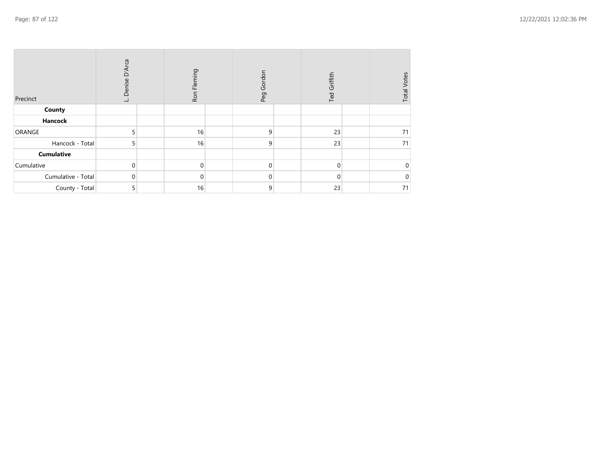| Precinct           | D'Arca<br>Denise<br>نــ | Ron Fleming | Peg Gordon     | Ted Griffith | <b>Total Votes</b> |
|--------------------|-------------------------|-------------|----------------|--------------|--------------------|
| County             |                         |             |                |              |                    |
| Hancock            |                         |             |                |              |                    |
| ORANGE             | 5                       | 16          | 9              | 23           | 71                 |
| Hancock - Total    | 5                       | 16          | 9              | 23           | 71                 |
| Cumulative         |                         |             |                |              |                    |
| Cumulative         | $\Omega$                | $\Omega$    | $\Omega$       | $\mathbf{0}$ |                    |
| Cumulative - Total | $\mathbf{0}$            | O           | $\overline{0}$ | $\Omega$     |                    |
| County - Total     | 5                       | 16          | 9              | 23           | 71                 |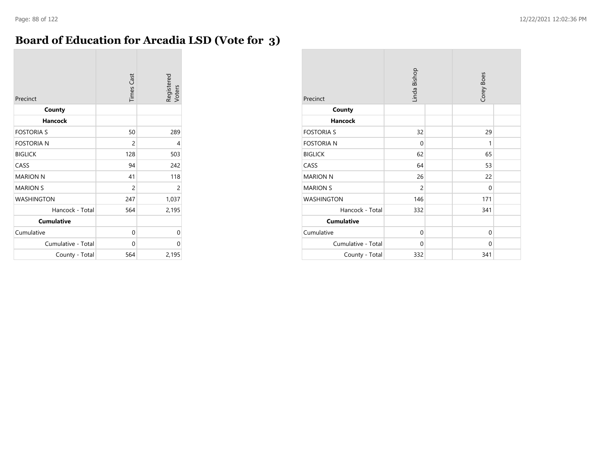#### **Board of Education for Arcadia LSD (Vote for 3)**

| Precinct           | <b>Times Cast</b> | Registered<br>Voters |
|--------------------|-------------------|----------------------|
| County             |                   |                      |
| <b>Hancock</b>     |                   |                      |
| <b>FOSTORIA S</b>  | 50                | 289                  |
| <b>FOSTORIA N</b>  | 2                 | 4                    |
| <b>BIGLICK</b>     | 128               | 503                  |
| CASS               | 94                | 242                  |
| <b>MARION N</b>    | 41                | 118                  |
| <b>MARION S</b>    | $\overline{2}$    | 2                    |
| <b>WASHINGTON</b>  | 247               | 1,037                |
| Hancock - Total    | 564               | 2,195                |
| <b>Cumulative</b>  |                   |                      |
| Cumulative         | 0                 | 0                    |
| Cumulative - Total | $\Omega$          | 0                    |
| County - Total     | 564               | 2,195                |

| Precinct           | Linda Bishop   |  | Corey Boes   |  |
|--------------------|----------------|--|--------------|--|
| County             |                |  |              |  |
| <b>Hancock</b>     |                |  |              |  |
| <b>FOSTORIA S</b>  | 32             |  | 29           |  |
| <b>FOSTORIA N</b>  | $\mathbf 0$    |  | 1            |  |
| <b>BIGLICK</b>     | 62             |  | 65           |  |
| CASS               | 64             |  | 53           |  |
| <b>MARION N</b>    | 26             |  | 22           |  |
| <b>MARION S</b>    | $\overline{2}$ |  | $\mathbf 0$  |  |
| <b>WASHINGTON</b>  | 146            |  | 171          |  |
| Hancock - Total    | 332            |  | 341          |  |
| <b>Cumulative</b>  |                |  |              |  |
| Cumulative         | $\mathbf 0$    |  | $\mathbf{0}$ |  |
| Cumulative - Total | $\mathbf 0$    |  | $\mathbf 0$  |  |
| County - Total     | 332            |  | 341          |  |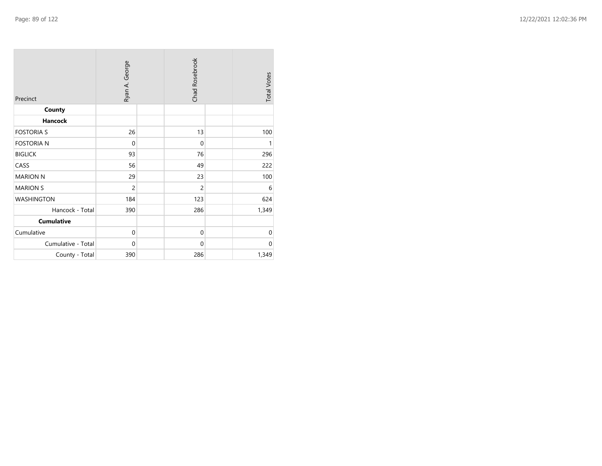| Precinct           | Ryan A. George |  | Chad Rosebrook |  | <b>Total Votes</b> |
|--------------------|----------------|--|----------------|--|--------------------|
| County             |                |  |                |  |                    |
| <b>Hancock</b>     |                |  |                |  |                    |
| <b>FOSTORIA S</b>  | 26             |  | 13             |  | 100                |
| <b>FOSTORIA N</b>  | $\mathbf 0$    |  | $\mathbf{0}$   |  | 1                  |
| <b>BIGLICK</b>     | 93             |  | 76             |  | 296                |
| CASS               | 56             |  | 49             |  | 222                |
| <b>MARION N</b>    | 29             |  | 23             |  | 100                |
| <b>MARION S</b>    | $\overline{c}$ |  | $\overline{c}$ |  | 6                  |
| <b>WASHINGTON</b>  | 184            |  | 123            |  | 624                |
| Hancock - Total    | 390            |  | 286            |  | 1,349              |
| <b>Cumulative</b>  |                |  |                |  |                    |
| Cumulative         | $\mathbf{0}$   |  | $\mathbf{0}$   |  | $\mathbf 0$        |
| Cumulative - Total | $\mathbf 0$    |  | $\mathbf 0$    |  | $\mathbf 0$        |
| County - Total     | 390            |  | 286            |  | 1,349              |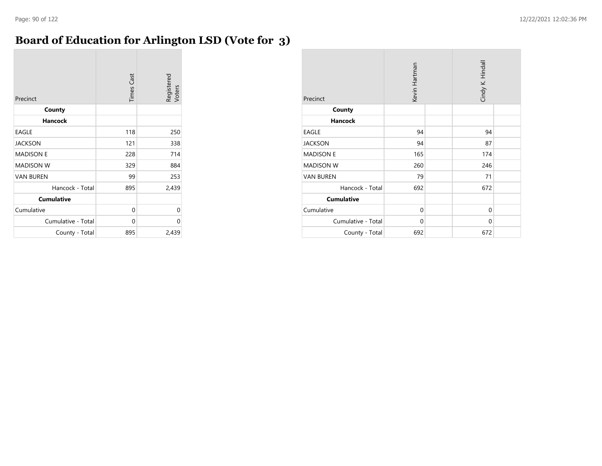### **Board of Education for Arlington LSD (Vote for 3)**

| Precinct           | <b>Times Cast</b> | Registered<br>Voters |
|--------------------|-------------------|----------------------|
| County             |                   |                      |
| <b>Hancock</b>     |                   |                      |
| EAGLE              | 118               | 250                  |
| <b>JACKSON</b>     | 121               | 338                  |
| <b>MADISON E</b>   | 228               | 714                  |
| <b>MADISON W</b>   | 329               | 884                  |
| <b>VAN BUREN</b>   | 99                | 253                  |
| Hancock - Total    | 895               | 2,439                |
| <b>Cumulative</b>  |                   |                      |
| Cumulative         | 0                 | 0                    |
| Cumulative - Total | $\Omega$          | 0                    |
| County - Total     | 895               | 2,439                |

| Precinct           | Kevin Hartman | Cindy K. Hindall |  |
|--------------------|---------------|------------------|--|
| County             |               |                  |  |
| <b>Hancock</b>     |               |                  |  |
| <b>EAGLE</b>       | 94            | 94               |  |
| <b>JACKSON</b>     | 94            | 87               |  |
| <b>MADISON E</b>   | 165           | 174              |  |
| <b>MADISON W</b>   | 260           | 246              |  |
| <b>VAN BUREN</b>   | 79            | 71               |  |
| Hancock - Total    | 692           | 672              |  |
| <b>Cumulative</b>  |               |                  |  |
| Cumulative         | $\mathbf 0$   | $\Omega$         |  |
| Cumulative - Total | $\mathbf 0$   | $\mathbf 0$      |  |
| County - Total     | 692           | 672              |  |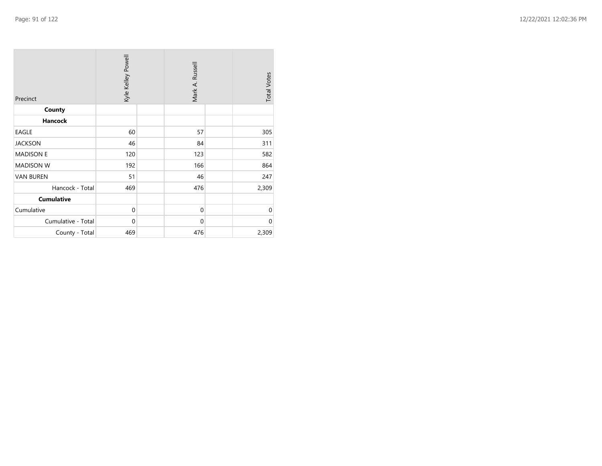| Precinct           | Kyle Kelley Powell | Mark A. Russell | <b>Total Votes</b> |
|--------------------|--------------------|-----------------|--------------------|
| County             |                    |                 |                    |
| <b>Hancock</b>     |                    |                 |                    |
| <b>EAGLE</b>       | 60                 | 57              | 305                |
| <b>JACKSON</b>     | 46                 | 84              | 311                |
| <b>MADISON E</b>   | 120                | 123             | 582                |
| <b>MADISON W</b>   | 192                | 166             | 864                |
| <b>VAN BUREN</b>   | 51                 | 46              | 247                |
| Hancock - Total    | 469                | 476             | 2,309              |
| <b>Cumulative</b>  |                    |                 |                    |
| Cumulative         | $\mathbf 0$        | $\mathbf{0}$    | $\mathbf 0$        |
| Cumulative - Total | $\mathbf{0}$       | $\Omega$        | $\Omega$           |
| County - Total     | 469                | 476             | 2,309              |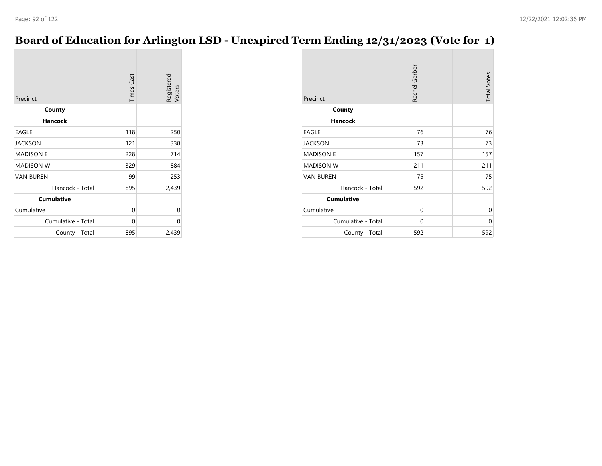#### **Board of Education for Arlington LSD - Unexpired Term Ending 12/31/2023 (Vote for 1)**

| Precinct           | <b>Times Cast</b> | Registered<br>Voters |
|--------------------|-------------------|----------------------|
| County             |                   |                      |
| <b>Hancock</b>     |                   |                      |
| EAGLE              | 118               | 250                  |
| <b>JACKSON</b>     | 121               | 338                  |
| <b>MADISON E</b>   | 228               | 714                  |
| <b>MADISON W</b>   | 329               | 884                  |
| <b>VAN BUREN</b>   | 99                | 253                  |
| Hancock - Total    | 895               | 2,439                |
| <b>Cumulative</b>  |                   |                      |
| Cumulative         | 0                 | 0                    |
| Cumulative - Total | $\Omega$          | 0                    |
| County - Total     | 895               | 2,439                |

| Precinct           | Rachel Gerber | <b>Total Votes</b> |
|--------------------|---------------|--------------------|
| County             |               |                    |
| <b>Hancock</b>     |               |                    |
| <b>EAGLE</b>       | 76            | 76                 |
| <b>JACKSON</b>     | 73            | 73                 |
| <b>MADISON E</b>   | 157           | 157                |
| <b>MADISON W</b>   | 211           | 211                |
| <b>VAN BUREN</b>   | 75            | 75                 |
| Hancock - Total    | 592           | 592                |
| <b>Cumulative</b>  |               |                    |
| Cumulative         | 0             | 0                  |
| Cumulative - Total | 0             | 0                  |
| County - Total     | 592           | 592                |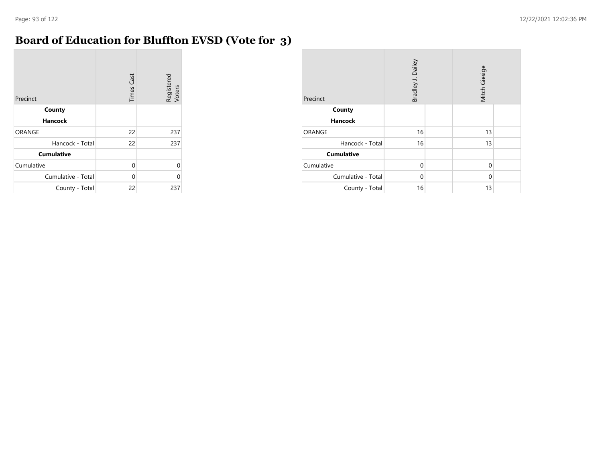**COL** 

#### **Board of Education for Bluffton EVSD (Vote for 3)**

| Precinct           | <b>Times Cast</b> | Registered<br>Voters |
|--------------------|-------------------|----------------------|
| County             |                   |                      |
| <b>Hancock</b>     |                   |                      |
| ORANGE             | 22                | 237                  |
| Hancock - Total    | 22                | 237                  |
| <b>Cumulative</b>  |                   |                      |
| Cumulative         | 0                 | O                    |
| Cumulative - Total | 0                 | U                    |
| County - Total     | 22                | 237                  |

| Precinct           | Bradley J. Dailey | Mitch Giesige |  |
|--------------------|-------------------|---------------|--|
| County             |                   |               |  |
| <b>Hancock</b>     |                   |               |  |
| ORANGE             | 16                | 13            |  |
| Hancock - Total    | 16                | 13            |  |
| <b>Cumulative</b>  |                   |               |  |
| Cumulative         | $\Omega$          | $\Omega$      |  |
| Cumulative - Total | $\Omega$          | $\Omega$      |  |
| County - Total     | 16                | 13            |  |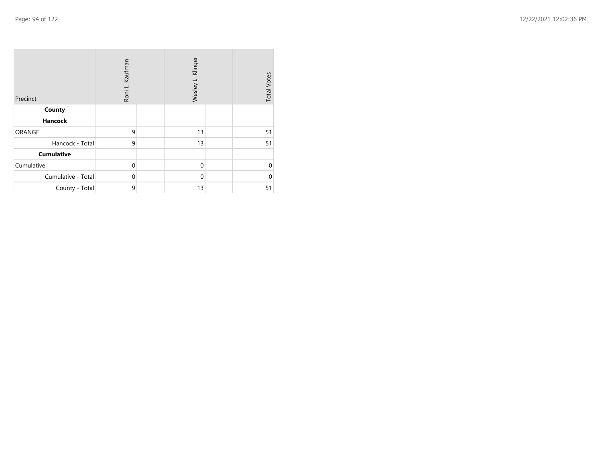| Precinct           | Roni L. Kaufman |  | Klinger<br>Wesley L. |  | <b>Total Votes</b> |
|--------------------|-----------------|--|----------------------|--|--------------------|
| County             |                 |  |                      |  |                    |
| Hancock            |                 |  |                      |  |                    |
| <b>ORANGE</b>      | 9               |  | 13                   |  | 51                 |
| Hancock - Total    | 9               |  | 13                   |  | 51                 |
| <b>Cumulative</b>  |                 |  |                      |  |                    |
| Cumulative         | $\mathbf 0$     |  | $\mathbf 0$          |  | $\Omega$           |
| Cumulative - Total | $\mathbf 0$     |  | $\Omega$             |  | $\Omega$           |
| County - Total     | 9               |  | 13                   |  | 51                 |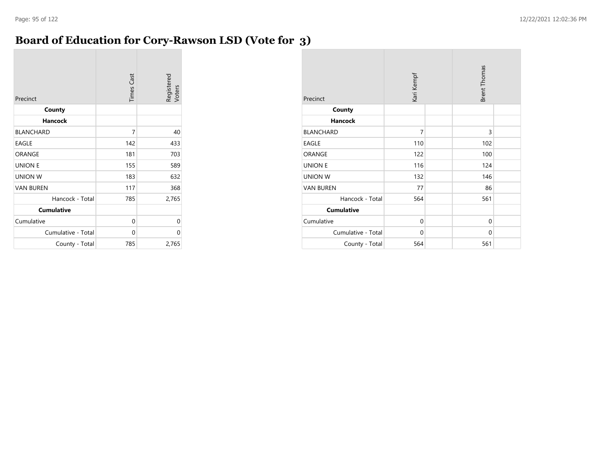#### **Board of Education for Cory-Rawson LSD (Vote for 3)**

| Precinct           | <b>Times Cast</b> | Registered<br>Voters |
|--------------------|-------------------|----------------------|
| County             |                   |                      |
| <b>Hancock</b>     |                   |                      |
| <b>BLANCHARD</b>   | 7                 | 40                   |
| <b>EAGLE</b>       | 142               | 433                  |
| ORANGE             | 181               | 703                  |
| <b>UNION E</b>     | 155               | 589                  |
| <b>UNION W</b>     | 183               | 632                  |
| <b>VAN BUREN</b>   | 117               | 368                  |
| Hancock - Total    | 785               | 2,765                |
| <b>Cumulative</b>  |                   |                      |
| Cumulative         | 0                 | 0                    |
| Cumulative - Total | $\Omega$          | 0                    |
| County - Total     | 785               | 2,765                |

| Precinct           | Kari Kempf     | <b>Brent Thomas</b> |  |
|--------------------|----------------|---------------------|--|
| County             |                |                     |  |
| <b>Hancock</b>     |                |                     |  |
| <b>BLANCHARD</b>   | $\overline{7}$ | 3                   |  |
| <b>EAGLE</b>       | 110            | 102                 |  |
| ORANGE             | 122            | 100                 |  |
| <b>UNION E</b>     | 116            | 124                 |  |
| <b>UNION W</b>     | 132            | 146                 |  |
| <b>VAN BUREN</b>   | 77             | 86                  |  |
| Hancock - Total    | 564            | 561                 |  |
| <b>Cumulative</b>  |                |                     |  |
| Cumulative         | $\mathbf 0$    | $\mathbf{0}$        |  |
| Cumulative - Total | $\mathbf 0$    | $\Omega$            |  |
| County - Total     | 564            | 561                 |  |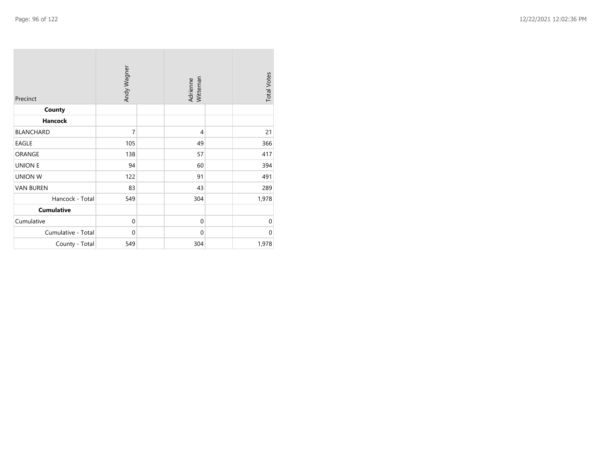| Precinct           | Andy Wagner    |  | Adrienne<br>Witteman |  | <b>Total Votes</b> |
|--------------------|----------------|--|----------------------|--|--------------------|
| County             |                |  |                      |  |                    |
| <b>Hancock</b>     |                |  |                      |  |                    |
| <b>BLANCHARD</b>   | $\overline{7}$ |  | $\overline{4}$       |  | 21                 |
| EAGLE              | 105            |  | 49                   |  | 366                |
| ORANGE             | 138            |  | 57                   |  | 417                |
| <b>UNION E</b>     | 94             |  | 60                   |  | 394                |
| <b>UNION W</b>     | 122            |  | 91                   |  | 491                |
| <b>VAN BUREN</b>   | 83             |  | 43                   |  | 289                |
| Hancock - Total    | 549            |  | 304                  |  | 1,978              |
| <b>Cumulative</b>  |                |  |                      |  |                    |
| Cumulative         | $\mathbf 0$    |  | $\mathbf{0}$         |  | $\overline{0}$     |
| Cumulative - Total | $\mathbf 0$    |  | $\mathbf{0}$         |  | 0                  |
| County - Total     | 549            |  | 304                  |  | 1,978              |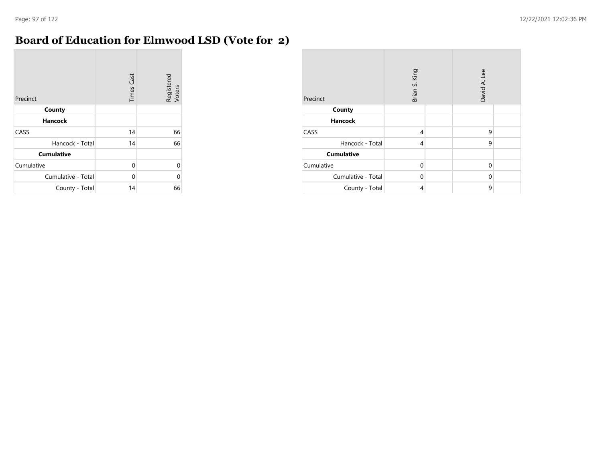÷

# **Board of Education for Elmwood LSD (Vote for 2)**

| Precinct           | <b>Times Cast</b> | Registered<br>Voters |
|--------------------|-------------------|----------------------|
| County             |                   |                      |
| <b>Hancock</b>     |                   |                      |
| CASS               | 14                | 66                   |
| Hancock - Total    | 14                | 66                   |
| <b>Cumulative</b>  |                   |                      |
| Cumulative         | 0                 | $\Omega$             |
| Cumulative - Total | $\Omega$          | 0                    |
| County - Total     | 14                | 66                   |

| Precinct           | Brian S. King  |  | Lee<br>David A. |  |
|--------------------|----------------|--|-----------------|--|
| County             |                |  |                 |  |
| <b>Hancock</b>     |                |  |                 |  |
| CASS               | $\overline{4}$ |  | 9               |  |
| Hancock - Total    | 4              |  | 9               |  |
| <b>Cumulative</b>  |                |  |                 |  |
| Cumulative         | $\Omega$       |  | $\Omega$        |  |
| Cumulative - Total | $\Omega$       |  | $\Omega$        |  |
| County - Total     | 4              |  | 9               |  |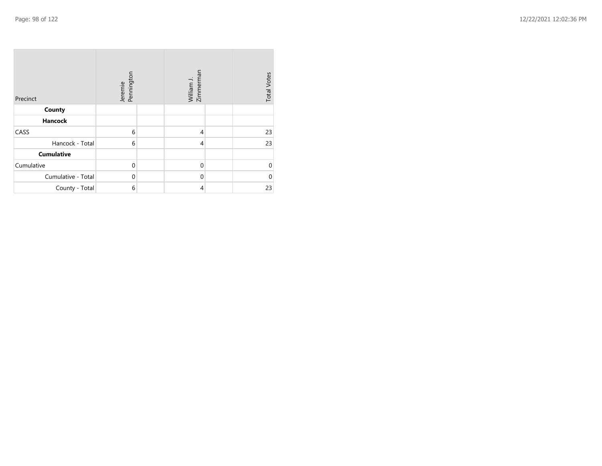| Precinct           | Jeremie<br>Pennington | Zimmerman<br>William J. | <b>Total Votes</b> |
|--------------------|-----------------------|-------------------------|--------------------|
| County             |                       |                         |                    |
| Hancock            |                       |                         |                    |
| CASS               | 6                     | $\overline{4}$          | 23                 |
| Hancock - Total    | 6                     | $\overline{4}$          | 23                 |
| <b>Cumulative</b>  |                       |                         |                    |
| Cumulative         | $\mathbf 0$           | $\Omega$                | $\Omega$           |
| Cumulative - Total | $\mathbf{0}$          | $\Omega$                | 0                  |
| County - Total     | 6                     | 4                       | 23                 |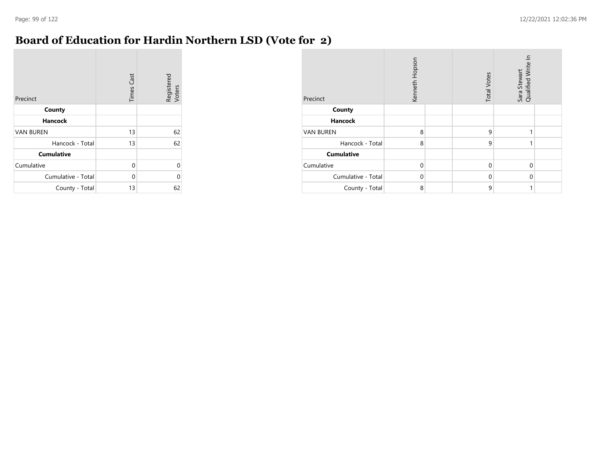**College** 

#### **Board of Education for Hardin Northern LSD (Vote for 2)**

| Precinct           | <b>Times Cast</b> | Registered<br>Voters |
|--------------------|-------------------|----------------------|
| County             |                   |                      |
| <b>Hancock</b>     |                   |                      |
| <b>VAN BUREN</b>   | 13                | 62                   |
| Hancock - Total    | 13                | 62                   |
| <b>Cumulative</b>  |                   |                      |
| Cumulative         | 0                 | 0                    |
| Cumulative - Total | $\Omega$          | 0                    |
| County - Total     | 13                | 62                   |

| Precinct           | Kenneth Hopson |  | <b>Total Votes</b> | Sara Stewart<br>Qualified Write In |  |
|--------------------|----------------|--|--------------------|------------------------------------|--|
| County             |                |  |                    |                                    |  |
| <b>Hancock</b>     |                |  |                    |                                    |  |
| <b>VAN BUREN</b>   | 8              |  | 9                  | 1                                  |  |
| Hancock - Total    | 8              |  | 9                  | 1                                  |  |
| <b>Cumulative</b>  |                |  |                    |                                    |  |
| Cumulative         | $\Omega$       |  | $\mathbf 0$        | $\mathbf 0$                        |  |
| Cumulative - Total | $\Omega$       |  | $\mathbf 0$        | $\Omega$                           |  |
| County - Total     | 8              |  | 9                  | 1                                  |  |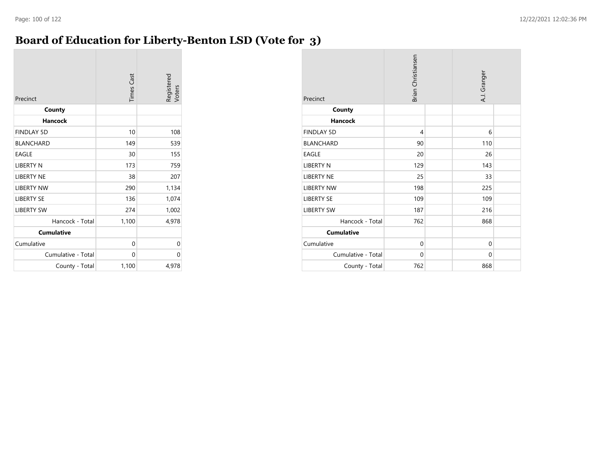#### **Board of Education for Liberty-Benton LSD (Vote for 3)**

| Precinct           | <b>Times Cast</b> | Registered<br>Voters |
|--------------------|-------------------|----------------------|
| County             |                   |                      |
| <b>Hancock</b>     |                   |                      |
| <b>FINDLAY 5D</b>  | 10                | 108                  |
| <b>BLANCHARD</b>   | 149               | 539                  |
| <b>EAGLE</b>       | 30                | 155                  |
| <b>LIBERTY N</b>   | 173               | 759                  |
| <b>LIBERTY NE</b>  | 38                | 207                  |
| <b>LIBERTY NW</b>  | 290               | 1,134                |
| <b>LIBERTY SE</b>  | 136               | 1,074                |
| <b>LIBERTY SW</b>  | 274               | 1,002                |
| Hancock - Total    | 1,100             | 4,978                |
| <b>Cumulative</b>  |                   |                      |
| Cumulative         | 0                 | 0                    |
| Cumulative - Total | 0                 | 0                    |
| County - Total     | 1,100             | 4,978                |

| Precinct           | Brian Christiansen |  | A.J. Granger |  |
|--------------------|--------------------|--|--------------|--|
| County             |                    |  |              |  |
| <b>Hancock</b>     |                    |  |              |  |
| <b>FINDLAY 5D</b>  | $\overline{4}$     |  | 6            |  |
| <b>BLANCHARD</b>   | 90                 |  | 110          |  |
| <b>EAGLE</b>       | 20                 |  | 26           |  |
| <b>LIBERTY N</b>   | 129                |  | 143          |  |
| <b>LIBERTY NE</b>  | 25                 |  | 33           |  |
| <b>LIBERTY NW</b>  | 198                |  | 225          |  |
| <b>LIBERTY SE</b>  | 109                |  | 109          |  |
| <b>LIBERTY SW</b>  | 187                |  | 216          |  |
| Hancock - Total    | 762                |  | 868          |  |
| <b>Cumulative</b>  |                    |  |              |  |
| Cumulative         | $\mathbf 0$        |  | $\Omega$     |  |
| Cumulative - Total | 0                  |  | 0            |  |
| County - Total     | 762                |  | 868          |  |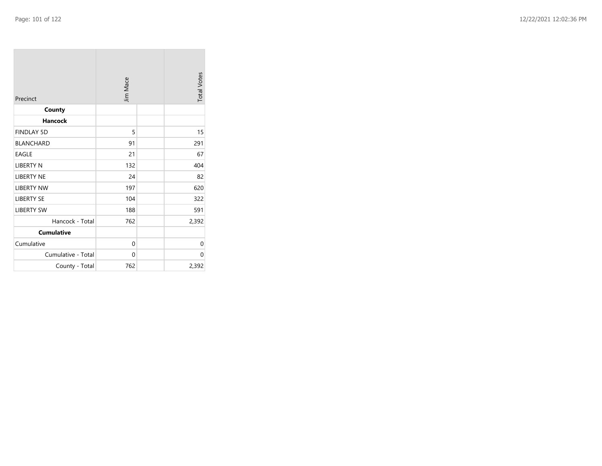| Precinct           | Jim Mace | <b>Total Votes</b> |       |
|--------------------|----------|--------------------|-------|
| County             |          |                    |       |
| <b>Hancock</b>     |          |                    |       |
| <b>FINDLAY 5D</b>  | 5        |                    | 15    |
| <b>BLANCHARD</b>   | 91       |                    | 291   |
| EAGLE              | 21       |                    | 67    |
| <b>LIBERTY N</b>   | 132      |                    | 404   |
| <b>LIBERTY NE</b>  | 24       |                    | 82    |
| <b>LIBERTY NW</b>  | 197      |                    | 620   |
| <b>LIBERTY SE</b>  | 104      |                    | 322   |
| <b>LIBERTY SW</b>  | 188      |                    | 591   |
| Hancock - Total    | 762      |                    | 2,392 |
| <b>Cumulative</b>  |          |                    |       |
| Cumulative         | 0        |                    | 0     |
| Cumulative - Total | 0        |                    | 0     |
| County - Total     | 762      |                    | 2,392 |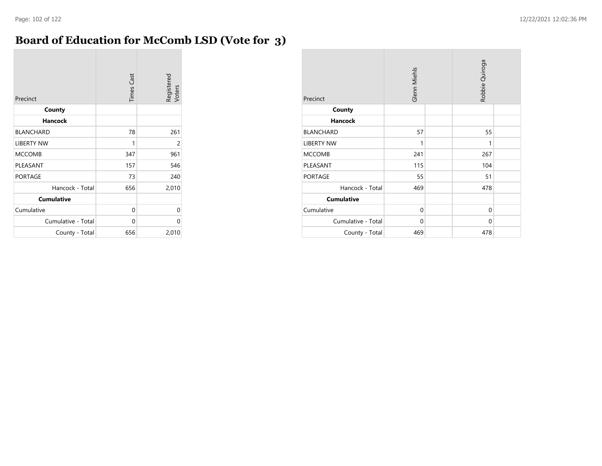#### **Board of Education for McComb LSD (Vote for 3)**

| Precinct           | <b>Times Cast</b> | Registered<br>Voters |
|--------------------|-------------------|----------------------|
| County             |                   |                      |
| <b>Hancock</b>     |                   |                      |
| <b>BLANCHARD</b>   | 78                | 261                  |
| <b>LIBERTY NW</b>  | 1                 | 2                    |
| <b>MCCOMB</b>      | 347               | 961                  |
| PLEASANT           | 157               | 546                  |
| <b>PORTAGE</b>     | 73                | 240                  |
| Hancock - Total    | 656               | 2,010                |
| <b>Cumulative</b>  |                   |                      |
| Cumulative         | $\Omega$          | 0                    |
| Cumulative - Total | 0                 | 0                    |
| County - Total     | 656               | 2,010                |

| Precinct           | Glenn Miehls |  | Robbie Quiroga |  |
|--------------------|--------------|--|----------------|--|
| County             |              |  |                |  |
| <b>Hancock</b>     |              |  |                |  |
| <b>BLANCHARD</b>   | 57           |  | 55             |  |
| <b>LIBERTY NW</b>  | 1            |  | 1              |  |
| <b>MCCOMB</b>      | 241          |  | 267            |  |
| PLEASANT           | 115          |  | 104            |  |
| <b>PORTAGE</b>     | 55           |  | 51             |  |
| Hancock - Total    | 469          |  | 478            |  |
| <b>Cumulative</b>  |              |  |                |  |
| Cumulative         | 0            |  | $\mathbf 0$    |  |
| Cumulative - Total | 0            |  | $\mathbf 0$    |  |
| County - Total     | 469          |  | 478            |  |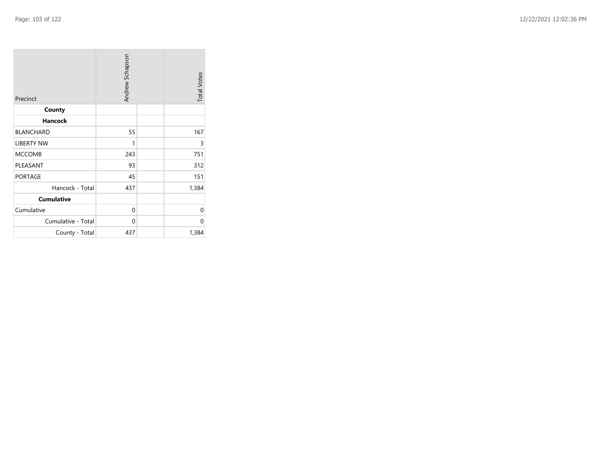| Precinct           | Andrew Schapson |  | <b>Total Votes</b> |
|--------------------|-----------------|--|--------------------|
| County             |                 |  |                    |
| <b>Hancock</b>     |                 |  |                    |
| <b>BLANCHARD</b>   | 55              |  | 167                |
| <b>LIBERTY NW</b>  | 1               |  | 3                  |
| <b>MCCOMB</b>      | 243             |  | 751                |
| PLEASANT           | 93              |  | 312                |
| <b>PORTAGE</b>     | 45              |  | 151                |
| Hancock - Total    | 437             |  | 1,384              |
| <b>Cumulative</b>  |                 |  |                    |
| Cumulative         | 0               |  | 0                  |
| Cumulative - Total | 0               |  | 0                  |
| County - Total     | 437             |  | 1,384              |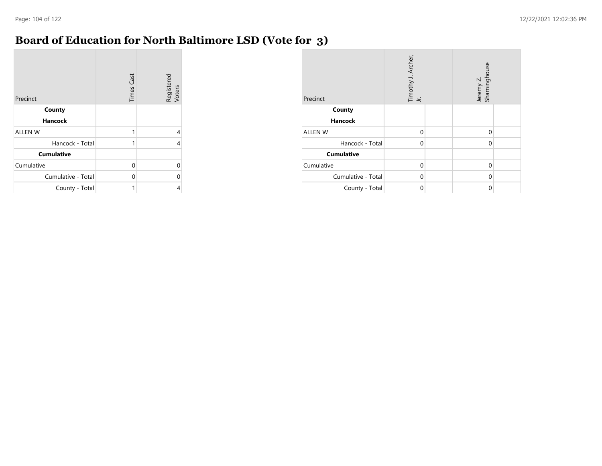m.

#### **Board of Education for North Baltimore LSD (Vote for 3)**

| Precinct           | <b>Times Cast</b> | Registered<br>Voters |
|--------------------|-------------------|----------------------|
| County             |                   |                      |
| Hancock            |                   |                      |
| <b>ALLEN W</b>     | 1                 | 4                    |
| Hancock - Total    | 1                 | 4                    |
| <b>Cumulative</b>  |                   |                      |
| Cumulative         | $\Omega$          |                      |
| Cumulative - Total | 0                 |                      |
| County - Total     | 1                 | 4                    |

| Precinct           | Timothy J. Archer,<br>Jr. | Jeremy Z.<br>Sharninghouse |  |
|--------------------|---------------------------|----------------------------|--|
| County             |                           |                            |  |
| <b>Hancock</b>     |                           |                            |  |
| <b>ALLEN W</b>     | $\Omega$                  | 0                          |  |
| Hancock - Total    | $\Omega$                  | $\Omega$                   |  |
| <b>Cumulative</b>  |                           |                            |  |
| Cumulative         | $\Omega$                  | 0                          |  |
| Cumulative - Total | $\Omega$                  | $\Omega$                   |  |
| County - Total     | 0                         | 0                          |  |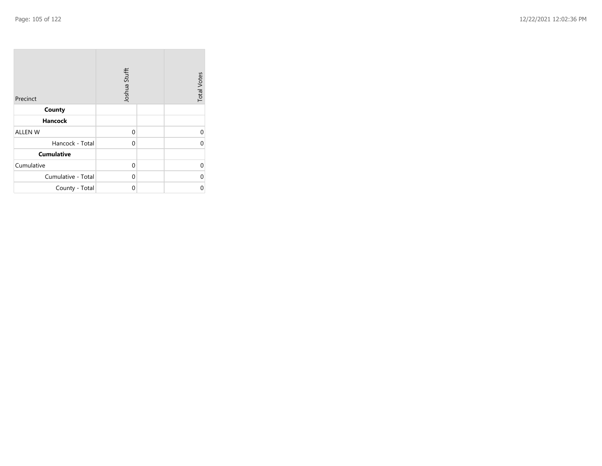| Precinct           | Joshua Stufft |  | <b>Total Votes</b> |
|--------------------|---------------|--|--------------------|
| County             |               |  |                    |
| <b>Hancock</b>     |               |  |                    |
| <b>ALLEN W</b>     | $\mathbf 0$   |  | 0                  |
| Hancock - Total    | 0             |  | 0                  |
| <b>Cumulative</b>  |               |  |                    |
| Cumulative         | 0             |  | $\Omega$           |
| Cumulative - Total | 0             |  | 0                  |
| County - Total     | 0             |  | 0                  |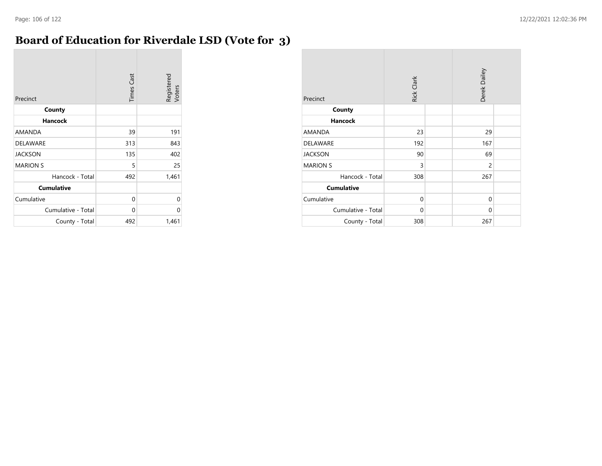#### **Board of Education for Riverdale LSD (Vote for 3)**

| Precinct           | <b>Times Cast</b> | Registered<br>Voters |
|--------------------|-------------------|----------------------|
| County             |                   |                      |
| <b>Hancock</b>     |                   |                      |
| <b>AMANDA</b>      | 39                | 191                  |
| DELAWARE           | 313               | 843                  |
| <b>JACKSON</b>     | 135               | 402                  |
| <b>MARION S</b>    | 5                 | 25                   |
| Hancock - Total    | 492               | 1,461                |
| <b>Cumulative</b>  |                   |                      |
| Cumulative         | 0                 | 0                    |
| Cumulative - Total | 0                 | 0                    |
| County - Total     | 492               | 1,461                |

| Precinct           | <b>Rick Clark</b> | Derek Dailey   |  |
|--------------------|-------------------|----------------|--|
| County             |                   |                |  |
| <b>Hancock</b>     |                   |                |  |
| AMANDA             | 23                | 29             |  |
| <b>DELAWARE</b>    | 192               | 167            |  |
| <b>JACKSON</b>     | 90                | 69             |  |
| <b>MARION S</b>    | 3                 | $\overline{2}$ |  |
| Hancock - Total    | 308               | 267            |  |
| <b>Cumulative</b>  |                   |                |  |
| Cumulative         | $\mathbf{0}$      | $\mathbf 0$    |  |
| Cumulative - Total | $\mathbf 0$       | 0              |  |
| County - Total     | 308               | 267            |  |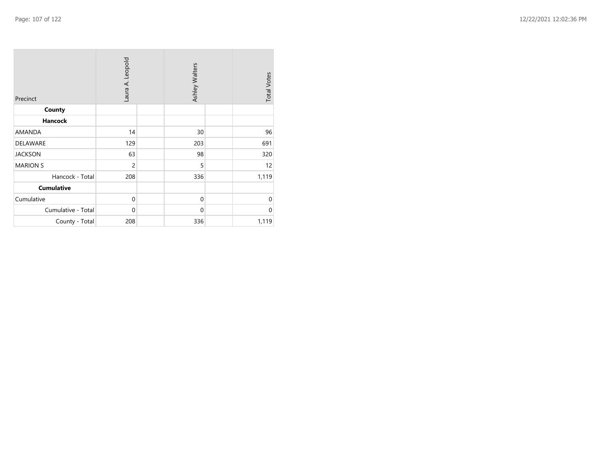| Precinct           | Laura A. Leopold | Ashley Walters | <b>Total Votes</b> |
|--------------------|------------------|----------------|--------------------|
| County             |                  |                |                    |
| <b>Hancock</b>     |                  |                |                    |
| AMANDA             | 14               | 30             | 96                 |
| DELAWARE           | 129              | 203            | 691                |
| <b>JACKSON</b>     | 63               | 98             | 320                |
| <b>MARION S</b>    | $\overline{c}$   | 5              | 12                 |
| Hancock - Total    | 208              | 336            | 1,119              |
| <b>Cumulative</b>  |                  |                |                    |
| Cumulative         | $\mathbf 0$      | $\mathbf{0}$   | $\Omega$           |
| Cumulative - Total | $\mathbf{0}$     | $\mathbf{0}$   | $\Omega$           |
| County - Total     | 208              | 336            | 1,119              |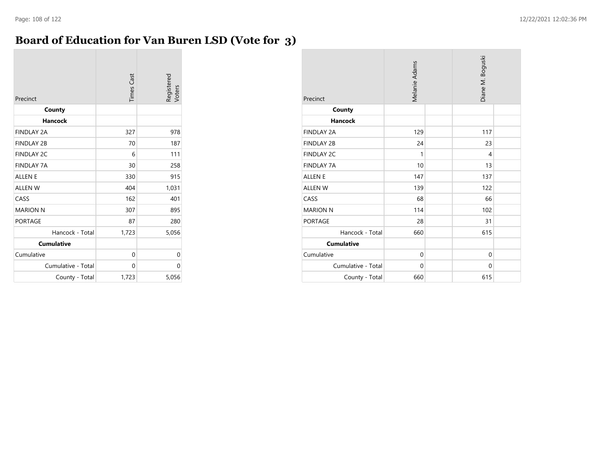#### **Board of Education for Van Buren LSD (Vote for 3)**

| Precinct           | <b>Times Cast</b> | Registered<br>Voters |
|--------------------|-------------------|----------------------|
| County             |                   |                      |
| Hancock            |                   |                      |
| <b>FINDLAY 2A</b>  | 327               | 978                  |
| <b>FINDLAY 2B</b>  | 70                | 187                  |
| <b>FINDLAY 2C</b>  | 6                 | 111                  |
| <b>FINDLAY 7A</b>  | 30                | 258                  |
| <b>ALLEN E</b>     | 330               | 915                  |
| <b>ALLEN W</b>     | 404               | 1,031                |
| CASS               | 162               | 401                  |
| <b>MARION N</b>    | 307               | 895                  |
| <b>PORTAGE</b>     | 87                | 280                  |
| Hancock - Total    | 1,723             | 5,056                |
| <b>Cumulative</b>  |                   |                      |
| Cumulative         | 0                 | 0                    |
| Cumulative - Total | 0                 | 0                    |
| County - Total     | 1,723             | 5,056                |

| Precinct           | Melanie Adams | Diane M. Boguski |  |
|--------------------|---------------|------------------|--|
| County             |               |                  |  |
| <b>Hancock</b>     |               |                  |  |
| <b>FINDLAY 2A</b>  | 129           | 117              |  |
| <b>FINDLAY 2B</b>  | 24            | 23               |  |
| <b>FINDLAY 2C</b>  | 1             | $\overline{4}$   |  |
| <b>FINDLAY 7A</b>  | 10            | 13               |  |
| <b>ALLEN E</b>     | 147           | 137              |  |
| <b>ALLEN W</b>     | 139           | 122              |  |
| CASS               | 68            | 66               |  |
| <b>MARION N</b>    | 114           | 102              |  |
| <b>PORTAGE</b>     | 28            | 31               |  |
| Hancock - Total    | 660           | 615              |  |
| <b>Cumulative</b>  |               |                  |  |
| Cumulative         | $\mathbf 0$   | $\mathbf 0$      |  |
| Cumulative - Total | $\mathbf{0}$  | $\mathbf 0$      |  |
| County - Total     | 660           | 615              |  |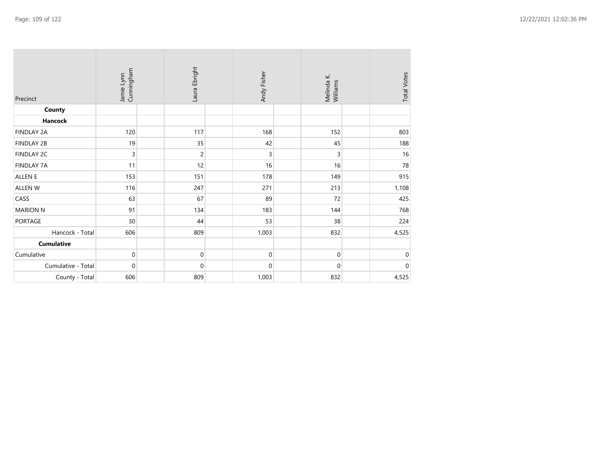| Precinct           | Cunningham<br>Jamie Lynn | Laura Ebright  | Andy Fisher      | Melinda K.<br>Williams | <b>Total Votes</b> |
|--------------------|--------------------------|----------------|------------------|------------------------|--------------------|
| County             |                          |                |                  |                        |                    |
| <b>Hancock</b>     |                          |                |                  |                        |                    |
| <b>FINDLAY 2A</b>  | 120                      | 117            | 168              | 152                    | 803                |
| <b>FINDLAY 2B</b>  | 19                       | 35             | 42               | 45                     | 188                |
| <b>FINDLAY 2C</b>  | 3                        | $\overline{c}$ | 3                | 3                      | 16                 |
| <b>FINDLAY 7A</b>  | 11                       | 12             | 16               | 16                     | 78                 |
| <b>ALLEN E</b>     | 153                      | 151            | 178              | 149                    | 915                |
| ALLEN W            | 116                      | 247            | 271              | 213                    | 1,108              |
| CASS               | 63                       | 67             | 89               | 72                     | 425                |
| <b>MARION N</b>    | 91                       | 134            | 183              | 144                    | 768                |
| <b>PORTAGE</b>     | 30                       | 44             | 53               | 38                     | 224                |
| Hancock - Total    | 606                      | 809            | 1,003            | 832                    | 4,525              |
| <b>Cumulative</b>  |                          |                |                  |                        |                    |
| Cumulative         | $\mathbf 0$              | $\mathbf 0$    | $\pmb{0}$        | $\mathbf 0$            | $\pmb{0}$          |
| Cumulative - Total | $\mathbf 0$              | $\mathbf 0$    | $\boldsymbol{0}$ | $\boldsymbol{0}$       | $\mathbf 0$        |
| County - Total     | 606                      | 809            | 1,003            | 832                    | 4,525              |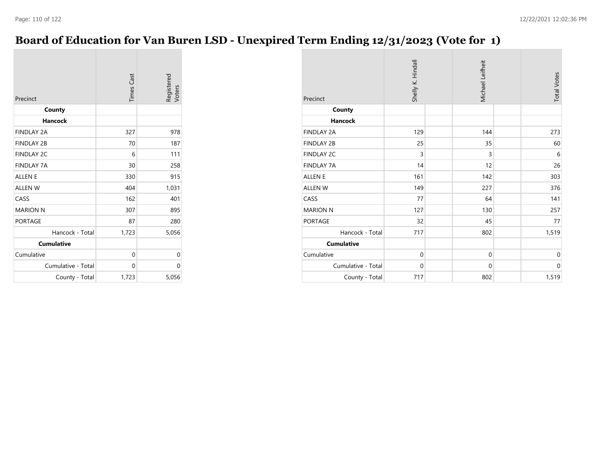# **Board of Education for Van Buren LSD - Unexpired Term Ending 12/31/2023 (Vote for 1)**

| Precinct           | <b>Times Cast</b> | Registered<br>Voters |
|--------------------|-------------------|----------------------|
| County             |                   |                      |
| Hancock            |                   |                      |
| <b>FINDLAY 2A</b>  | 327               | 978                  |
| <b>FINDLAY 2B</b>  | 70                | 187                  |
| <b>FINDLAY 2C</b>  | 6                 | 111                  |
| <b>FINDLAY 7A</b>  | 30                | 258                  |
| <b>ALLEN E</b>     | 330               | 915                  |
| <b>ALLEN W</b>     | 404               | 1,031                |
| CASS               | 162               | 401                  |
| <b>MARION N</b>    | 307               | 895                  |
| <b>PORTAGE</b>     | 87                | 280                  |
| Hancock - Total    | 1,723             | 5,056                |
| <b>Cumulative</b>  |                   |                      |
| Cumulative         | 0                 | 0                    |
| Cumulative - Total | 0                 | 0                    |
| County - Total     | 1,723             | 5,056                |

| Precinct           | Shelly K. Hindall | Michael Leifheit | <b>Total Votes</b> |
|--------------------|-------------------|------------------|--------------------|
| County             |                   |                  |                    |
| Hancock            |                   |                  |                    |
| <b>FINDLAY 2A</b>  | 129               | 144              | 273                |
| <b>FINDLAY 2B</b>  | 25                | 35               | 60                 |
| <b>FINDLAY 2C</b>  | 3                 | 3                | 6                  |
| <b>FINDLAY 7A</b>  | 14                | 12               | 26                 |
| <b>ALLEN E</b>     | 161               | 142              | 303                |
| <b>ALLEN W</b>     | 149               | 227              | 376                |
| CASS               | 77                | 64               | 141                |
| <b>MARION N</b>    | 127               | 130              | 257                |
| <b>PORTAGE</b>     | 32                | 45               | 77                 |
| Hancock - Total    | 717               | 802              | 1,519              |
| <b>Cumulative</b>  |                   |                  |                    |
| Cumulative         | $\mathbf 0$       | $\boldsymbol{0}$ | $\boldsymbol{0}$   |
| Cumulative - Total | $\mathbf 0$       | $\mathbf 0$      | $\mathbf 0$        |
| County - Total     | 717               | 802              | 1,519              |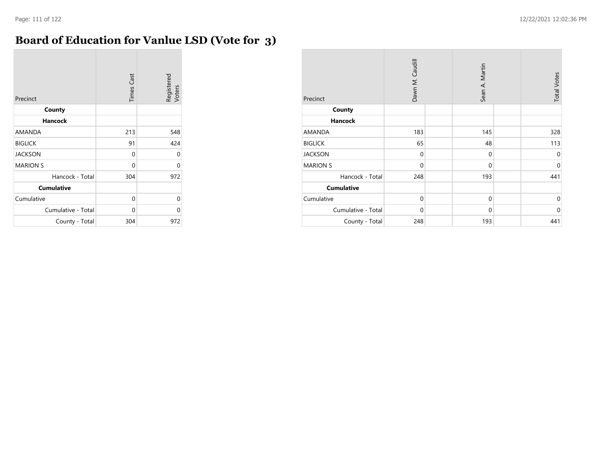# **Board of Education for Vanlue LSD (Vote for 3)**

| Precinct           | <b>Times Cast</b> | Registered<br>Voters |
|--------------------|-------------------|----------------------|
| County             |                   |                      |
| <b>Hancock</b>     |                   |                      |
| <b>AMANDA</b>      | 213               | 548                  |
| <b>BIGLICK</b>     | 91                | 424                  |
| <b>JACKSON</b>     | 0                 | 0                    |
| <b>MARION S</b>    | $\Omega$          | 0                    |
| Hancock - Total    | 304               | 972                  |
| <b>Cumulative</b>  |                   |                      |
| Cumulative         | 0                 | 0                    |
| Cumulative - Total | $\Omega$          | U                    |
| County - Total     | 304               | 972                  |

| Precinct           | Dawn M. Caudill | Sean A. Martin | <b>Total Votes</b> |
|--------------------|-----------------|----------------|--------------------|
| County             |                 |                |                    |
| <b>Hancock</b>     |                 |                |                    |
| AMANDA             | 183             | 145            | 328                |
| <b>BIGLICK</b>     | 65              | 48             | 113                |
| <b>JACKSON</b>     | $\mathbf 0$     | $\mathbf{0}$   | $\Omega$           |
| <b>MARION S</b>    | $\mathbf 0$     | $\mathbf 0$    | $\Omega$           |
| Hancock - Total    | 248             | 193            | 441                |
| <b>Cumulative</b>  |                 |                |                    |
| Cumulative         | $\mathbf 0$     | $\mathbf 0$    | $\mathbf{0}$       |
| Cumulative - Total | $\mathbf 0$     | $\mathbf{0}$   | $\Omega$           |
| County - Total     | 248             | 193            | 441                |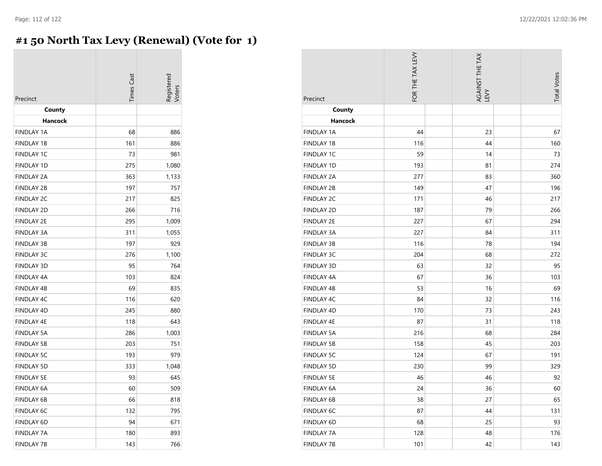# **#1 50 North Tax Levy (Renewal) (Vote for 1)**

| Precinct          | <b>Times Cast</b> | 'oter |
|-------------------|-------------------|-------|
| County<br>Hancock |                   |       |
| <b>FINDLAY 1A</b> | 68                | 886   |
| <b>FINDLAY 1B</b> | 161               | 886   |
| <b>FINDLAY 1C</b> | 73                | 981   |
| <b>FINDLAY 1D</b> | 275               | 1,080 |
| <b>FINDLAY 2A</b> | 363               | 1,133 |
| <b>FINDLAY 2B</b> | 197               | 757   |
| <b>FINDLAY 2C</b> | 217               | 825   |
| <b>FINDLAY 2D</b> | 266               | 716   |
| <b>FINDLAY 2E</b> | 295               | 1,009 |
| <b>FINDLAY 3A</b> | 311               | 1,055 |
| <b>FINDLAY 3B</b> | 197               | 929   |
| <b>FINDLAY 3C</b> | 276               | 1,100 |
| <b>FINDLAY 3D</b> | 95                | 764   |
| <b>FINDLAY 4A</b> | 103               | 824   |
| <b>FINDLAY 4B</b> | 69                | 835   |
| <b>FINDLAY 4C</b> | 116               | 620   |
| <b>FINDLAY 4D</b> | 245               | 880   |
| <b>FINDLAY 4E</b> | 118               | 643   |
| <b>FINDLAY 5A</b> | 286               | 1,003 |
| <b>FINDLAY 5B</b> | 203               | 751   |
| <b>FINDLAY 5C</b> | 193               | 979   |
| <b>FINDLAY 5D</b> | 333               | 1,048 |
| <b>FINDLAY 5E</b> | 93                | 645   |
| <b>FINDLAY 6A</b> | 60                | 509   |
| <b>FINDLAY 6B</b> | 66                | 818   |
| <b>FINDLAY 6C</b> | 132               | 795   |
| <b>FINDLAY 6D</b> | 94                | 671   |
| <b>FINDLAY 7A</b> | 180               | 893   |
| <b>FINDLAY 7B</b> | 143               | 766   |

| Precinct          | FOR THE TAX LEVY | AGAINST THE TAX<br>LEVY | <b>Total Votes</b> |
|-------------------|------------------|-------------------------|--------------------|
| County            |                  |                         |                    |
| Hancock           |                  |                         |                    |
| <b>FINDLAY 1A</b> | 44               | 23                      | 67                 |
| <b>FINDLAY 1B</b> | 116              | 44                      | 160                |
| FINDLAY 1C        | 59               | 14                      | 73                 |
| <b>FINDLAY 1D</b> | 193              | 81                      | 274                |
| <b>FINDLAY 2A</b> | 277              | 83                      | 360                |
| <b>FINDLAY 2B</b> | 149              | 47                      | 196                |
| <b>FINDLAY 2C</b> | 171              | 46                      | 217                |
| <b>FINDLAY 2D</b> | 187              | 79                      | 266                |
| <b>FINDLAY 2E</b> | 227              | 67                      | 294                |
| <b>FINDLAY 3A</b> | 227              | 84                      | 311                |
| <b>FINDLAY 3B</b> | 116              | 78                      | 194                |
| FINDLAY 3C        | 204              | 68                      | 272                |
| <b>FINDLAY 3D</b> | 63               | 32                      | 95                 |
| FINDLAY 4A        | 67               | 36                      | 103                |
| FINDLAY 4B        | 53               | 16                      | 69                 |
| FINDLAY 4C        | 84               | 32                      | 116                |
| FINDLAY 4D        | 170              | 73                      | 243                |
| FINDLAY 4E        | 87               | 31                      | 118                |
| <b>FINDLAY 5A</b> | 216              | 68                      | 284                |
| <b>FINDLAY 5B</b> | 158              | 45                      | 203                |
| <b>FINDLAY 5C</b> | 124              | 67                      | 191                |
| <b>FINDLAY 5D</b> | 230              | 99                      | 329                |
| <b>FINDLAY 5E</b> | 46               | 46                      | 92                 |
| FINDLAY 6A        | 24               | 36                      | 60                 |
| <b>FINDLAY 6B</b> | 38               | 27                      | 65                 |
| FINDLAY 6C        | 87               | 44                      | 131                |
| FINDLAY 6D        | 68               | 25                      | 93                 |
| <b>FINDLAY 7A</b> | 128              | 48                      | 176                |
| <b>FINDLAY 7B</b> | 101              | 42                      | 143                |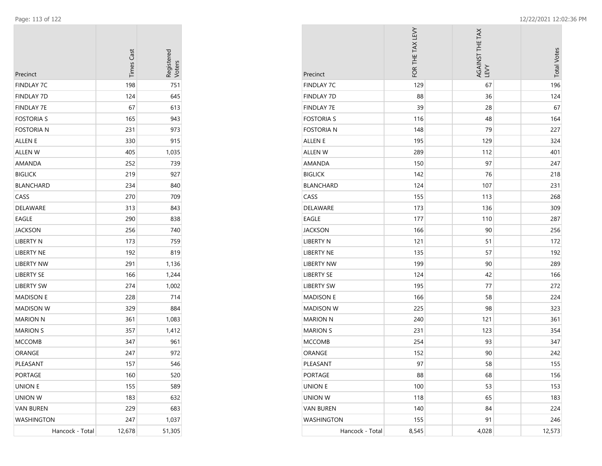| Precinct          | <b>Times Cast</b> | Registered<br>Voters |
|-------------------|-------------------|----------------------|
| FINDLAY 7C        | 198               | 751                  |
| FINDLAY 7D        | 124               | 645                  |
| <b>FINDLAY 7E</b> | 67                | 613                  |
| FOSTORIA S        | 165               | 943                  |
| <b>FOSTORIA N</b> | 231               | 973                  |
| ALLEN E           | 330               | 915                  |
| ALLEN W           | 405               | 1,035                |
| AMANDA            | 252               | 739                  |
| <b>BIGLICK</b>    | 219               | 927                  |
| <b>BLANCHARD</b>  | 234               | 840                  |
| CASS              | 270               | 709                  |
| DELAWARE          | 313               | 843                  |
| EAGLE             | 290               | 838                  |
| JACKSON           | 256               | 740                  |
| LIBERTY N         | 173               | 759                  |
| LIBERTY NE        | 192               | 819                  |
| LIBERTY NW        | 291               | 1,136                |
| LIBERTY SE        | 166               | 1,244                |
| LIBERTY SW        | 274               | 1,002                |
| MADISON E         | 228               | 714                  |
| MADISON W         | 329               | 884                  |
| MARION N          | 361               | 1,083                |
| <b>MARION S</b>   | 357               | 1,412                |
| MCCOMB            | 347               | 961                  |
| ORANGE            | 247               | 972                  |
| PLEASANT          | 157               | 546                  |
| PORTAGE           | 160               | 520                  |
| UNION E           | 155               | 589                  |
| UNION W           | 183               | 632                  |
| <b>VAN BUREN</b>  | 229               | 683                  |
| WASHINGTON        | 247               | 1,037                |
| Hancock - Total   | 12,678            | 51,305               |

| Precinct          | FOR THE TAX LEVY | AGAINST THE TAX<br>TEVA | <b>Total Votes</b> |
|-------------------|------------------|-------------------------|--------------------|
| <b>FINDLAY 7C</b> | 129              | 67                      | 196                |
| <b>FINDLAY 7D</b> | 88               | 36                      | 124                |
| FINDLAY 7E        | 39               | 28                      | 67                 |
| <b>FOSTORIA S</b> | 116              | 48                      | 164                |
| <b>FOSTORIA N</b> | 148              | 79                      | 227                |
| ALLEN E           | 195              | 129                     | 324                |
| <b>ALLEN W</b>    | 289              | 112                     | 401                |
| AMANDA            | 150              | 97                      | 247                |
| <b>BIGLICK</b>    | 142              | 76                      | 218                |
| <b>BLANCHARD</b>  | 124              | 107                     | 231                |
| CASS              | 155              | 113                     | 268                |
| DELAWARE          | 173              | 136                     | 309                |
| <b>EAGLE</b>      | 177              | 110                     | 287                |
| <b>JACKSON</b>    | 166              | 90                      | 256                |
| <b>LIBERTY N</b>  | 121              | 51                      | 172                |
| LIBERTY NE        | 135              | 57                      | 192                |
| <b>LIBERTY NW</b> | 199              | 90                      | 289                |
| <b>LIBERTY SE</b> | 124              | 42                      | 166                |
| <b>LIBERTY SW</b> | 195              | 77                      | 272                |
| <b>MADISON E</b>  | 166              | 58                      | 224                |
| <b>MADISON W</b>  | 225              | 98                      | 323                |
| <b>MARION N</b>   | 240              | 121                     | 361                |
| <b>MARION S</b>   | 231              | 123                     | 354                |
| <b>MCCOMB</b>     | 254              | 93                      | 347                |
| ORANGE            | 152              | 90                      | 242                |
| PLEASANT          | 97               | 58                      | 155                |
| <b>PORTAGE</b>    | 88               | 68                      | 156                |
| <b>UNION E</b>    | 100              | 53                      | 153                |
| <b>UNION W</b>    | 118              | 65                      | 183                |
| <b>VAN BUREN</b>  | 140              | 84                      | 224                |
| <b>WASHINGTON</b> | 155              | 91                      | 246                |
| Hancock - Total   | 8,545            | 4,028                   | 12,573             |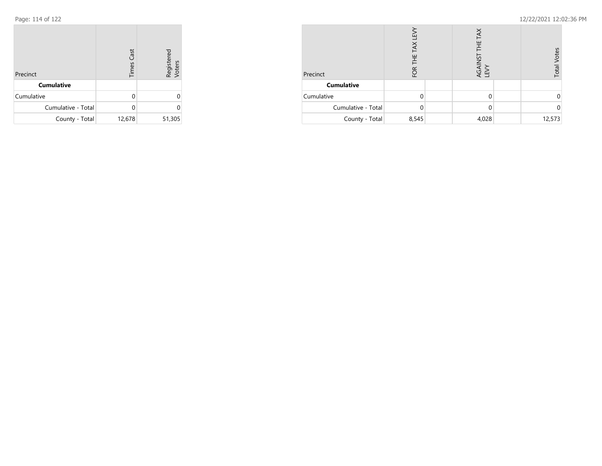| Precinct           | <b>Times Cast</b> | Registered<br>Voters |
|--------------------|-------------------|----------------------|
| <b>Cumulative</b>  |                   |                      |
| Cumulative         | U                 |                      |
| Cumulative - Total | U                 |                      |
| County - Total     | 12,678            | 51,305               |

| Precinct           | щ<br>芒<br>EOR | 半<br>š<br><b>GAI</b><br>向 | <b>Total Votes</b> |
|--------------------|---------------|---------------------------|--------------------|
| <b>Cumulative</b>  |               |                           |                    |
| Cumulative         |               |                           |                    |
| Cumulative - Total |               |                           |                    |
| County - Total     | 8,545         | 4,028                     | 12,573             |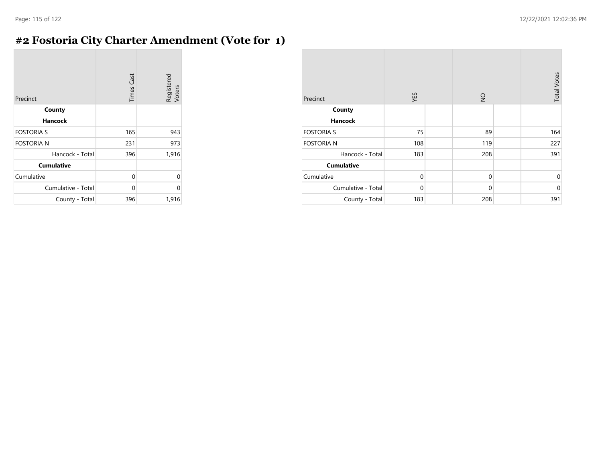# **#2 Fostoria City Charter Amendment (Vote for 1)**

| Precinct           | <b>Times Cast</b> | Registered<br>Voters |
|--------------------|-------------------|----------------------|
| County             |                   |                      |
| Hancock            |                   |                      |
| <b>FOSTORIA S</b>  | 165               | 943                  |
| <b>FOSTORIA N</b>  | 231               | 973                  |
| Hancock - Total    | 396               | 1,916                |
| <b>Cumulative</b>  |                   |                      |
| Cumulative         | 0                 | 0                    |
| Cumulative - Total | 0                 | U                    |
| County - Total     | 396               | 1,916                |

| Precinct           | YES          | $\frac{1}{2}$ | <b>Total Votes</b> |
|--------------------|--------------|---------------|--------------------|
| County             |              |               |                    |
| <b>Hancock</b>     |              |               |                    |
| <b>FOSTORIA S</b>  | 75           | 89            | 164                |
| <b>FOSTORIA N</b>  | 108          | 119           | 227                |
| Hancock - Total    | 183          | 208           | 391                |
| <b>Cumulative</b>  |              |               |                    |
| Cumulative         | $\mathbf{0}$ | $\mathbf{0}$  | $\pmb{0}$          |
| Cumulative - Total | $\mathbf 0$  | $\mathbf 0$   | $\mathbf 0$        |
| County - Total     | 183          | 208           | 391                |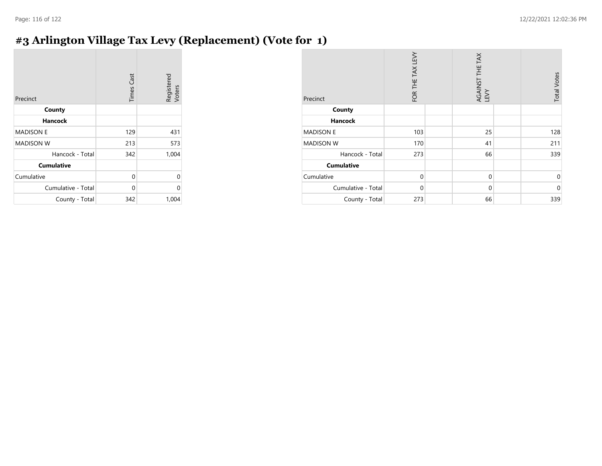# **#3 Arlington Village Tax Levy (Replacement) (Vote for 1)**

| Precinct           | <b>Times Cast</b> | Registered<br>Voters |
|--------------------|-------------------|----------------------|
| County             |                   |                      |
| <b>Hancock</b>     |                   |                      |
| <b>MADISON E</b>   | 129               | 431                  |
| <b>MADISON W</b>   | 213               | 573                  |
| Hancock - Total    | 342               | 1,004                |
| <b>Cumulative</b>  |                   |                      |
| Cumulative         | 0                 | 0                    |
| Cumulative - Total | $\Omega$          | 0                    |
| County - Total     | 342               | 1,004                |

| Precinct           | FOR THE TAX LEVY | AGAINST THE TAX<br>LEVY | <b>Total Votes</b> |
|--------------------|------------------|-------------------------|--------------------|
| County             |                  |                         |                    |
| <b>Hancock</b>     |                  |                         |                    |
| <b>MADISON E</b>   | 103              | 25                      | 128                |
| <b>MADISON W</b>   | 170              | 41                      | 211                |
| Hancock - Total    | 273              | 66                      | 339                |
| <b>Cumulative</b>  |                  |                         |                    |
| Cumulative         | $\mathbf 0$      | 0                       | $\Omega$           |
| Cumulative - Total | $\mathbf 0$      | $\mathbf 0$             | $\mathbf{0}$       |
| County - Total     | 273              | 66                      | 339                |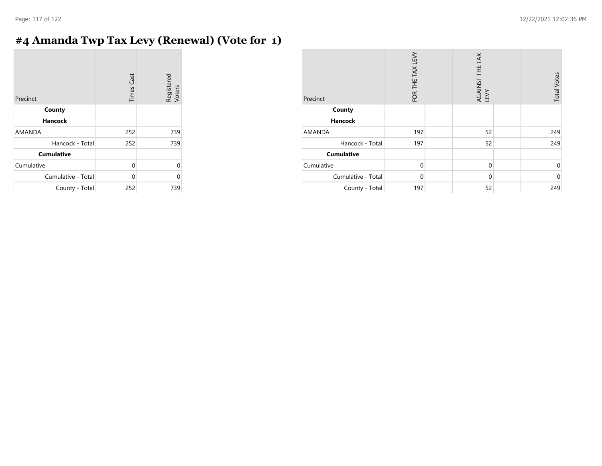$\sim$ 

# **#4 Amanda Twp Tax Levy (Renewal) (Vote for 1)**

| Precinct           | Cast<br>Times | Registered<br>Voters |
|--------------------|---------------|----------------------|
| County             |               |                      |
| <b>Hancock</b>     |               |                      |
| <b>AMANDA</b>      | 252           | 739                  |
| Hancock - Total    | 252           | 739                  |
| <b>Cumulative</b>  |               |                      |
| Cumulative         | 0             | U                    |
| Cumulative - Total | 0             | U                    |
| County - Total     | 252           | 739                  |

| Precinct           | FOR THE TAX LEVY | AGAINST THE TAX<br>LEVY | <b>Total Votes</b> |
|--------------------|------------------|-------------------------|--------------------|
| County             |                  |                         |                    |
| <b>Hancock</b>     |                  |                         |                    |
| AMANDA             | 197              | 52                      | 249                |
| Hancock - Total    | 197              | 52                      | 249                |
| <b>Cumulative</b>  |                  |                         |                    |
| Cumulative         | $\mathbf{0}$     | $\mathbf 0$             | $\mathbf 0$        |
| Cumulative - Total | $\Omega$         | $\mathbf 0$             | $\mathbf 0$        |
| County - Total     | 197              | 52                      | 249                |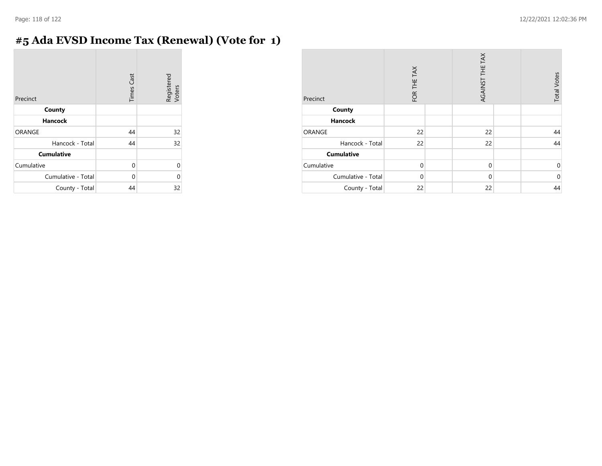$\sim$ 

# **#5 Ada EVSD Income Tax (Renewal) (Vote for 1)**

| Precinct           | <b>Times Cast</b> | Registered<br>Voters |
|--------------------|-------------------|----------------------|
| County             |                   |                      |
| <b>Hancock</b>     |                   |                      |
| <b>ORANGE</b>      | 44                | 32                   |
| Hancock - Total    | 44                | 32                   |
| <b>Cumulative</b>  |                   |                      |
| Cumulative         | 0                 | $\Omega$             |
| Cumulative - Total | 0                 | 0                    |
| County - Total     | 44                | 32                   |

| Precinct           | FOR THE TAX | AGAINST THE TAX | <b>Total Votes</b> |
|--------------------|-------------|-----------------|--------------------|
| County             |             |                 |                    |
| <b>Hancock</b>     |             |                 |                    |
| ORANGE             | 22          | 22              | 44                 |
| Hancock - Total    | 22          | 22              | 44                 |
| <b>Cumulative</b>  |             |                 |                    |
| Cumulative         | $\Omega$    | $\mathbf 0$     | $\mathbf 0$        |
| Cumulative - Total | $\Omega$    | $\mathbf 0$     | $\Omega$           |
| County - Total     | 22          | 22              | 44                 |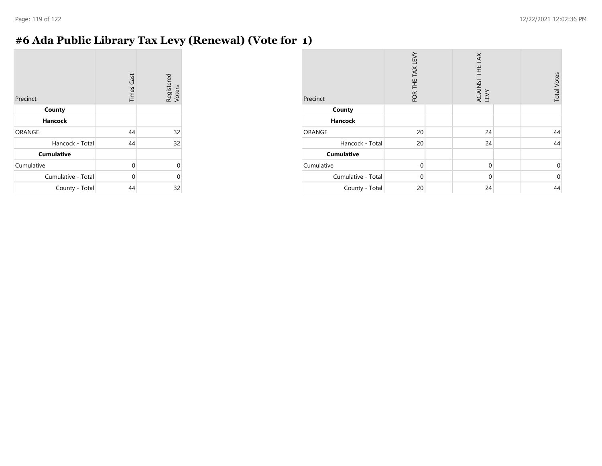# **#6 Ada Public Library Tax Levy (Renewal) (Vote for 1)**

| Precinct           | <b>Times Cast</b> | Registered<br>Voters |
|--------------------|-------------------|----------------------|
| County             |                   |                      |
| <b>Hancock</b>     |                   |                      |
| <b>ORANGE</b>      | 44                | 32                   |
| Hancock - Total    | 44                | 32                   |
| <b>Cumulative</b>  |                   |                      |
| Cumulative         | 0                 |                      |
| Cumulative - Total | 0                 |                      |
| County - Total     | 44                | 32                   |

| Precinct           | FOR THE TAX LEVY | AGAINST THE TAX<br>LEVY | <b>Total Votes</b> |
|--------------------|------------------|-------------------------|--------------------|
| County             |                  |                         |                    |
| <b>Hancock</b>     |                  |                         |                    |
| ORANGE             | 20               | 24                      | 44                 |
| Hancock - Total    | 20               | 24                      | 44                 |
| <b>Cumulative</b>  |                  |                         |                    |
| Cumulative         | $\Omega$         | $\mathbf 0$             | 0                  |
| Cumulative - Total | $\Omega$         | $\mathbf 0$             | $\mathbf 0$        |
| County - Total     | 20               | 24                      | 44                 |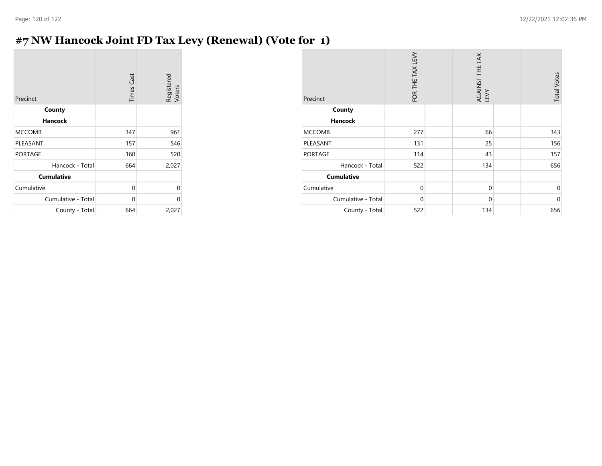# **#7 NW Hancock Joint FD Tax Levy (Renewal) (Vote for 1)**

| Precinct           | <b>Times Cast</b> | Registered<br>Voters |
|--------------------|-------------------|----------------------|
| County             |                   |                      |
| <b>Hancock</b>     |                   |                      |
| <b>MCCOMB</b>      | 347               | 961                  |
| PLEASANT           | 157               | 546                  |
| <b>PORTAGE</b>     | 160               | 520                  |
| Hancock - Total    | 664               | 2,027                |
| <b>Cumulative</b>  |                   |                      |
| Cumulative         | $\Omega$          | 0                    |
| Cumulative - Total | 0                 | 0                    |
| County - Total     | 664               | 2,027                |

| Precinct           | FOR THE TAX LEVY | AGAINST THE TAX<br>LEVY | <b>Total Votes</b> |
|--------------------|------------------|-------------------------|--------------------|
| County             |                  |                         |                    |
| <b>Hancock</b>     |                  |                         |                    |
| <b>MCCOMB</b>      | 277              | 66                      | 343                |
| PLEASANT           | 131              | 25                      | 156                |
| <b>PORTAGE</b>     | 114              | 43                      | 157                |
| Hancock - Total    | 522              | 134                     | 656                |
| <b>Cumulative</b>  |                  |                         |                    |
| Cumulative         | $\mathbf 0$      | $\mathbf{0}$            | $\Omega$           |
| Cumulative - Total | $\mathbf 0$      | $\mathbf{0}$            | $\Omega$           |
| County - Total     | 522              | 134                     | 656                |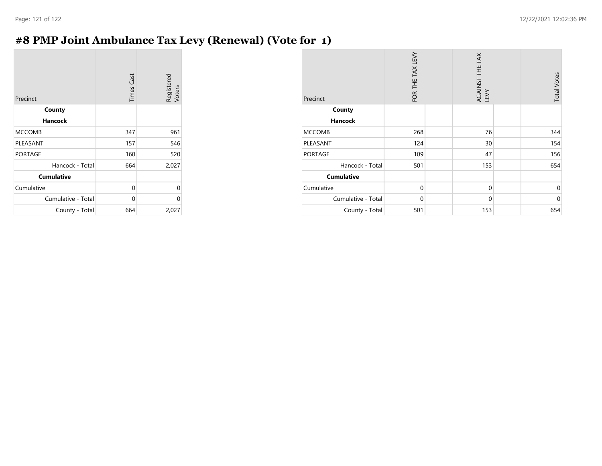# **#8 PMP Joint Ambulance Tax Levy (Renewal) (Vote for 1)**

| Precinct           | <b>Times Cast</b> | Registered<br>Voters |
|--------------------|-------------------|----------------------|
| County             |                   |                      |
| <b>Hancock</b>     |                   |                      |
| <b>MCCOMB</b>      | 347               | 961                  |
| PLEASANT           | 157               | 546                  |
| <b>PORTAGE</b>     | 160               | 520                  |
| Hancock - Total    | 664               | 2,027                |
| <b>Cumulative</b>  |                   |                      |
| Cumulative         | $\Omega$          | 0                    |
| Cumulative - Total | $\Omega$          | 0                    |
| County - Total     | 664               | 2,027                |

| Precinct           | FOR THE TAX LEVY | AGAINST THE TAX<br>LEVY | <b>Total Votes</b> |
|--------------------|------------------|-------------------------|--------------------|
| County             |                  |                         |                    |
| <b>Hancock</b>     |                  |                         |                    |
| <b>MCCOMB</b>      | 268              | 76                      | 344                |
| PLEASANT           | 124              | 30                      | 154                |
| <b>PORTAGE</b>     | 109              | 47                      | 156                |
| Hancock - Total    | 501              | 153                     | 654                |
| <b>Cumulative</b>  |                  |                         |                    |
| Cumulative         | $\mathbf 0$      | $\mathbf{0}$            | $\Omega$           |
| Cumulative - Total | $\mathbf 0$      | $\mathbf{0}$            | $\Omega$           |
| County - Total     | 501              | 153                     | 654                |